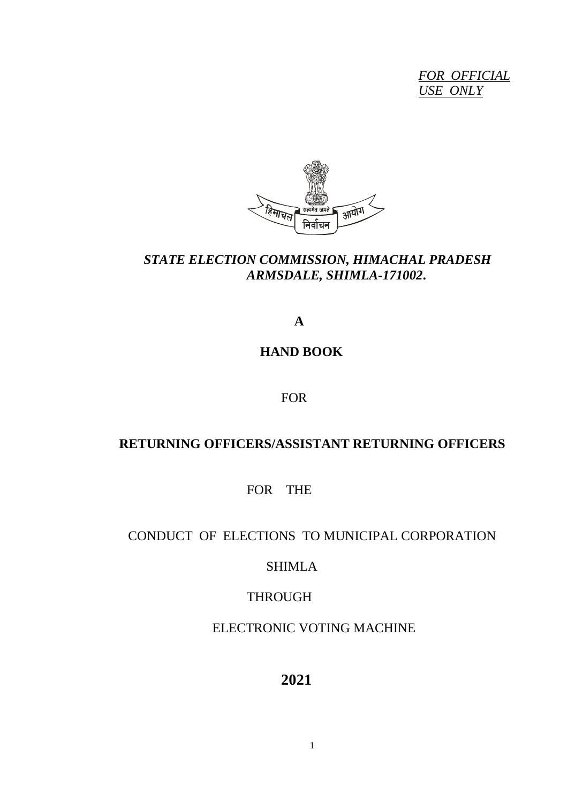*FOR OFFICIAL USE ONLY*



# *STATE ELECTION COMMISSION, HIMACHAL PRADESH ARMSDALE, SHIMLA-171002***.**

 **A**

# **HAND BOOK**

FOR

# **RETURNING OFFICERS/ASSISTANT RETURNING OFFICERS**

FOR THE

# CONDUCT OF ELECTIONS TO MUNICIPAL CORPORATION

# SHIMLA

# THROUGH

# ELECTRONIC VOTING MACHINE

# **2021**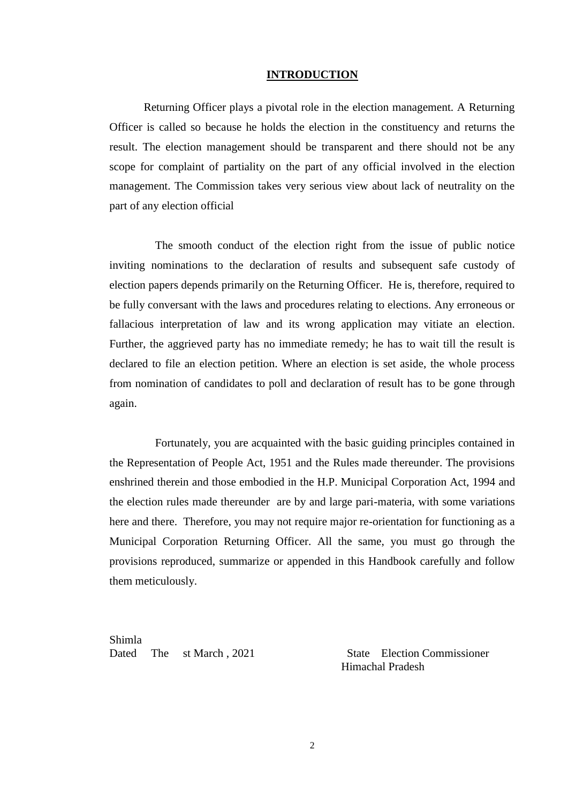#### **INTRODUCTION**

Returning Officer plays a pivotal role in the election management. A Returning Officer is called so because he holds the election in the constituency and returns the result. The election management should be transparent and there should not be any scope for complaint of partiality on the part of any official involved in the election management. The Commission takes very serious view about lack of neutrality on the part of any election official

The smooth conduct of the election right from the issue of public notice inviting nominations to the declaration of results and subsequent safe custody of election papers depends primarily on the Returning Officer. He is, therefore, required to be fully conversant with the laws and procedures relating to elections. Any erroneous or fallacious interpretation of law and its wrong application may vitiate an election. Further, the aggrieved party has no immediate remedy; he has to wait till the result is declared to file an election petition. Where an election is set aside, the whole process from nomination of candidates to poll and declaration of result has to be gone through again.

Fortunately, you are acquainted with the basic guiding principles contained in the Representation of People Act, 1951 and the Rules made thereunder. The provisions enshrined therein and those embodied in the H.P. Municipal Corporation Act, 1994 and the election rules made thereunder are by and large pari-materia, with some variations here and there. Therefore, you may not require major re-orientation for functioning as a Municipal Corporation Returning Officer. All the same, you must go through the provisions reproduced, summarize or appended in this Handbook carefully and follow them meticulously.

Shimla Dated The st March , 2021 State Election Commissioner

Himachal Pradesh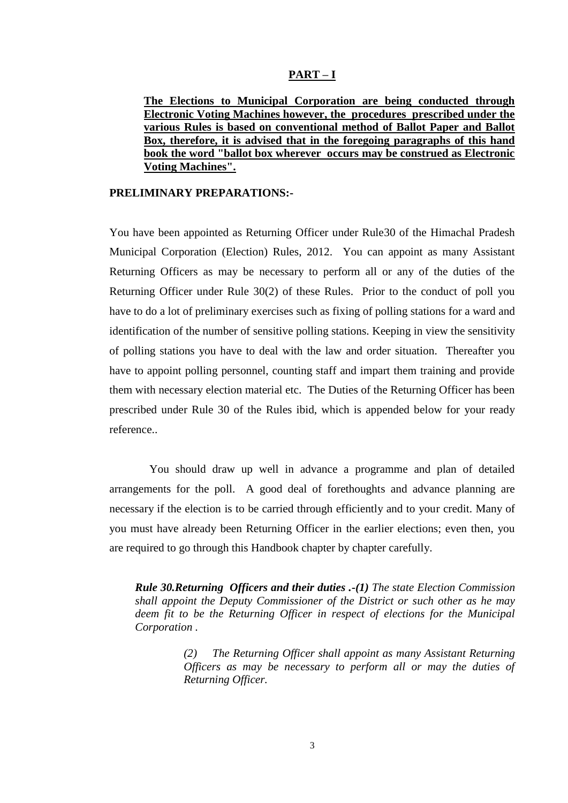### **PART – I**

**The Elections to Municipal Corporation are being conducted through Electronic Voting Machines however, the procedures prescribed under the various Rules is based on conventional method of Ballot Paper and Ballot Box, therefore, it is advised that in the foregoing paragraphs of this hand book the word "ballot box wherever occurs may be construed as Electronic Voting Machines".**

## **PRELIMINARY PREPARATIONS:-**

You have been appointed as Returning Officer under Rule30 of the Himachal Pradesh Municipal Corporation (Election) Rules, 2012. You can appoint as many Assistant Returning Officers as may be necessary to perform all or any of the duties of the Returning Officer under Rule 30(2) of these Rules. Prior to the conduct of poll you have to do a lot of preliminary exercises such as fixing of polling stations for a ward and identification of the number of sensitive polling stations. Keeping in view the sensitivity of polling stations you have to deal with the law and order situation. Thereafter you have to appoint polling personnel, counting staff and impart them training and provide them with necessary election material etc. The Duties of the Returning Officer has been prescribed under Rule 30 of the Rules ibid, which is appended below for your ready reference..

 You should draw up well in advance a programme and plan of detailed arrangements for the poll. A good deal of forethoughts and advance planning are necessary if the election is to be carried through efficiently and to your credit. Many of you must have already been Returning Officer in the earlier elections; even then, you are required to go through this Handbook chapter by chapter carefully.

*Rule 30.Returning Officers and their duties .-(1) The state Election Commission shall appoint the Deputy Commissioner of the District or such other as he may deem fit to be the Returning Officer in respect of elections for the Municipal Corporation .*

> *(2) The Returning Officer shall appoint as many Assistant Returning Officers as may be necessary to perform all or may the duties of Returning Officer.*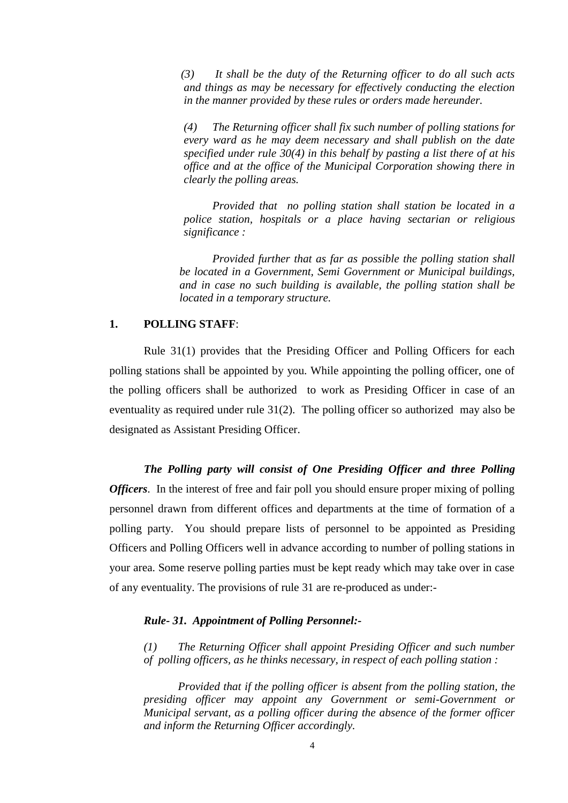*(3) It shall be the duty of the Returning officer to do all such acts and things as may be necessary for effectively conducting the election in the manner provided by these rules or orders made hereunder.*

*(4) The Returning officer shall fix such number of polling stations for every ward as he may deem necessary and shall publish on the date specified under rule 30(4) in this behalf by pasting a list there of at his office and at the office of the Municipal Corporation showing there in clearly the polling areas.*

*Provided that no polling station shall station be located in a police station, hospitals or a place having sectarian or religious significance :*

*Provided further that as far as possible the polling station shall be located in a Government, Semi Government or Municipal buildings, and in case no such building is available, the polling station shall be located in a temporary structure.*

## **1. POLLING STAFF**:

Rule 31(1) provides that the Presiding Officer and Polling Officers for each polling stations shall be appointed by you. While appointing the polling officer, one of the polling officers shall be authorized to work as Presiding Officer in case of an eventuality as required under rule 31(2). The polling officer so authorized may also be designated as Assistant Presiding Officer.

*The Polling party will consist of One Presiding Officer and three Polling Officers*. In the interest of free and fair poll you should ensure proper mixing of polling personnel drawn from different offices and departments at the time of formation of a polling party. You should prepare lists of personnel to be appointed as Presiding Officers and Polling Officers well in advance according to number of polling stations in your area. Some reserve polling parties must be kept ready which may take over in case of any eventuality. The provisions of rule 31 are re-produced as under:-

### *Rule- 31. Appointment of Polling Personnel:-*

*(1) The Returning Officer shall appoint Presiding Officer and such number of polling officers, as he thinks necessary, in respect of each polling station :*

*Provided that if the polling officer is absent from the polling station, the presiding officer may appoint any Government or semi-Government or Municipal servant, as a polling officer during the absence of the former officer and inform the Returning Officer accordingly.*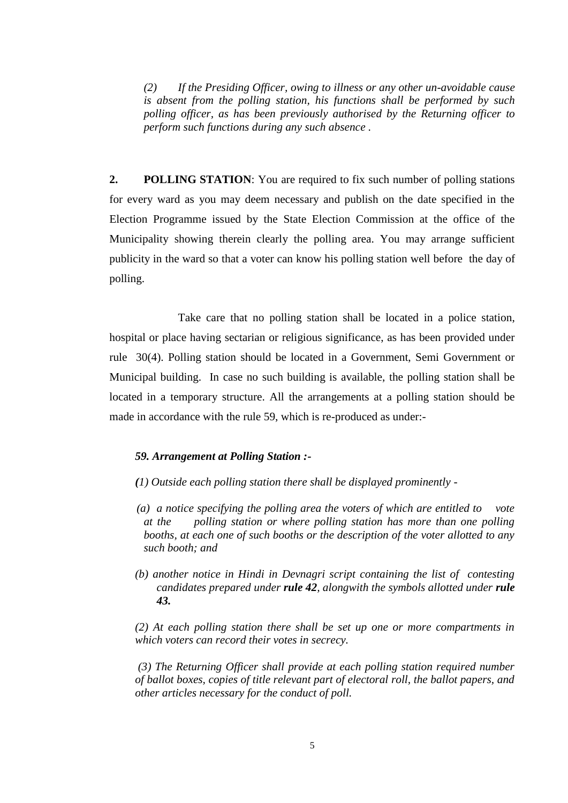*(2) If the Presiding Officer, owing to illness or any other un-avoidable cause is absent from the polling station, his functions shall be performed by such polling officer, as has been previously authorised by the Returning officer to perform such functions during any such absence .* 

**2. POLLING STATION**: You are required to fix such number of polling stations for every ward as you may deem necessary and publish on the date specified in the Election Programme issued by the State Election Commission at the office of the Municipality showing therein clearly the polling area. You may arrange sufficient publicity in the ward so that a voter can know his polling station well before the day of polling.

Take care that no polling station shall be located in a police station, hospital or place having sectarian or religious significance, as has been provided under rule 30(4). Polling station should be located in a Government, Semi Government or Municipal building. In case no such building is available, the polling station shall be located in a temporary structure. All the arrangements at a polling station should be made in accordance with the rule 59, which is re-produced as under:-

### *59. Arrangement at Polling Station :-*

- *(1) Outside each polling station there shall be displayed prominently -*
- *(a) a notice specifying the polling area the voters of which are entitled to vote at the polling station or where polling station has more than one polling booths, at each one of such booths or the description of the voter allotted to any such booth; and*
- *(b) another notice in Hindi in Devnagri script containing the list of contesting candidates prepared under rule 42, alongwith the symbols allotted under rule 43.*

*(2) At each polling station there shall be set up one or more compartments in which voters can record their votes in secrecy.*

*(3) The Returning Officer shall provide at each polling station required number of ballot boxes, copies of title relevant part of electoral roll, the ballot papers, and other articles necessary for the conduct of poll.*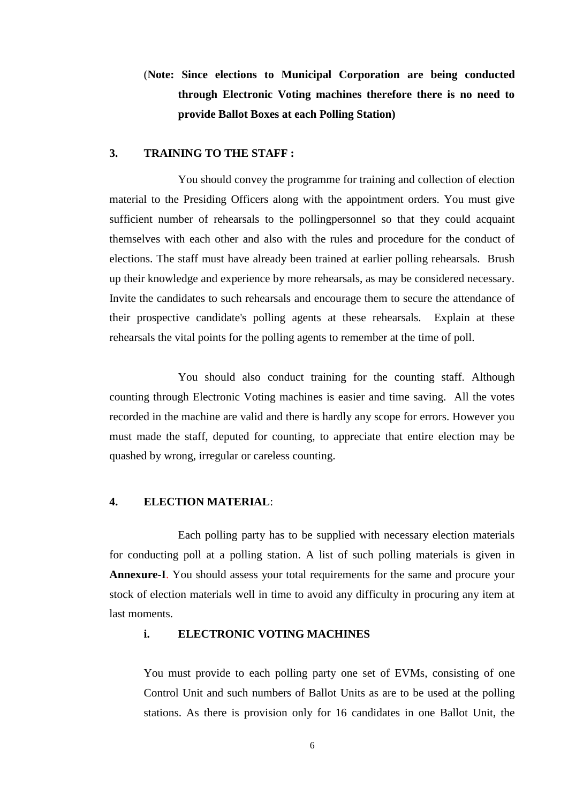# (**Note: Since elections to Municipal Corporation are being conducted through Electronic Voting machines therefore there is no need to provide Ballot Boxes at each Polling Station)**

## **3. TRAINING TO THE STAFF :**

You should convey the programme for training and collection of election material to the Presiding Officers along with the appointment orders. You must give sufficient number of rehearsals to the pollingpersonnel so that they could acquaint themselves with each other and also with the rules and procedure for the conduct of elections. The staff must have already been trained at earlier polling rehearsals. Brush up their knowledge and experience by more rehearsals, as may be considered necessary. Invite the candidates to such rehearsals and encourage them to secure the attendance of their prospective candidate's polling agents at these rehearsals. Explain at these rehearsals the vital points for the polling agents to remember at the time of poll.

You should also conduct training for the counting staff. Although counting through Electronic Voting machines is easier and time saving. All the votes recorded in the machine are valid and there is hardly any scope for errors. However you must made the staff, deputed for counting, to appreciate that entire election may be quashed by wrong, irregular or careless counting.

# **4. ELECTION MATERIAL**:

Each polling party has to be supplied with necessary election materials for conducting poll at a polling station. A list of such polling materials is given in **Annexure-I**. You should assess your total requirements for the same and procure your stock of election materials well in time to avoid any difficulty in procuring any item at last moments.

## **i. ELECTRONIC VOTING MACHINES**

You must provide to each polling party one set of EVMs, consisting of one Control Unit and such numbers of Ballot Units as are to be used at the polling stations. As there is provision only for 16 candidates in one Ballot Unit, the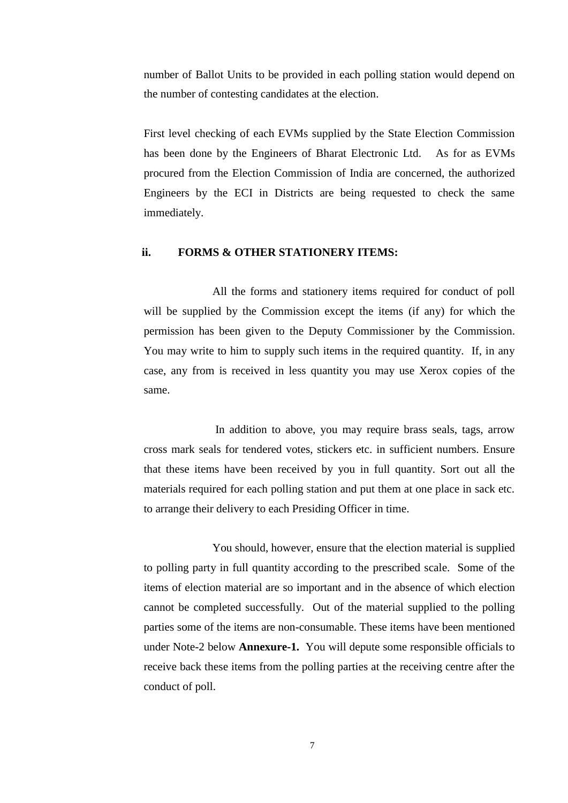number of Ballot Units to be provided in each polling station would depend on the number of contesting candidates at the election.

First level checking of each EVMs supplied by the State Election Commission has been done by the Engineers of Bharat Electronic Ltd. As for as EVMs procured from the Election Commission of India are concerned, the authorized Engineers by the ECI in Districts are being requested to check the same immediately.

### **ii. FORMS & OTHER STATIONERY ITEMS:**

All the forms and stationery items required for conduct of poll will be supplied by the Commission except the items (if any) for which the permission has been given to the Deputy Commissioner by the Commission. You may write to him to supply such items in the required quantity. If, in any case, any from is received in less quantity you may use Xerox copies of the same.

In addition to above, you may require brass seals, tags, arrow cross mark seals for tendered votes, stickers etc. in sufficient numbers. Ensure that these items have been received by you in full quantity. Sort out all the materials required for each polling station and put them at one place in sack etc. to arrange their delivery to each Presiding Officer in time.

You should, however, ensure that the election material is supplied to polling party in full quantity according to the prescribed scale. Some of the items of election material are so important and in the absence of which election cannot be completed successfully. Out of the material supplied to the polling parties some of the items are non-consumable. These items have been mentioned under Note-2 below **Annexure-1.** You will depute some responsible officials to receive back these items from the polling parties at the receiving centre after the conduct of poll.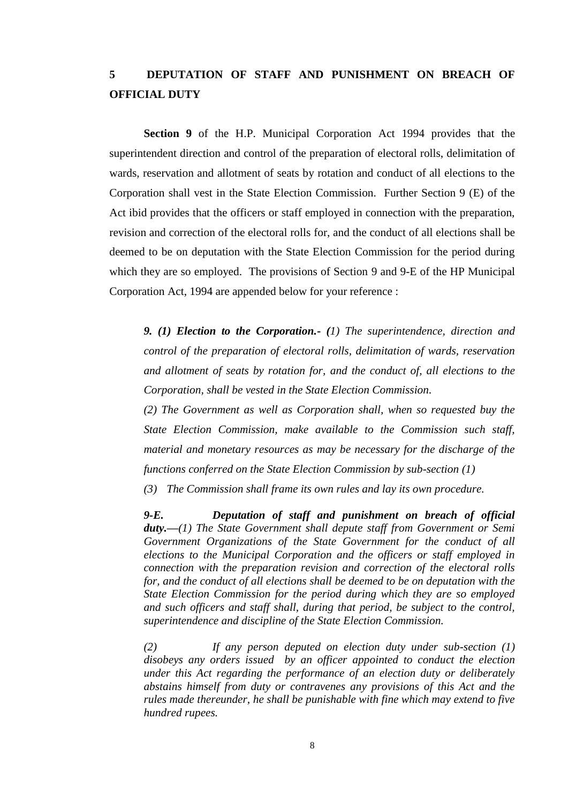# **5 DEPUTATION OF STAFF AND PUNISHMENT ON BREACH OF OFFICIAL DUTY**

**Section 9** of the H.P. Municipal Corporation Act 1994 provides that the superintendent direction and control of the preparation of electoral rolls, delimitation of wards, reservation and allotment of seats by rotation and conduct of all elections to the Corporation shall vest in the State Election Commission. Further Section 9 (E) of the Act ibid provides that the officers or staff employed in connection with the preparation, revision and correction of the electoral rolls for, and the conduct of all elections shall be deemed to be on deputation with the State Election Commission for the period during which they are so employed. The provisions of Section 9 and 9-E of the HP Municipal Corporation Act, 1994 are appended below for your reference :

*9. (1) Election to the Corporation.- (1) The superintendence, direction and control of the preparation of electoral rolls, delimitation of wards, reservation and allotment of seats by rotation for, and the conduct of, all elections to the Corporation, shall be vested in the State Election Commission.* 

*(2) The Government as well as Corporation shall, when so requested buy the State Election Commission, make available to the Commission such staff, material and monetary resources as may be necessary for the discharge of the functions conferred on the State Election Commission by sub-section (1)*

*(3) The Commission shall frame its own rules and lay its own procedure.* 

*9-E. Deputation of staff and punishment on breach of official duty.—(1) The State Government shall depute staff from Government or Semi Government Organizations of the State Government for the conduct of all elections to the Municipal Corporation and the officers or staff employed in connection with the preparation revision and correction of the electoral rolls for, and the conduct of all elections shall be deemed to be on deputation with the State Election Commission for the period during which they are so employed and such officers and staff shall, during that period, be subject to the control, superintendence and discipline of the State Election Commission.* 

*(2) If any person deputed on election duty under sub-section (1) disobeys any orders issued by an officer appointed to conduct the election under this Act regarding the performance of an election duty or deliberately abstains himself from duty or contravenes any provisions of this Act and the rules made thereunder, he shall be punishable with fine which may extend to five hundred rupees.*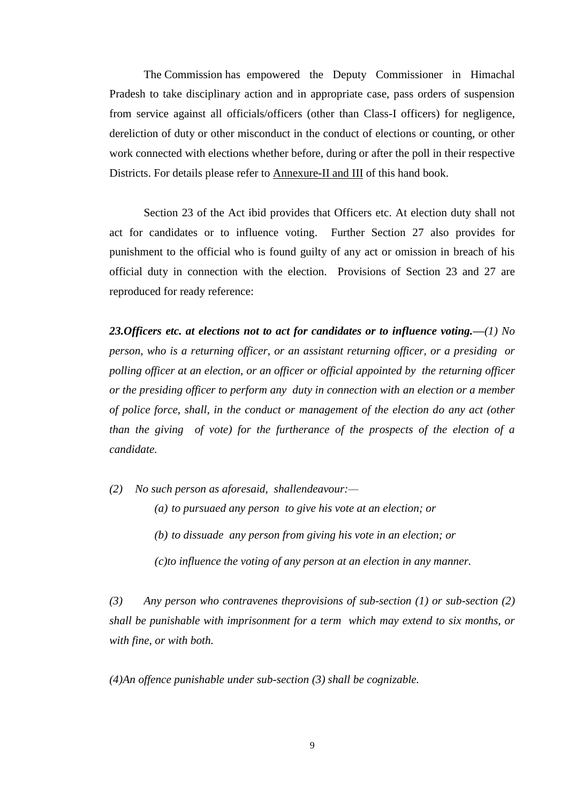The Commission has empowered the Deputy Commissioner in Himachal Pradesh to take disciplinary action and in appropriate case, pass orders of suspension from service against all officials/officers (other than Class-I officers) for negligence, dereliction of duty or other misconduct in the conduct of elections or counting, or other work connected with elections whether before, during or after the poll in their respective Districts. For details please refer to Annexure-II and III of this hand book.

Section 23 of the Act ibid provides that Officers etc. At election duty shall not act for candidates or to influence voting. Further Section 27 also provides for punishment to the official who is found guilty of any act or omission in breach of his official duty in connection with the election. Provisions of Section 23 and 27 are reproduced for ready reference:

*23.Officers etc. at elections not to act for candidates or to influence voting.—(1) No person, who is a returning officer, or an assistant returning officer, or a presiding or polling officer at an election, or an officer or official appointed by the returning officer or the presiding officer to perform any duty in connection with an election or a member of police force, shall, in the conduct or management of the election do any act (other than the giving of vote) for the furtherance of the prospects of the election of a candidate.*

*(2) No such person as aforesaid, shallendeavour:—*

*(a) to pursuaed any person to give his vote at an election; or* 

*(b) to dissuade any person from giving his vote in an election; or* 

*(c)to influence the voting of any person at an election in any manner.*

*(3) Any person who contravenes theprovisions of sub-section (1) or sub-section (2) shall be punishable with imprisonment for a term which may extend to six months, or with fine, or with both.*

*(4)An offence punishable under sub-section (3) shall be cognizable.*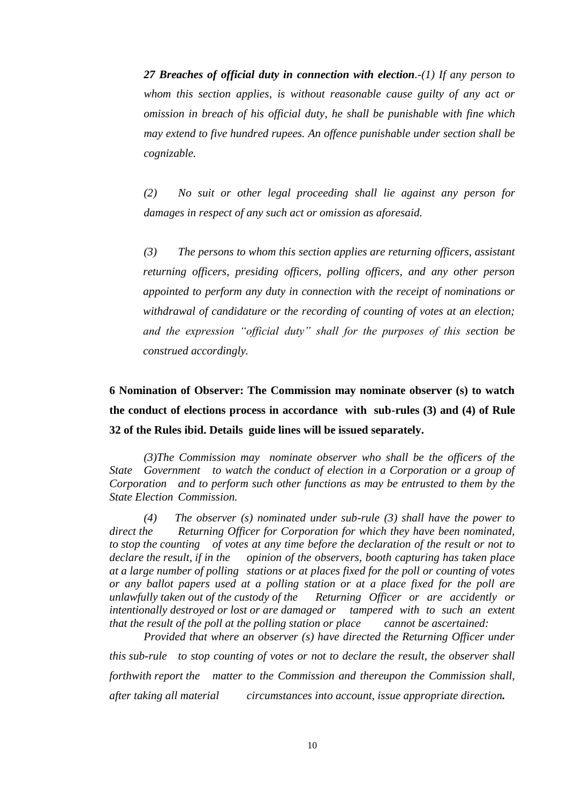*27 Breaches of official duty in connection with election.-(1) If any person to whom this section applies, is without reasonable cause guilty of any act or omission in breach of his official duty, he shall be punishable with fine which may extend to five hundred rupees. An offence punishable under section shall be cognizable.*

*(2) No suit or other legal proceeding shall lie against any person for damages in respect of any such act or omission as aforesaid.*

*(3) The persons to whom this section applies are returning officers, assistant returning officers, presiding officers, polling officers, and any other person appointed to perform any duty in connection with the receipt of nominations or withdrawal of candidature or the recording of counting of votes at an election; and the expression "official duty" shall for the purposes of this section be construed accordingly.*

**6 Nomination of Observer: The Commission may nominate observer (s) to watch the conduct of elections process in accordance with sub-rules (3) and (4) of Rule 32 of the Rules ibid. Details guide lines will be issued separately.** 

*(3)The Commission may nominate observer who shall be the officers of the State Government to watch the conduct of election in a Corporation or a group of Corporation and to perform such other functions as may be entrusted to them by the State Election Commission.*

*(4) The observer (s) nominated under sub-rule (3) shall have the power to direct the Returning Officer for Corporation for which they have been nominated, to stop the counting of votes at any time before the declaration of the result or not to declare the result, if in the opinion of the observers, booth capturing has taken place at a large number of polling stations or at places fixed for the poll or counting of votes or any ballot papers used at a polling station or at a place fixed for the poll are unlawfully taken out of the custody of the Returning Officer or are accidently or intentionally destroyed or lost or are damaged or tampered with to such an extent that the result of the poll at the polling station or place cannot be ascertained:*

*Provided that where an observer (s) have directed the Returning Officer under this sub-rule to stop counting of votes or not to declare the result, the observer shall forthwith report the matter to the Commission and thereupon the Commission shall, after taking all material circumstances into account, issue appropriate direction.*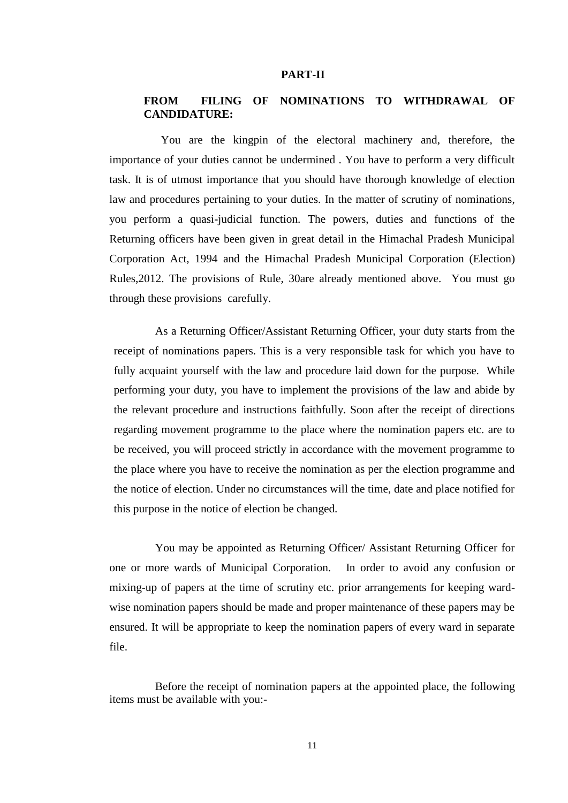#### **PART-II**

# **FROM FILING OF NOMINATIONS TO WITHDRAWAL OF CANDIDATURE:**

 You are the kingpin of the electoral machinery and, therefore, the importance of your duties cannot be undermined . You have to perform a very difficult task. It is of utmost importance that you should have thorough knowledge of election law and procedures pertaining to your duties. In the matter of scrutiny of nominations, you perform a quasi-judicial function. The powers, duties and functions of the Returning officers have been given in great detail in the Himachal Pradesh Municipal Corporation Act, 1994 and the Himachal Pradesh Municipal Corporation (Election) Rules,2012. The provisions of Rule, 30are already mentioned above. You must go through these provisions carefully.

As a Returning Officer/Assistant Returning Officer, your duty starts from the receipt of nominations papers. This is a very responsible task for which you have to fully acquaint yourself with the law and procedure laid down for the purpose. While performing your duty, you have to implement the provisions of the law and abide by the relevant procedure and instructions faithfully. Soon after the receipt of directions regarding movement programme to the place where the nomination papers etc. are to be received, you will proceed strictly in accordance with the movement programme to the place where you have to receive the nomination as per the election programme and the notice of election. Under no circumstances will the time, date and place notified for this purpose in the notice of election be changed.

You may be appointed as Returning Officer/ Assistant Returning Officer for one or more wards of Municipal Corporation. In order to avoid any confusion or mixing-up of papers at the time of scrutiny etc. prior arrangements for keeping wardwise nomination papers should be made and proper maintenance of these papers may be ensured. It will be appropriate to keep the nomination papers of every ward in separate file.

Before the receipt of nomination papers at the appointed place, the following items must be available with you:-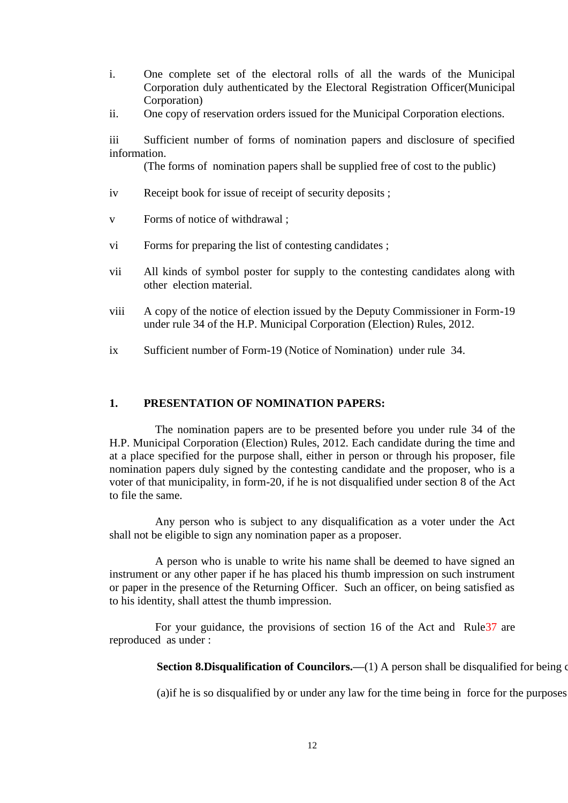- i. One complete set of the electoral rolls of all the wards of the Municipal Corporation duly authenticated by the Electoral Registration Officer(Municipal Corporation)
- ii. One copy of reservation orders issued for the Municipal Corporation elections.

iii Sufficient number of forms of nomination papers and disclosure of specified information.

(The forms of nomination papers shall be supplied free of cost to the public)

- iv Receipt book for issue of receipt of security deposits ;
- v Forms of notice of withdrawal ;
- vi Forms for preparing the list of contesting candidates;
- vii All kinds of symbol poster for supply to the contesting candidates along with other election material.
- viii A copy of the notice of election issued by the Deputy Commissioner in Form-19 under rule 34 of the H.P. Municipal Corporation (Election) Rules, 2012.
- ix Sufficient number of Form-19 (Notice of Nomination) under rule 34.

## **1. PRESENTATION OF NOMINATION PAPERS:**

The nomination papers are to be presented before you under rule 34 of the H.P. Municipal Corporation (Election) Rules, 2012. Each candidate during the time and at a place specified for the purpose shall, either in person or through his proposer, file nomination papers duly signed by the contesting candidate and the proposer, who is a voter of that municipality, in form-20, if he is not disqualified under section 8 of the Act to file the same.

Any person who is subject to any disqualification as a voter under the Act shall not be eligible to sign any nomination paper as a proposer.

A person who is unable to write his name shall be deemed to have signed an instrument or any other paper if he has placed his thumb impression on such instrument or paper in the presence of the Returning Officer. Such an officer, on being satisfied as to his identity, shall attest the thumb impression.

For your guidance, the provisions of section 16 of the Act and Rule37 are reproduced as under :

**Section 8.Disqualification of Councilors.—(1)** A person shall be disqualified for being of

(a) if he is so disqualified by or under any law for the time being in force for the purposes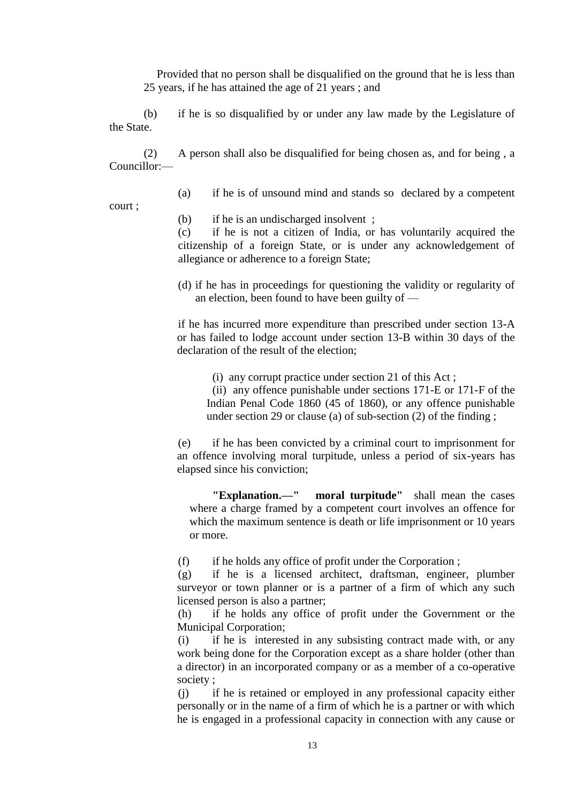Provided that no person shall be disqualified on the ground that he is less than 25 years, if he has attained the age of 21 years ; and

(b) if he is so disqualified by or under any law made by the Legislature of the State.

(2) A person shall also be disqualified for being chosen as, and for being , a Councillor:—

(a) if he is of unsound mind and stands so declared by a competent

court ;

(b) if he is an undischarged insolvent ;

(c) if he is not a citizen of India, or has voluntarily acquired the citizenship of a foreign State, or is under any acknowledgement of allegiance or adherence to a foreign State;

(d) if he has in proceedings for questioning the validity or regularity of an election, been found to have been guilty of —

if he has incurred more expenditure than prescribed under section 13-A or has failed to lodge account under section 13-B within 30 days of the declaration of the result of the election;

(i) any corrupt practice under section 21 of this Act ;

(ii) any offence punishable under sections 171-E or 171-F of the Indian Penal Code 1860 (45 of 1860), or any offence punishable under section 29 or clause (a) of sub-section (2) of the finding ;

(e) if he has been convicted by a criminal court to imprisonment for an offence involving moral turpitude, unless a period of six-years has elapsed since his conviction;

**"Explanation.—" moral turpitude"** shall mean the cases where a charge framed by a competent court involves an offence for which the maximum sentence is death or life imprisonment or 10 years or more.

(f) if he holds any office of profit under the Corporation ;

(g) if he is a licensed architect, draftsman, engineer, plumber surveyor or town planner or is a partner of a firm of which any such licensed person is also a partner;

(h) if he holds any office of profit under the Government or the Municipal Corporation;

(i) if he is interested in any subsisting contract made with, or any work being done for the Corporation except as a share holder (other than a director) in an incorporated company or as a member of a co-operative society ;

(j) if he is retained or employed in any professional capacity either personally or in the name of a firm of which he is a partner or with which he is engaged in a professional capacity in connection with any cause or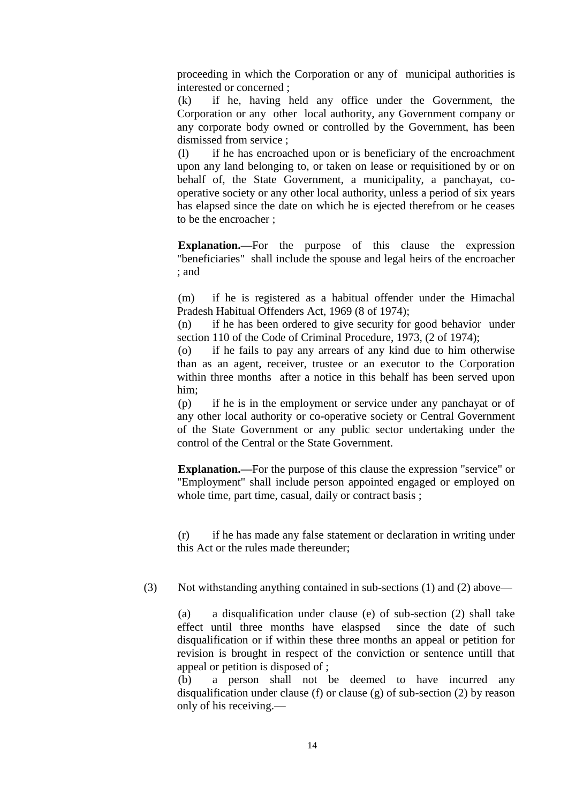proceeding in which the Corporation or any of municipal authorities is interested or concerned ;

(k) if he, having held any office under the Government, the Corporation or any other local authority, any Government company or any corporate body owned or controlled by the Government, has been dismissed from service ;

(l) if he has encroached upon or is beneficiary of the encroachment upon any land belonging to, or taken on lease or requisitioned by or on behalf of, the State Government, a municipality, a panchayat, cooperative society or any other local authority, unless a period of six years has elapsed since the date on which he is ejected therefrom or he ceases to be the encroacher ;

**Explanation.—**For the purpose of this clause the expression "beneficiaries" shall include the spouse and legal heirs of the encroacher ; and

(m) if he is registered as a habitual offender under the Himachal Pradesh Habitual Offenders Act, 1969 (8 of 1974);

(n) if he has been ordered to give security for good behavior under section 110 of the Code of Criminal Procedure, 1973, (2 of 1974);

(o) if he fails to pay any arrears of any kind due to him otherwise than as an agent, receiver, trustee or an executor to the Corporation within three months after a notice in this behalf has been served upon him;

(p) if he is in the employment or service under any panchayat or of any other local authority or co-operative society or Central Government of the State Government or any public sector undertaking under the control of the Central or the State Government.

**Explanation.—**For the purpose of this clause the expression "service" or "Employment" shall include person appointed engaged or employed on whole time, part time, casual, daily or contract basis ;

(r) if he has made any false statement or declaration in writing under this Act or the rules made thereunder;

(3) Not withstanding anything contained in sub-sections (1) and (2) above—

(a) a disqualification under clause (e) of sub-section (2) shall take effect until three months have elaspsed since the date of such disqualification or if within these three months an appeal or petition for revision is brought in respect of the conviction or sentence untill that appeal or petition is disposed of ;

(b) a person shall not be deemed to have incurred any disqualification under clause (f) or clause (g) of sub-section (2) by reason only of his receiving.—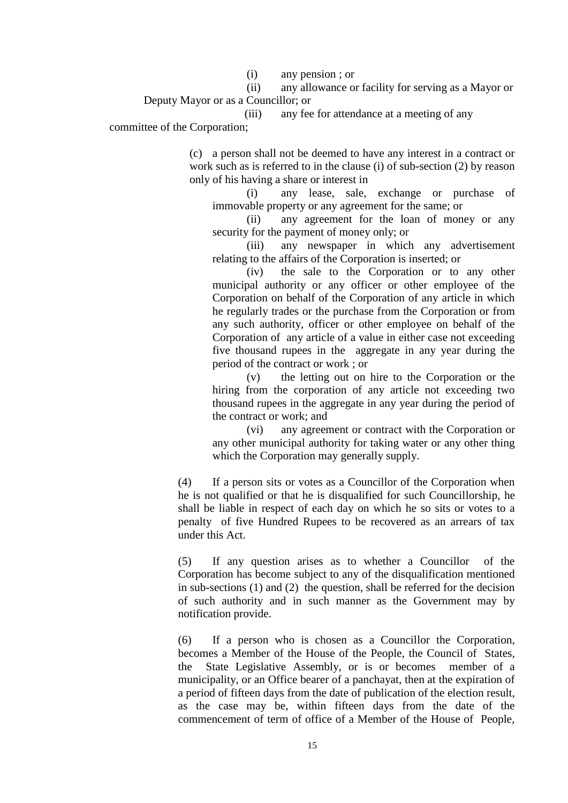(i) any pension ; or

(ii) any allowance or facility for serving as a Mayor or Deputy Mayor or as a Councillor; or

(iii) any fee for attendance at a meeting of any

committee of the Corporation;

(c) a person shall not be deemed to have any interest in a contract or work such as is referred to in the clause (i) of sub-section (2) by reason only of his having a share or interest in

(i) any lease, sale, exchange or purchase of immovable property or any agreement for the same; or

(ii) any agreement for the loan of money or any security for the payment of money only; or

(iii) any newspaper in which any advertisement relating to the affairs of the Corporation is inserted; or

(iv) the sale to the Corporation or to any other municipal authority or any officer or other employee of the Corporation on behalf of the Corporation of any article in which he regularly trades or the purchase from the Corporation or from any such authority, officer or other employee on behalf of the Corporation of any article of a value in either case not exceeding five thousand rupees in the aggregate in any year during the period of the contract or work ; or

(v) the letting out on hire to the Corporation or the hiring from the corporation of any article not exceeding two thousand rupees in the aggregate in any year during the period of the contract or work; and

(vi) any agreement or contract with the Corporation or any other municipal authority for taking water or any other thing which the Corporation may generally supply.

(4) If a person sits or votes as a Councillor of the Corporation when he is not qualified or that he is disqualified for such Councillorship, he shall be liable in respect of each day on which he so sits or votes to a penalty of five Hundred Rupees to be recovered as an arrears of tax under this Act.

(5) If any question arises as to whether a Councillor of the Corporation has become subject to any of the disqualification mentioned in sub-sections (1) and (2) the question, shall be referred for the decision of such authority and in such manner as the Government may by notification provide.

(6) If a person who is chosen as a Councillor the Corporation, becomes a Member of the House of the People, the Council of States, the State Legislative Assembly, or is or becomes member of a municipality, or an Office bearer of a panchayat, then at the expiration of a period of fifteen days from the date of publication of the election result, as the case may be, within fifteen days from the date of the commencement of term of office of a Member of the House of People,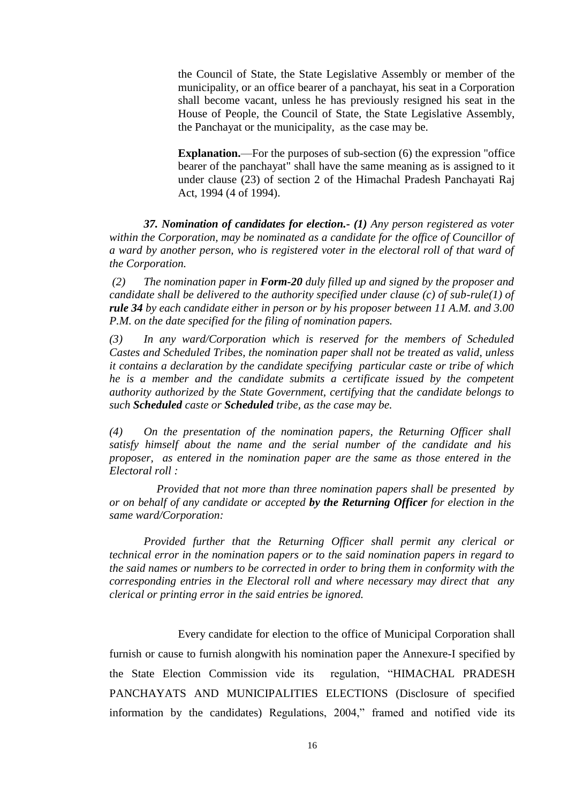the Council of State, the State Legislative Assembly or member of the municipality, or an office bearer of a panchayat, his seat in a Corporation shall become vacant, unless he has previously resigned his seat in the House of People, the Council of State, the State Legislative Assembly, the Panchayat or the municipality, as the case may be.

**Explanation.**—For the purposes of sub-section (6) the expression "office bearer of the panchayat" shall have the same meaning as is assigned to it under clause (23) of section 2 of the Himachal Pradesh Panchayati Raj Act, 1994 (4 of 1994).

*37. Nomination of candidates for election.- (1) Any person registered as voter within the Corporation, may be nominated as a candidate for the office of Councillor of a ward by another person, who is registered voter in the electoral roll of that ward of the Corporation.*

*(2) The nomination paper in Form-20 duly filled up and signed by the proposer and candidate shall be delivered to the authority specified under clause (c) of sub-rule(1) of rule 34 by each candidate either in person or by his proposer between 11 A.M. and 3.00 P.M. on the date specified for the filing of nomination papers.*

*(3) In any ward/Corporation which is reserved for the members of Scheduled Castes and Scheduled Tribes, the nomination paper shall not be treated as valid, unless it contains a declaration by the candidate specifying particular caste or tribe of which he is a member and the candidate submits a certificate issued by the competent authority authorized by the State Government, certifying that the candidate belongs to such Scheduled caste or Scheduled tribe, as the case may be.*

*(4) On the presentation of the nomination papers, the Returning Officer shall satisfy himself about the name and the serial number of the candidate and his proposer, as entered in the nomination paper are the same as those entered in the Electoral roll :* 

*Provided that not more than three nomination papers shall be presented by or on behalf of any candidate or accepted by the Returning Officer for election in the same ward/Corporation:*

*Provided further that the Returning Officer shall permit any clerical or technical error in the nomination papers or to the said nomination papers in regard to the said names or numbers to be corrected in order to bring them in conformity with the corresponding entries in the Electoral roll and where necessary may direct that any clerical or printing error in the said entries be ignored.*

Every candidate for election to the office of Municipal Corporation shall

furnish or cause to furnish alongwith his nomination paper the Annexure-I specified by the State Election Commission vide its regulation, "HIMACHAL PRADESH PANCHAYATS AND MUNICIPALITIES ELECTIONS (Disclosure of specified information by the candidates) Regulations, 2004," framed and notified vide its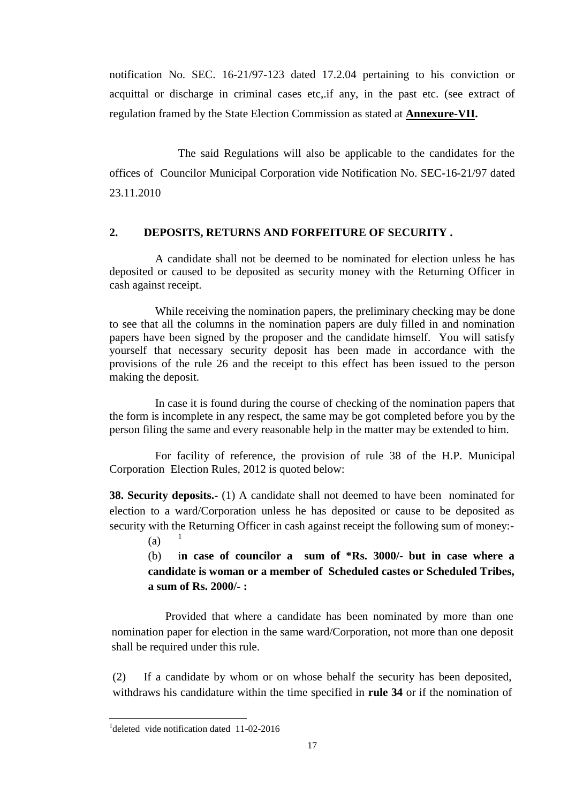notification No. SEC. 16-21/97-123 dated 17.2.04 pertaining to his conviction or acquittal or discharge in criminal cases etc,.if any, in the past etc. (see extract of regulation framed by the State Election Commission as stated at **Annexure-VII.**

The said Regulations will also be applicable to the candidates for the offices of Councilor Municipal Corporation vide Notification No. SEC-16-21/97 dated 23.11.2010

# **2. DEPOSITS, RETURNS AND FORFEITURE OF SECURITY .**

A candidate shall not be deemed to be nominated for election unless he has deposited or caused to be deposited as security money with the Returning Officer in cash against receipt.

While receiving the nomination papers, the preliminary checking may be done to see that all the columns in the nomination papers are duly filled in and nomination papers have been signed by the proposer and the candidate himself. You will satisfy yourself that necessary security deposit has been made in accordance with the provisions of the rule 26 and the receipt to this effect has been issued to the person making the deposit.

In case it is found during the course of checking of the nomination papers that the form is incomplete in any respect, the same may be got completed before you by the person filing the same and every reasonable help in the matter may be extended to him.

For facility of reference, the provision of rule 38 of the H.P. Municipal Corporation Election Rules, 2012 is quoted below:

**38. Security deposits.-** (1) A candidate shall not deemed to have been nominated for election to a ward/Corporation unless he has deposited or cause to be deposited as security with the Returning Officer in cash against receipt the following sum of money:-

 $(a)$ 

-

(b) i**n case of councilor a sum of \*Rs. 3000/- but in case where a candidate is woman or a member of Scheduled castes or Scheduled Tribes, a sum of Rs. 2000/- :**

Provided that where a candidate has been nominated by more than one nomination paper for election in the same ward/Corporation, not more than one deposit shall be required under this rule.

(2) If a candidate by whom or on whose behalf the security has been deposited, withdraws his candidature within the time specified in **rule 34** or if the nomination of

<sup>&</sup>lt;sup>1</sup>deleted vide notification dated 11-02-2016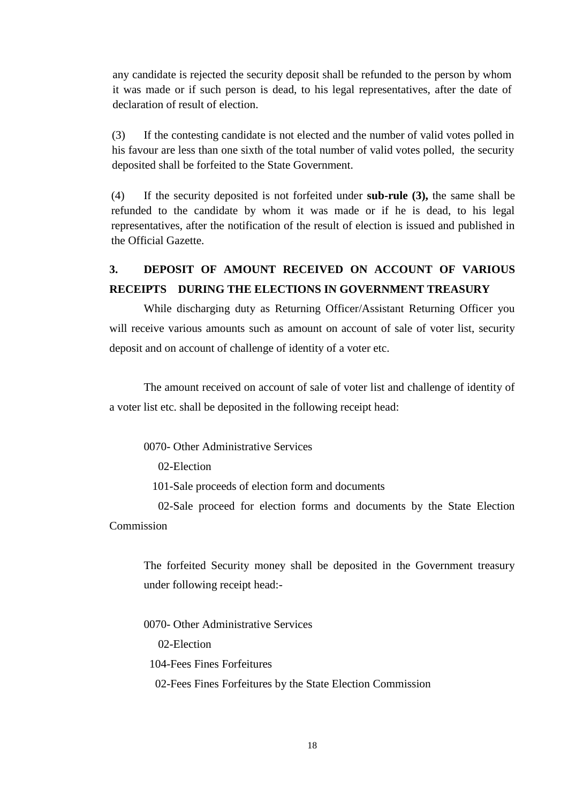any candidate is rejected the security deposit shall be refunded to the person by whom it was made or if such person is dead, to his legal representatives, after the date of declaration of result of election.

(3) If the contesting candidate is not elected and the number of valid votes polled in his favour are less than one sixth of the total number of valid votes polled, the security deposited shall be forfeited to the State Government.

(4) If the security deposited is not forfeited under **sub-rule (3),** the same shall be refunded to the candidate by whom it was made or if he is dead, to his legal representatives, after the notification of the result of election is issued and published in the Official Gazette.

# **3. DEPOSIT OF AMOUNT RECEIVED ON ACCOUNT OF VARIOUS RECEIPTS DURING THE ELECTIONS IN GOVERNMENT TREASURY**

While discharging duty as Returning Officer/Assistant Returning Officer you will receive various amounts such as amount on account of sale of voter list, security deposit and on account of challenge of identity of a voter etc.

The amount received on account of sale of voter list and challenge of identity of a voter list etc. shall be deposited in the following receipt head:

0070- Other Administrative Services

02-Election

101-Sale proceeds of election form and documents

 02-Sale proceed for election forms and documents by the State Election Commission

The forfeited Security money shall be deposited in the Government treasury under following receipt head:-

0070- Other Administrative Services

02-Election

104-Fees Fines Forfeitures

02-Fees Fines Forfeitures by the State Election Commission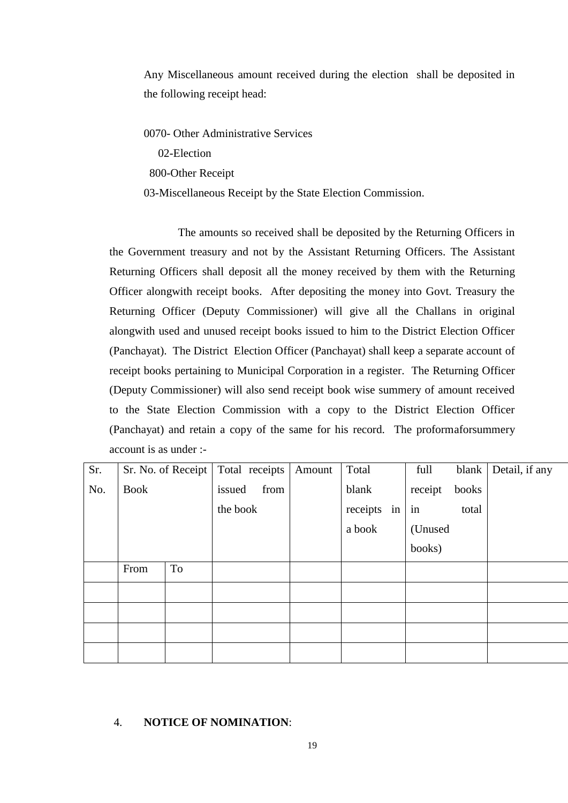Any Miscellaneous amount received during the election shall be deposited in the following receipt head:

0070- Other Administrative Services

02-Election

800-Other Receipt

03-Miscellaneous Receipt by the State Election Commission.

The amounts so received shall be deposited by the Returning Officers in the Government treasury and not by the Assistant Returning Officers. The Assistant Returning Officers shall deposit all the money received by them with the Returning Officer alongwith receipt books. After depositing the money into Govt. Treasury the Returning Officer (Deputy Commissioner) will give all the Challans in original alongwith used and unused receipt books issued to him to the District Election Officer (Panchayat). The District Election Officer (Panchayat) shall keep a separate account of receipt books pertaining to Municipal Corporation in a register. The Returning Officer (Deputy Commissioner) will also send receipt book wise summery of amount received to the State Election Commission with a copy to the District Election Officer (Panchayat) and retain a copy of the same for his record. The proformaforsummery account is as under :-

| Sr. | Sr. No. of Receipt |    | Total receipts |      | Amount | Total    |    | full    | blank | Detail, if any |
|-----|--------------------|----|----------------|------|--------|----------|----|---------|-------|----------------|
| No. | <b>Book</b>        |    | issued         | from |        | blank    |    | receipt | books |                |
|     |                    |    | the book       |      |        | receipts | in | in      | total |                |
|     |                    |    |                |      |        | a book   |    | (Unused |       |                |
|     |                    |    |                |      |        |          |    | books)  |       |                |
|     | From               | To |                |      |        |          |    |         |       |                |
|     |                    |    |                |      |        |          |    |         |       |                |
|     |                    |    |                |      |        |          |    |         |       |                |
|     |                    |    |                |      |        |          |    |         |       |                |
|     |                    |    |                |      |        |          |    |         |       |                |

### 4. **NOTICE OF NOMINATION**: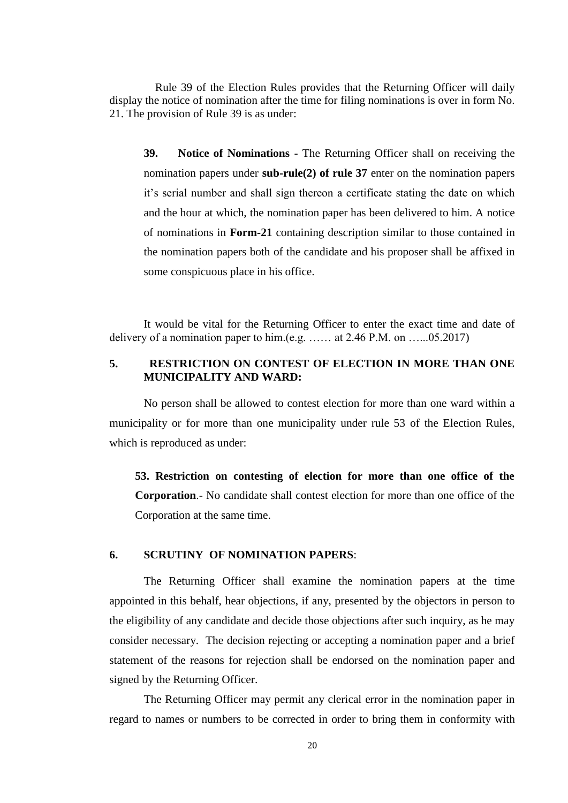Rule 39 of the Election Rules provides that the Returning Officer will daily display the notice of nomination after the time for filing nominations is over in form No. 21. The provision of Rule 39 is as under:

**39. Notice of Nominations -** The Returning Officer shall on receiving the nomination papers under **sub-rule(2) of rule 37** enter on the nomination papers it's serial number and shall sign thereon a certificate stating the date on which and the hour at which, the nomination paper has been delivered to him. A notice of nominations in **Form-21** containing description similar to those contained in the nomination papers both of the candidate and his proposer shall be affixed in some conspicuous place in his office.

It would be vital for the Returning Officer to enter the exact time and date of delivery of a nomination paper to him.(e.g. …… at 2.46 P.M. on …...05.2017)

# **5. RESTRICTION ON CONTEST OF ELECTION IN MORE THAN ONE MUNICIPALITY AND WARD:**

No person shall be allowed to contest election for more than one ward within a municipality or for more than one municipality under rule 53 of the Election Rules, which is reproduced as under:

**53. Restriction on contesting of election for more than one office of the Corporation**.- No candidate shall contest election for more than one office of the Corporation at the same time.

#### **6. SCRUTINY OF NOMINATION PAPERS**:

The Returning Officer shall examine the nomination papers at the time appointed in this behalf, hear objections, if any, presented by the objectors in person to the eligibility of any candidate and decide those objections after such inquiry, as he may consider necessary. The decision rejecting or accepting a nomination paper and a brief statement of the reasons for rejection shall be endorsed on the nomination paper and signed by the Returning Officer.

The Returning Officer may permit any clerical error in the nomination paper in regard to names or numbers to be corrected in order to bring them in conformity with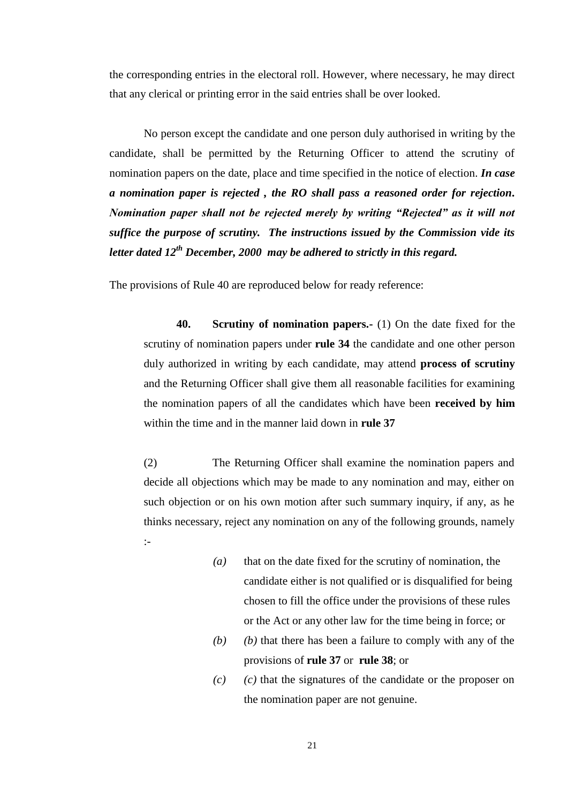the corresponding entries in the electoral roll. However, where necessary, he may direct that any clerical or printing error in the said entries shall be over looked.

No person except the candidate and one person duly authorised in writing by the candidate, shall be permitted by the Returning Officer to attend the scrutiny of nomination papers on the date, place and time specified in the notice of election. *In case a nomination paper is rejected , the RO shall pass a reasoned order for rejection. Nomination paper shall not be rejected merely by writing "Rejected" as it will not suffice the purpose of scrutiny. The instructions issued by the Commission vide its letter dated 12th December, 2000 may be adhered to strictly in this regard.*

The provisions of Rule 40 are reproduced below for ready reference:

**40. Scrutiny of nomination papers.-** (1) On the date fixed for the scrutiny of nomination papers under **rule 34** the candidate and one other person duly authorized in writing by each candidate, may attend **process of scrutiny** and the Returning Officer shall give them all reasonable facilities for examining the nomination papers of all the candidates which have been **received by him** within the time and in the manner laid down in **rule 37**

(2) The Returning Officer shall examine the nomination papers and decide all objections which may be made to any nomination and may, either on such objection or on his own motion after such summary inquiry, if any, as he thinks necessary, reject any nomination on any of the following grounds, namely :-

- *(a)* that on the date fixed for the scrutiny of nomination, the candidate either is not qualified or is disqualified for being chosen to fill the office under the provisions of these rules or the Act or any other law for the time being in force; or
- *(b) (b)* that there has been a failure to comply with any of the provisions of **rule 37** or **rule 38**; or
- *(c) (c)* that the signatures of the candidate or the proposer on the nomination paper are not genuine.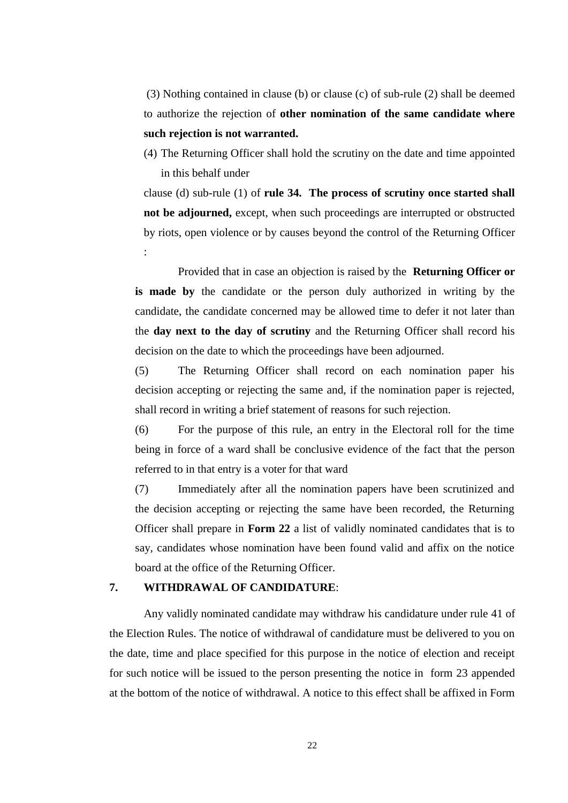(3) Nothing contained in clause (b) or clause (c) of sub-rule (2) shall be deemed to authorize the rejection of **other nomination of the same candidate where such rejection is not warranted.**

(4) The Returning Officer shall hold the scrutiny on the date and time appointed in this behalf under

clause (d) sub-rule (1) of **rule 34. The process of scrutiny once started shall not be adjourned,** except, when such proceedings are interrupted or obstructed by riots, open violence or by causes beyond the control of the Returning Officer :

Provided that in case an objection is raised by the **Returning Officer or is made by** the candidate or the person duly authorized in writing by the candidate, the candidate concerned may be allowed time to defer it not later than the **day next to the day of scrutiny** and the Returning Officer shall record his decision on the date to which the proceedings have been adjourned.

(5) The Returning Officer shall record on each nomination paper his decision accepting or rejecting the same and, if the nomination paper is rejected, shall record in writing a brief statement of reasons for such rejection.

(6) For the purpose of this rule, an entry in the Electoral roll for the time being in force of a ward shall be conclusive evidence of the fact that the person referred to in that entry is a voter for that ward

(7) Immediately after all the nomination papers have been scrutinized and the decision accepting or rejecting the same have been recorded, the Returning Officer shall prepare in **Form 22** a list of validly nominated candidates that is to say, candidates whose nomination have been found valid and affix on the notice board at the office of the Returning Officer.

### **7. WITHDRAWAL OF CANDIDATURE**:

Any validly nominated candidate may withdraw his candidature under rule 41 of the Election Rules. The notice of withdrawal of candidature must be delivered to you on the date, time and place specified for this purpose in the notice of election and receipt for such notice will be issued to the person presenting the notice in form 23 appended at the bottom of the notice of withdrawal. A notice to this effect shall be affixed in Form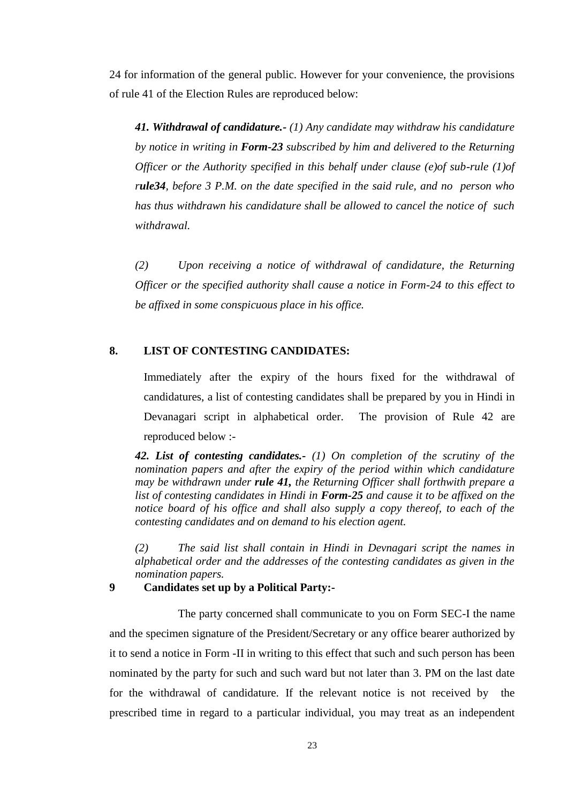24 for information of the general public. However for your convenience, the provisions of rule 41 of the Election Rules are reproduced below:

*41. Withdrawal of candidature.- (1) Any candidate may withdraw his candidature by notice in writing in Form-23 subscribed by him and delivered to the Returning Officer or the Authority specified in this behalf under clause (e)of sub-rule (1)of rule34, before 3 P.M. on the date specified in the said rule, and no person who has thus withdrawn his candidature shall be allowed to cancel the notice of such withdrawal.*

*(2) Upon receiving a notice of withdrawal of candidature, the Returning Officer or the specified authority shall cause a notice in Form-24 to this effect to be affixed in some conspicuous place in his office.* 

# **8. LIST OF CONTESTING CANDIDATES:**

Immediately after the expiry of the hours fixed for the withdrawal of candidatures, a list of contesting candidates shall be prepared by you in Hindi in Devanagari script in alphabetical order. The provision of Rule 42 are reproduced below :-

*42. List of contesting candidates.- (1) On completion of the scrutiny of the nomination papers and after the expiry of the period within which candidature may be withdrawn under rule 41, the Returning Officer shall forthwith prepare a list of contesting candidates in Hindi in Form-25 and cause it to be affixed on the notice board of his office and shall also supply a copy thereof, to each of the contesting candidates and on demand to his election agent.*

*(2) The said list shall contain in Hindi in Devnagari script the names in alphabetical order and the addresses of the contesting candidates as given in the nomination papers.*

**9 Candidates set up by a Political Party:-**

The party concerned shall communicate to you on Form SEC-I the name and the specimen signature of the President/Secretary or any office bearer authorized by it to send a notice in Form -II in writing to this effect that such and such person has been nominated by the party for such and such ward but not later than 3. PM on the last date for the withdrawal of candidature. If the relevant notice is not received by the prescribed time in regard to a particular individual, you may treat as an independent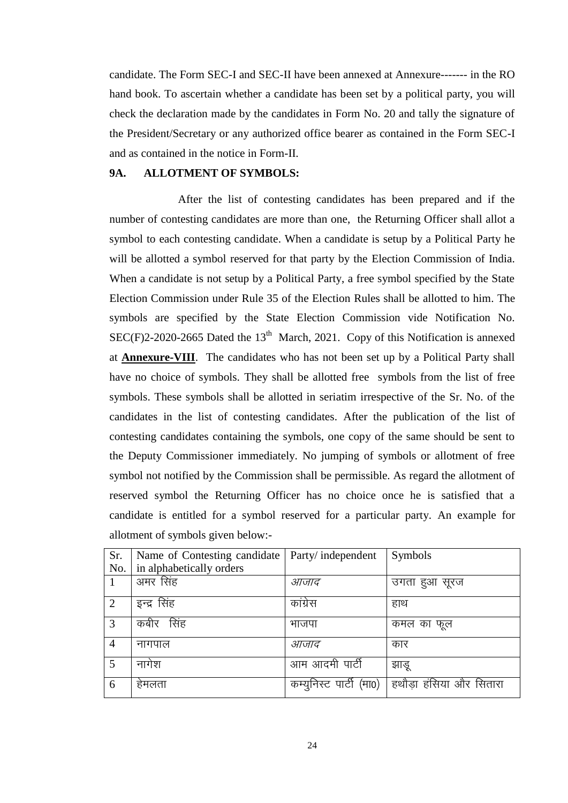candidate. The Form SEC-I and SEC-II have been annexed at Annexure------- in the RO hand book. To ascertain whether a candidate has been set by a political party, you will check the declaration made by the candidates in Form No. 20 and tally the signature of the President/Secretary or any authorized office bearer as contained in the Form SEC-I and as contained in the notice in Form-II.

# **9A. ALLOTMENT OF SYMBOLS:**

After the list of contesting candidates has been prepared and if the number of contesting candidates are more than one, the Returning Officer shall allot a symbol to each contesting candidate. When a candidate is setup by a Political Party he will be allotted a symbol reserved for that party by the Election Commission of India. When a candidate is not setup by a Political Party, a free symbol specified by the State Election Commission under Rule 35 of the Election Rules shall be allotted to him. The symbols are specified by the State Election Commission vide Notification No.  $SEC(F)2-2020-2665$  Dated the  $13<sup>th</sup>$  March, 2021. Copy of this Notification is annexed at **Annexure-VIII**. The candidates who has not been set up by a Political Party shall have no choice of symbols. They shall be allotted free symbols from the list of free symbols. These symbols shall be allotted in seriatim irrespective of the Sr. No. of the candidates in the list of contesting candidates. After the publication of the list of contesting candidates containing the symbols, one copy of the same should be sent to the Deputy Commissioner immediately. No jumping of symbols or allotment of free symbol not notified by the Commission shall be permissible. As regard the allotment of reserved symbol the Returning Officer has no choice once he is satisfied that a candidate is entitled for a symbol reserved for a particular party. An example for allotment of symbols given below:-

| Sr.            | Name of Contesting candidate | Party/independent          | Symbols                |
|----------------|------------------------------|----------------------------|------------------------|
| No.            | in alphabetically orders     |                            |                        |
|                | अमर सिंह                     | आजाद                       | उगता हुआ सूरज          |
| $\overline{2}$ | इन्द्र सिंह                  | कांग्रेस                   | हाथ                    |
| 3              | कबीर सिंह                    | भाजपा                      | कमल का फूल             |
| 4              | नागपाल                       | आजाद                       | कार                    |
| 5              | नागेश                        | आम आदमी पार्टी             | झाडू                   |
| 6              | हेमलता                       | पार्टी (मा0)<br>कम्युनिस्ट | हथौडा हंसिया और सितारा |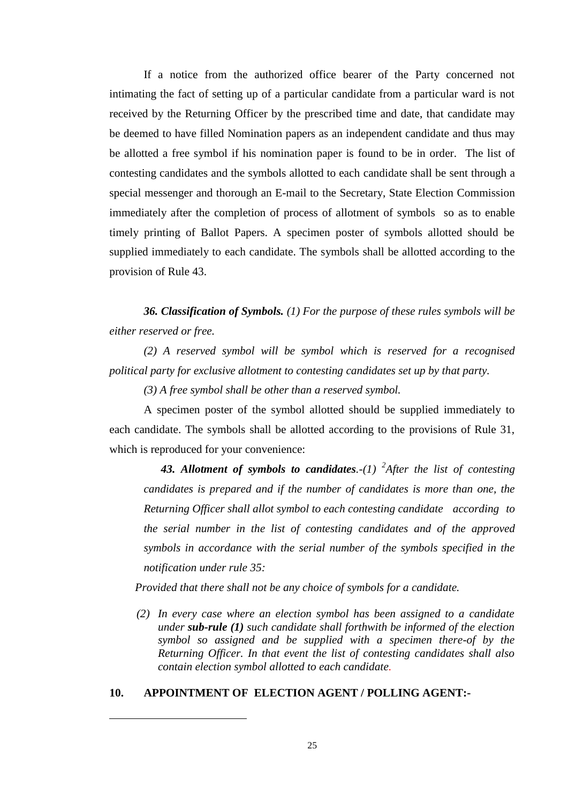If a notice from the authorized office bearer of the Party concerned not intimating the fact of setting up of a particular candidate from a particular ward is not received by the Returning Officer by the prescribed time and date, that candidate may be deemed to have filled Nomination papers as an independent candidate and thus may be allotted a free symbol if his nomination paper is found to be in order. The list of contesting candidates and the symbols allotted to each candidate shall be sent through a special messenger and thorough an E-mail to the Secretary, State Election Commission immediately after the completion of process of allotment of symbols so as to enable timely printing of Ballot Papers. A specimen poster of symbols allotted should be supplied immediately to each candidate. The symbols shall be allotted according to the provision of Rule 43.

*36. Classification of Symbols. (1) For the purpose of these rules symbols will be either reserved or free.*

*(2) A reserved symbol will be symbol which is reserved for a recognised political party for exclusive allotment to contesting candidates set up by that party.*

*(3) A free symbol shall be other than a reserved symbol.* 

A specimen poster of the symbol allotted should be supplied immediately to each candidate. The symbols shall be allotted according to the provisions of Rule 31, which is reproduced for your convenience:

*43. Allotment of symbols to candidates.-(1) <sup>2</sup> After the list of contesting candidates is prepared and if the number of candidates is more than one, the Returning Officer shall allot symbol to each contesting candidate according to the serial number in the list of contesting candidates and of the approved symbols in accordance with the serial number of the symbols specified in the notification under rule 35:*

*Provided that there shall not be any choice of symbols for a candidate.*

*(2) In every case where an election symbol has been assigned to a candidate under sub-rule (1) such candidate shall forthwith be informed of the election symbol so assigned and be supplied with a specimen there-of by the Returning Officer. In that event the list of contesting candidates shall also contain election symbol allotted to each candidate.*

### **10. APPOINTMENT OF ELECTION AGENT / POLLING AGENT:-**

-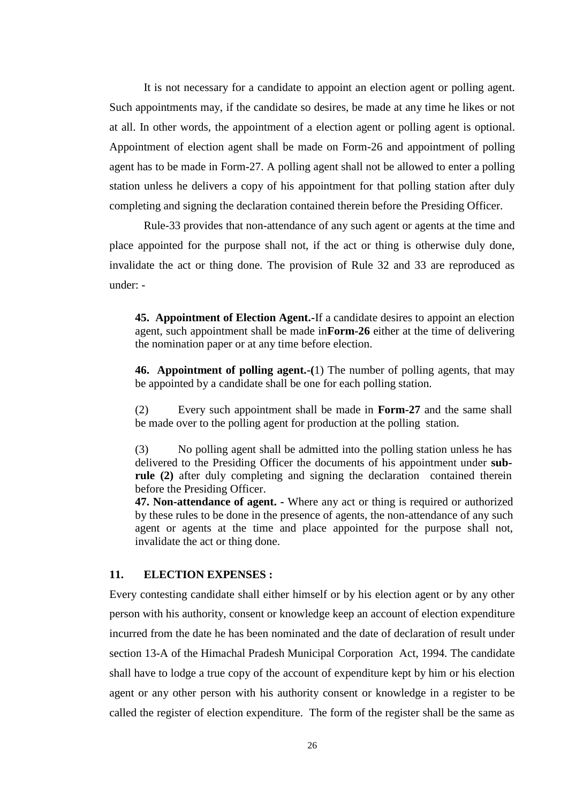It is not necessary for a candidate to appoint an election agent or polling agent. Such appointments may, if the candidate so desires, be made at any time he likes or not at all. In other words, the appointment of a election agent or polling agent is optional. Appointment of election agent shall be made on Form-26 and appointment of polling agent has to be made in Form-27. A polling agent shall not be allowed to enter a polling station unless he delivers a copy of his appointment for that polling station after duly completing and signing the declaration contained therein before the Presiding Officer.

Rule-33 provides that non-attendance of any such agent or agents at the time and place appointed for the purpose shall not, if the act or thing is otherwise duly done, invalidate the act or thing done. The provision of Rule 32 and 33 are reproduced as under: -

**45. Appointment of Election Agent.-**If a candidate desires to appoint an election agent, such appointment shall be made in**Form-26** either at the time of delivering the nomination paper or at any time before election.

**46. Appointment of polling agent.-(**1) The number of polling agents, that may be appointed by a candidate shall be one for each polling station.

(2) Every such appointment shall be made in **Form-27** and the same shall be made over to the polling agent for production at the polling station.

(3) No polling agent shall be admitted into the polling station unless he has delivered to the Presiding Officer the documents of his appointment under **subrule (2)** after duly completing and signing the declaration contained therein before the Presiding Officer.

**47. Non-attendance of agent. -** Where any act or thing is required or authorized by these rules to be done in the presence of agents, the non-attendance of any such agent or agents at the time and place appointed for the purpose shall not, invalidate the act or thing done.

## **11. ELECTION EXPENSES :**

Every contesting candidate shall either himself or by his election agent or by any other person with his authority, consent or knowledge keep an account of election expenditure incurred from the date he has been nominated and the date of declaration of result under section 13-A of the Himachal Pradesh Municipal Corporation Act, 1994. The candidate shall have to lodge a true copy of the account of expenditure kept by him or his election agent or any other person with his authority consent or knowledge in a register to be called the register of election expenditure. The form of the register shall be the same as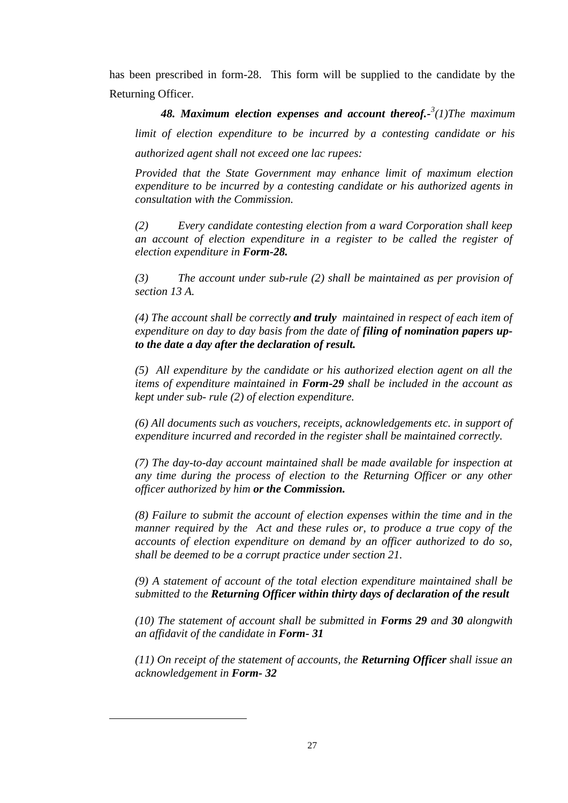has been prescribed in form-28. This form will be supplied to the candidate by the Returning Officer.

*48. Maximum election expenses and account thereof.- 3 (1)The maximum limit of election expenditure to be incurred by a contesting candidate or his authorized agent shall not exceed one lac rupees:*

*Provided that the State Government may enhance limit of maximum election expenditure to be incurred by a contesting candidate or his authorized agents in consultation with the Commission.*

*(2) Every candidate contesting election from a ward Corporation shall keep an account of election expenditure in a register to be called the register of election expenditure in Form-28.*

*(3) The account under sub-rule (2) shall be maintained as per provision of section 13 A.*

*(4) The account shall be correctly and truly maintained in respect of each item of expenditure on day to day basis from the date of filing of nomination papers upto the date a day after the declaration of result.*

*(5) All expenditure by the candidate or his authorized election agent on all the items of expenditure maintained in Form-29 shall be included in the account as kept under sub- rule (2) of election expenditure.*

*(6) All documents such as vouchers, receipts, acknowledgements etc. in support of expenditure incurred and recorded in the register shall be maintained correctly.*

*(7) The day-to-day account maintained shall be made available for inspection at any time during the process of election to the Returning Officer or any other officer authorized by him or the Commission.*

*(8) Failure to submit the account of election expenses within the time and in the manner required by the Act and these rules or, to produce a true copy of the accounts of election expenditure on demand by an officer authorized to do so, shall be deemed to be a corrupt practice under section 21.*

*(9) A statement of account of the total election expenditure maintained shall be submitted to the Returning Officer within thirty days of declaration of the result*

*(10) The statement of account shall be submitted in Forms 29 and 30 alongwith an affidavit of the candidate in Form- 31*

*(11) On receipt of the statement of accounts, the Returning Officer shall issue an acknowledgement in Form- 32*

-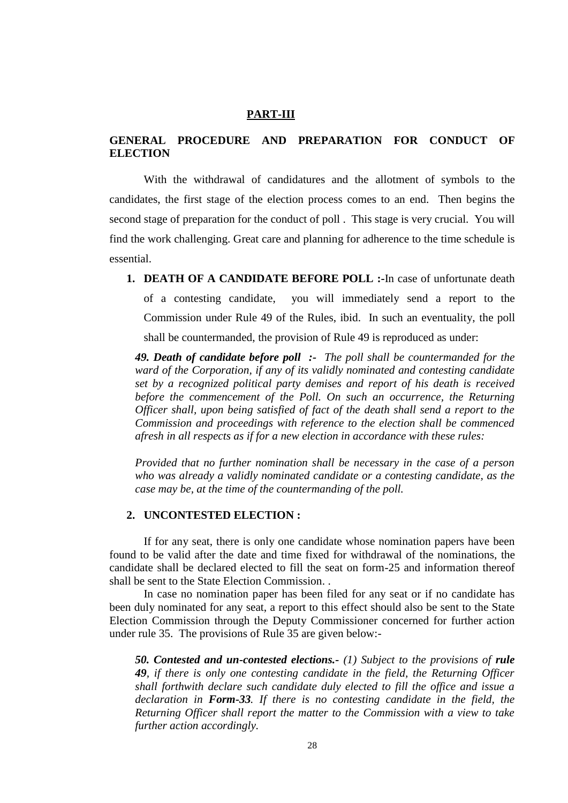## **PART-III**

# **GENERAL PROCEDURE AND PREPARATION FOR CONDUCT OF ELECTION**

With the withdrawal of candidatures and the allotment of symbols to the candidates, the first stage of the election process comes to an end. Then begins the second stage of preparation for the conduct of poll . This stage is very crucial. You will find the work challenging. Great care and planning for adherence to the time schedule is essential.

**1. DEATH OF A CANDIDATE BEFORE POLL :-**In case of unfortunate death of a contesting candidate, you will immediately send a report to the Commission under Rule 49 of the Rules, ibid. In such an eventuality, the poll shall be countermanded, the provision of Rule 49 is reproduced as under:

*49. Death of candidate before poll :- The poll shall be countermanded for the ward of the Corporation, if any of its validly nominated and contesting candidate set by a recognized political party demises and report of his death is received before the commencement of the Poll. On such an occurrence, the Returning Officer shall, upon being satisfied of fact of the death shall send a report to the Commission and proceedings with reference to the election shall be commenced afresh in all respects as if for a new election in accordance with these rules:*

*Provided that no further nomination shall be necessary in the case of a person who was already a validly nominated candidate or a contesting candidate, as the case may be, at the time of the countermanding of the poll.*

### **2. UNCONTESTED ELECTION :**

If for any seat, there is only one candidate whose nomination papers have been found to be valid after the date and time fixed for withdrawal of the nominations, the candidate shall be declared elected to fill the seat on form-25 and information thereof shall be sent to the State Election Commission. .

In case no nomination paper has been filed for any seat or if no candidate has been duly nominated for any seat, a report to this effect should also be sent to the State Election Commission through the Deputy Commissioner concerned for further action under rule 35. The provisions of Rule 35 are given below:-

*50. Contested and un-contested elections.- (1) Subject to the provisions of rule 49, if there is only one contesting candidate in the field, the Returning Officer shall forthwith declare such candidate duly elected to fill the office and issue a declaration in Form-33. If there is no contesting candidate in the field, the Returning Officer shall report the matter to the Commission with a view to take further action accordingly.*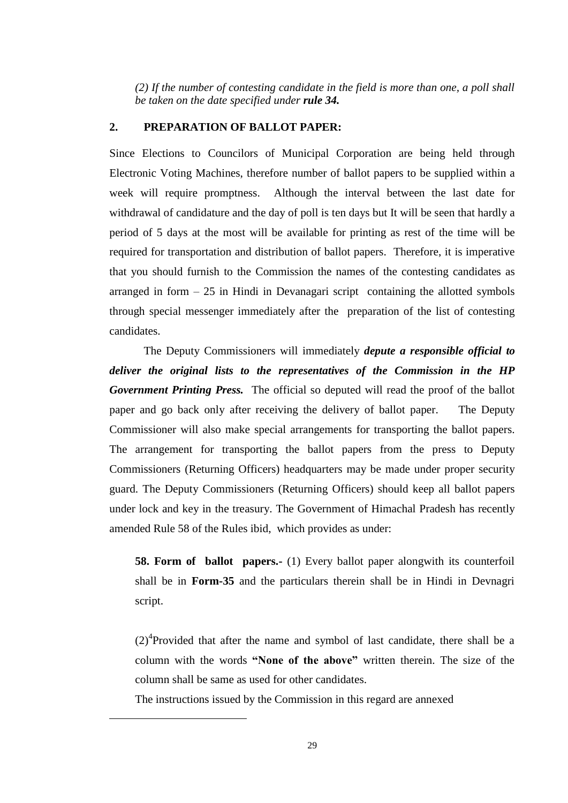*(2) If the number of contesting candidate in the field is more than one, a poll shall be taken on the date specified under rule 34.*

## **2. PREPARATION OF BALLOT PAPER:**

Since Elections to Councilors of Municipal Corporation are being held through Electronic Voting Machines, therefore number of ballot papers to be supplied within a week will require promptness. Although the interval between the last date for withdrawal of candidature and the day of poll is ten days but It will be seen that hardly a period of 5 days at the most will be available for printing as rest of the time will be required for transportation and distribution of ballot papers. Therefore, it is imperative that you should furnish to the Commission the names of the contesting candidates as arranged in form  $-25$  in Hindi in Devanagari script containing the allotted symbols through special messenger immediately after the preparation of the list of contesting candidates.

The Deputy Commissioners will immediately *depute a responsible official to deliver the original lists to the representatives of the Commission in the HP Government Printing Press.* The official so deputed will read the proof of the ballot paper and go back only after receiving the delivery of ballot paper. The Deputy Commissioner will also make special arrangements for transporting the ballot papers. The arrangement for transporting the ballot papers from the press to Deputy Commissioners (Returning Officers) headquarters may be made under proper security guard. The Deputy Commissioners (Returning Officers) should keep all ballot papers under lock and key in the treasury. The Government of Himachal Pradesh has recently amended Rule 58 of the Rules ibid, which provides as under:

**58. Form of ballot papers.**- (1) Every ballot paper alongwith its counterfoil shall be in **Form-35** and the particulars therein shall be in Hindi in Devnagri script.

 $(2)^4$ Provided that after the name and symbol of last candidate, there shall be a column with the words **"None of the above"** written therein. The size of the column shall be same as used for other candidates.

The instructions issued by the Commission in this regard are annexed

-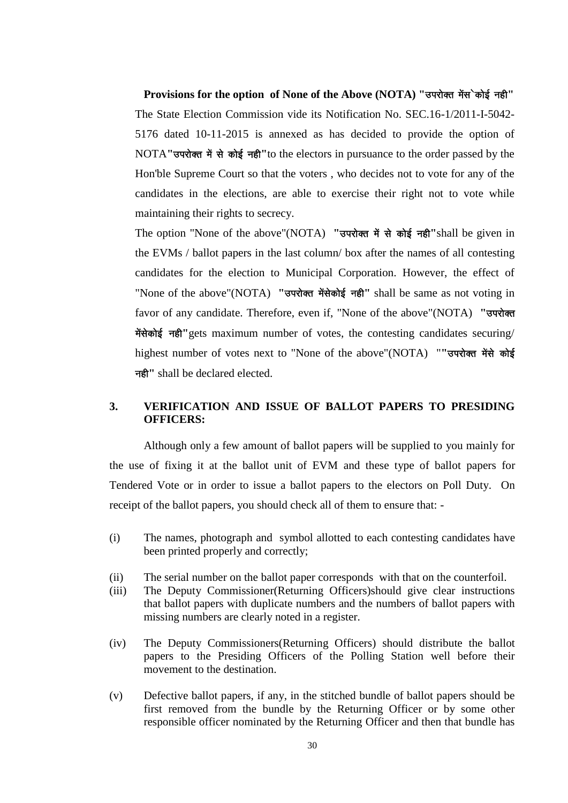Provisions for the option of None of the Above (NOTA) "उपरोक्त मेंस`कोई नही" The State Election Commission vide its Notification No. SEC.16-1/2011-I-5042- 5176 dated 10-11-2015 is annexed as has decided to provide the option of NOTA" उपरोक्त में से कोई नही" to the electors in pursuance to the order passed by the Hon'ble Supreme Court so that the voters , who decides not to vote for any of the candidates in the elections, are able to exercise their right not to vote while maintaining their rights to secrecy.

The option "None of the above"(NOTA) "उपरोक्त में से कोई नही" shall be given in the EVMs / ballot papers in the last column/ box after the names of all contesting candidates for the election to Municipal Corporation. However, the effect of "None of the above"(NOTA) "उपरोक्त मेंसेकोई नही" shall be same as not voting in favor of any candidate. Therefore, even if, "None of the above"(NOTA) "उपरोक्त मेंसेकोई नही" gets maximum number of votes, the contesting candidates securing/ highest number of votes next to "None of the above"(NOTA) ""उपरोक्त मेंसे कोई नही'' shall be declared elected.

# **3. VERIFICATION AND ISSUE OF BALLOT PAPERS TO PRESIDING OFFICERS:**

Although only a few amount of ballot papers will be supplied to you mainly for the use of fixing it at the ballot unit of EVM and these type of ballot papers for Tendered Vote or in order to issue a ballot papers to the electors on Poll Duty. On receipt of the ballot papers, you should check all of them to ensure that: -

- (i) The names, photograph and symbol allotted to each contesting candidates have been printed properly and correctly;
- (ii) The serial number on the ballot paper corresponds with that on the counterfoil.
- (iii) The Deputy Commissioner(Returning Officers)should give clear instructions that ballot papers with duplicate numbers and the numbers of ballot papers with missing numbers are clearly noted in a register.
- (iv) The Deputy Commissioners(Returning Officers) should distribute the ballot papers to the Presiding Officers of the Polling Station well before their movement to the destination.
- (v) Defective ballot papers, if any, in the stitched bundle of ballot papers should be first removed from the bundle by the Returning Officer or by some other responsible officer nominated by the Returning Officer and then that bundle has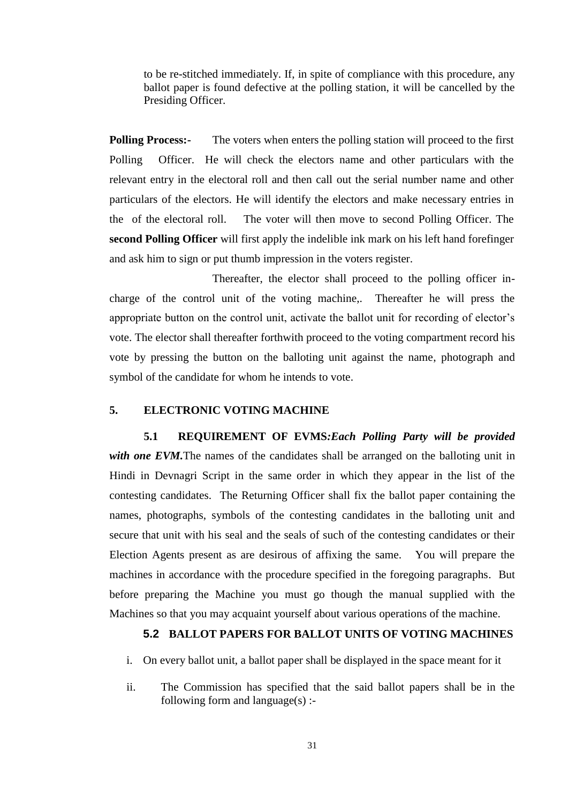to be re-stitched immediately. If, in spite of compliance with this procedure, any ballot paper is found defective at the polling station, it will be cancelled by the Presiding Officer.

**Polling Process:-** The voters when enters the polling station will proceed to the first Polling Officer. He will check the electors name and other particulars with the relevant entry in the electoral roll and then call out the serial number name and other particulars of the electors. He will identify the electors and make necessary entries in the of the electoral roll. The voter will then move to second Polling Officer. The **second Polling Officer** will first apply the indelible ink mark on his left hand forefinger and ask him to sign or put thumb impression in the voters register.

Thereafter, the elector shall proceed to the polling officer incharge of the control unit of the voting machine,. Thereafter he will press the appropriate button on the control unit, activate the ballot unit for recording of elector's vote. The elector shall thereafter forthwith proceed to the voting compartment record his vote by pressing the button on the balloting unit against the name, photograph and symbol of the candidate for whom he intends to vote.

### **5. ELECTRONIC VOTING MACHINE**

**5.1 REQUIREMENT OF EVMS***:Each Polling Party will be provided*  with one EVM. The names of the candidates shall be arranged on the balloting unit in Hindi in Devnagri Script in the same order in which they appear in the list of the contesting candidates. The Returning Officer shall fix the ballot paper containing the names, photographs, symbols of the contesting candidates in the balloting unit and secure that unit with his seal and the seals of such of the contesting candidates or their Election Agents present as are desirous of affixing the same. You will prepare the machines in accordance with the procedure specified in the foregoing paragraphs. But before preparing the Machine you must go though the manual supplied with the Machines so that you may acquaint yourself about various operations of the machine.

### **5.2 BALLOT PAPERS FOR BALLOT UNITS OF VOTING MACHINES**

- i. On every ballot unit, a ballot paper shall be displayed in the space meant for it
- ii. The Commission has specified that the said ballot papers shall be in the following form and language $(s)$  :-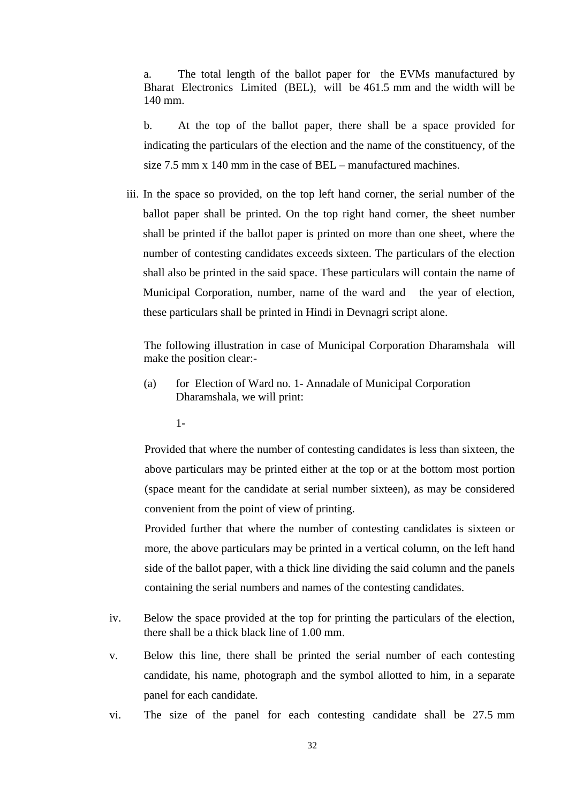a. The total length of the ballot paper for the EVMs manufactured by Bharat Electronics Limited (BEL), will be 461.5 mm and the width will be 140 mm.

b. At the top of the ballot paper, there shall be a space provided for indicating the particulars of the election and the name of the constituency, of the size 7.5 mm x 140 mm in the case of BEL – manufactured machines.

iii. In the space so provided, on the top left hand corner, the serial number of the ballot paper shall be printed. On the top right hand corner, the sheet number shall be printed if the ballot paper is printed on more than one sheet, where the number of contesting candidates exceeds sixteen. The particulars of the election shall also be printed in the said space. These particulars will contain the name of Municipal Corporation, number, name of the ward and the year of election, these particulars shall be printed in Hindi in Devnagri script alone.

The following illustration in case of Municipal Corporation Dharamshala will make the position clear:-

- (a) for Election of Ward no. 1- Annadale of Municipal Corporation Dharamshala, we will print:
	- 1-

Provided that where the number of contesting candidates is less than sixteen, the above particulars may be printed either at the top or at the bottom most portion (space meant for the candidate at serial number sixteen), as may be considered convenient from the point of view of printing.

Provided further that where the number of contesting candidates is sixteen or more, the above particulars may be printed in a vertical column, on the left hand side of the ballot paper, with a thick line dividing the said column and the panels containing the serial numbers and names of the contesting candidates.

- iv. Below the space provided at the top for printing the particulars of the election, there shall be a thick black line of 1.00 mm.
- v. Below this line, there shall be printed the serial number of each contesting candidate, his name, photograph and the symbol allotted to him, in a separate panel for each candidate.
- vi. The size of the panel for each contesting candidate shall be 27.5 mm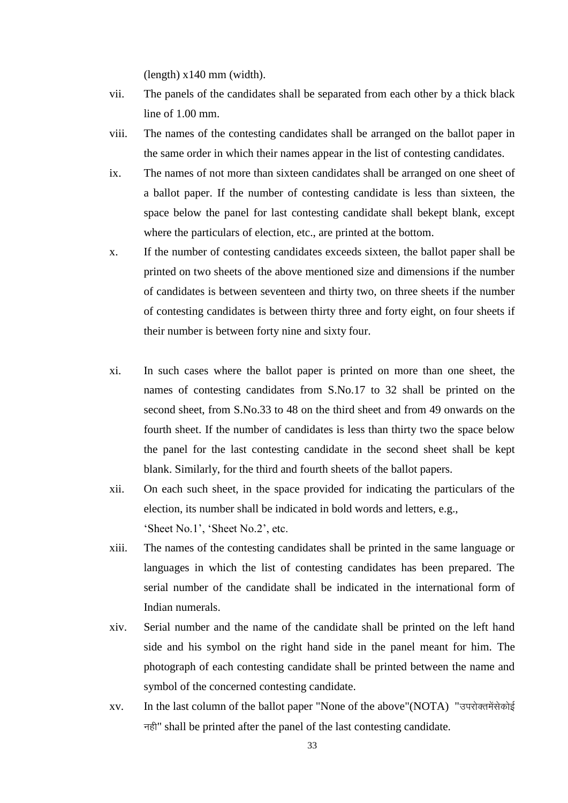(length) x140 mm (width).

- vii. The panels of the candidates shall be separated from each other by a thick black line of 1.00 mm.
- viii. The names of the contesting candidates shall be arranged on the ballot paper in the same order in which their names appear in the list of contesting candidates.
- ix. The names of not more than sixteen candidates shall be arranged on one sheet of a ballot paper. If the number of contesting candidate is less than sixteen, the space below the panel for last contesting candidate shall bekept blank, except where the particulars of election, etc., are printed at the bottom.
- x. If the number of contesting candidates exceeds sixteen, the ballot paper shall be printed on two sheets of the above mentioned size and dimensions if the number of candidates is between seventeen and thirty two, on three sheets if the number of contesting candidates is between thirty three and forty eight, on four sheets if their number is between forty nine and sixty four.
- xi. In such cases where the ballot paper is printed on more than one sheet, the names of contesting candidates from S.No.17 to 32 shall be printed on the second sheet, from S.No.33 to 48 on the third sheet and from 49 onwards on the fourth sheet. If the number of candidates is less than thirty two the space below the panel for the last contesting candidate in the second sheet shall be kept blank. Similarly, for the third and fourth sheets of the ballot papers.
- xii. On each such sheet, in the space provided for indicating the particulars of the election, its number shall be indicated in bold words and letters, e.g., 'Sheet No.1', 'Sheet No.2', etc.
- xiii. The names of the contesting candidates shall be printed in the same language or languages in which the list of contesting candidates has been prepared. The serial number of the candidate shall be indicated in the international form of Indian numerals.
- xiv. Serial number and the name of the candidate shall be printed on the left hand side and his symbol on the right hand side in the panel meant for him. The photograph of each contesting candidate shall be printed between the name and symbol of the concerned contesting candidate.
- xv. In the last column of the ballot paper "None of the above"(NOTA) "उपरोक्तमेंसेकोई नही" shall be printed after the panel of the last contesting candidate.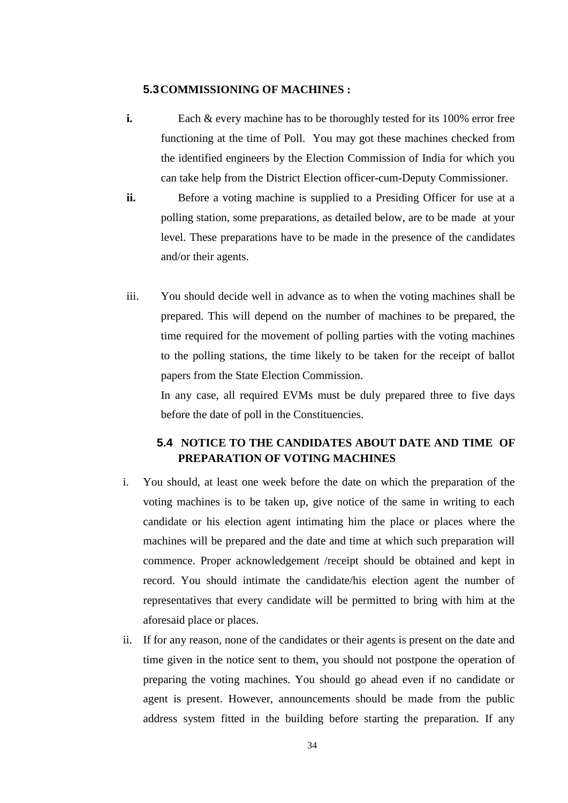## **5.3COMMISSIONING OF MACHINES :**

- **i.** Each & every machine has to be thoroughly tested for its 100% error free functioning at the time of Poll. You may got these machines checked from the identified engineers by the Election Commission of India for which you can take help from the District Election officer-cum-Deputy Commissioner.
- **ii.** Before a voting machine is supplied to a Presiding Officer for use at a polling station, some preparations, as detailed below, are to be made at your level. These preparations have to be made in the presence of the candidates and/or their agents.
- iii. You should decide well in advance as to when the voting machines shall be prepared. This will depend on the number of machines to be prepared, the time required for the movement of polling parties with the voting machines to the polling stations, the time likely to be taken for the receipt of ballot papers from the State Election Commission.

In any case, all required EVMs must be duly prepared three to five days before the date of poll in the Constituencies.

# **5.4 NOTICE TO THE CANDIDATES ABOUT DATE AND TIME OF PREPARATION OF VOTING MACHINES**

- i. You should, at least one week before the date on which the preparation of the voting machines is to be taken up, give notice of the same in writing to each candidate or his election agent intimating him the place or places where the machines will be prepared and the date and time at which such preparation will commence. Proper acknowledgement /receipt should be obtained and kept in record. You should intimate the candidate/his election agent the number of representatives that every candidate will be permitted to bring with him at the aforesaid place or places.
- ii. If for any reason, none of the candidates or their agents is present on the date and time given in the notice sent to them, you should not postpone the operation of preparing the voting machines. You should go ahead even if no candidate or agent is present. However, announcements should be made from the public address system fitted in the building before starting the preparation. If any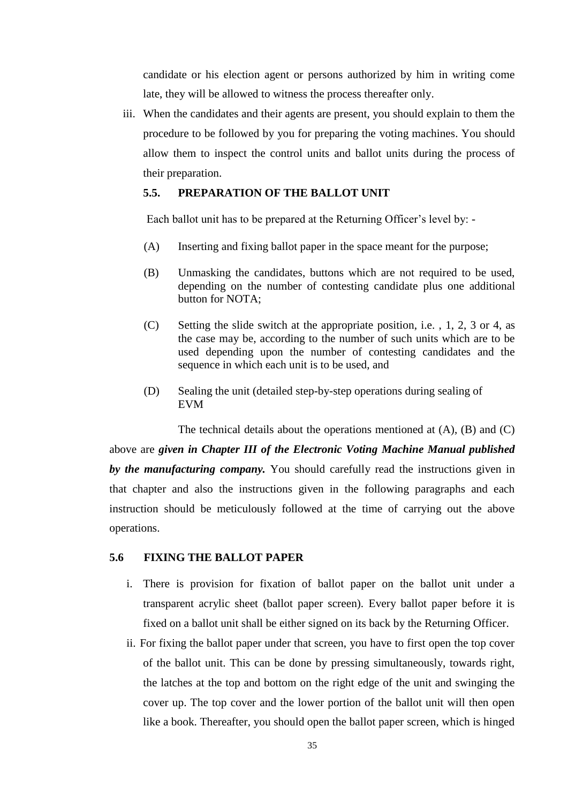candidate or his election agent or persons authorized by him in writing come late, they will be allowed to witness the process thereafter only.

iii. When the candidates and their agents are present, you should explain to them the procedure to be followed by you for preparing the voting machines. You should allow them to inspect the control units and ballot units during the process of their preparation.

## **5.5. PREPARATION OF THE BALLOT UNIT**

Each ballot unit has to be prepared at the Returning Officer's level by: -

- (A) Inserting and fixing ballot paper in the space meant for the purpose;
- (B) Unmasking the candidates, buttons which are not required to be used, depending on the number of contesting candidate plus one additional button for NOTA;
- (C) Setting the slide switch at the appropriate position, i.e. , 1, 2, 3 or 4, as the case may be, according to the number of such units which are to be used depending upon the number of contesting candidates and the sequence in which each unit is to be used, and
- (D) Sealing the unit (detailed step-by-step operations during sealing of EVM

The technical details about the operations mentioned at (A), (B) and (C)

above are *given in Chapter III of the Electronic Voting Machine Manual published by the manufacturing company.* You should carefully read the instructions given in that chapter and also the instructions given in the following paragraphs and each instruction should be meticulously followed at the time of carrying out the above operations.

### **5.6 FIXING THE BALLOT PAPER**

- i. There is provision for fixation of ballot paper on the ballot unit under a transparent acrylic sheet (ballot paper screen). Every ballot paper before it is fixed on a ballot unit shall be either signed on its back by the Returning Officer.
- ii. For fixing the ballot paper under that screen, you have to first open the top cover of the ballot unit. This can be done by pressing simultaneously, towards right, the latches at the top and bottom on the right edge of the unit and swinging the cover up. The top cover and the lower portion of the ballot unit will then open like a book. Thereafter, you should open the ballot paper screen, which is hinged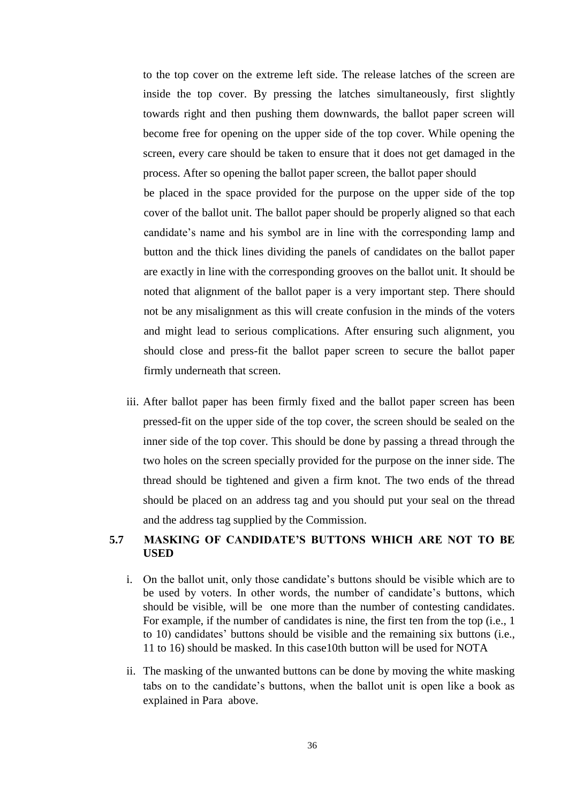to the top cover on the extreme left side. The release latches of the screen are inside the top cover. By pressing the latches simultaneously, first slightly towards right and then pushing them downwards, the ballot paper screen will become free for opening on the upper side of the top cover. While opening the screen, every care should be taken to ensure that it does not get damaged in the process. After so opening the ballot paper screen, the ballot paper should be placed in the space provided for the purpose on the upper side of the top cover of the ballot unit. The ballot paper should be properly aligned so that each candidate's name and his symbol are in line with the corresponding lamp and button and the thick lines dividing the panels of candidates on the ballot paper are exactly in line with the corresponding grooves on the ballot unit. It should be noted that alignment of the ballot paper is a very important step. There should not be any misalignment as this will create confusion in the minds of the voters and might lead to serious complications. After ensuring such alignment, you should close and press-fit the ballot paper screen to secure the ballot paper

iii. After ballot paper has been firmly fixed and the ballot paper screen has been pressed-fit on the upper side of the top cover, the screen should be sealed on the inner side of the top cover. This should be done by passing a thread through the two holes on the screen specially provided for the purpose on the inner side. The thread should be tightened and given a firm knot. The two ends of the thread should be placed on an address tag and you should put your seal on the thread and the address tag supplied by the Commission.

firmly underneath that screen.

# **5.7 MASKING OF CANDIDATE'S BUTTONS WHICH ARE NOT TO BE USED**

- i. On the ballot unit, only those candidate's buttons should be visible which are to be used by voters. In other words, the number of candidate's buttons, which should be visible, will be one more than the number of contesting candidates. For example, if the number of candidates is nine, the first ten from the top (i.e., 1 to 10) candidates' buttons should be visible and the remaining six buttons (i.e., 11 to 16) should be masked. In this case10th button will be used for NOTA
- ii. The masking of the unwanted buttons can be done by moving the white masking tabs on to the candidate's buttons, when the ballot unit is open like a book as explained in Para above.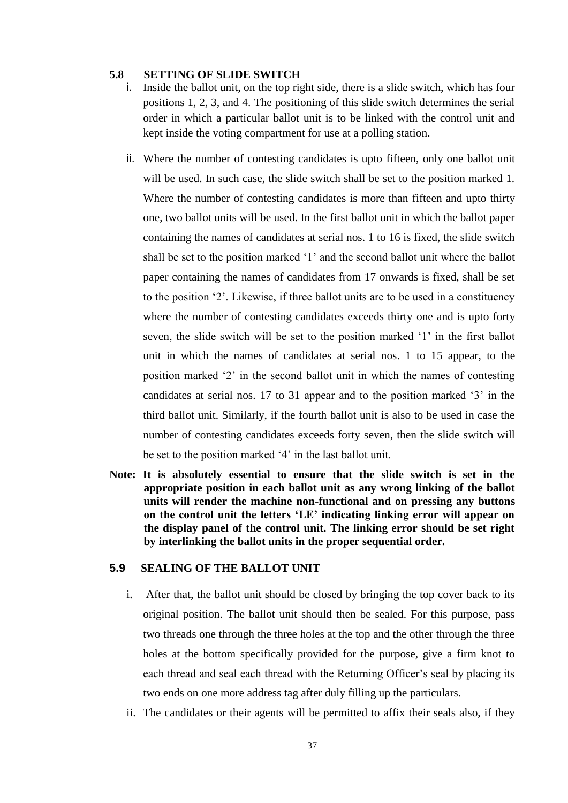#### **5.8 SETTING OF SLIDE SWITCH**

- i. Inside the ballot unit, on the top right side, there is a slide switch, which has four positions 1, 2, 3, and 4. The positioning of this slide switch determines the serial order in which a particular ballot unit is to be linked with the control unit and kept inside the voting compartment for use at a polling station.
- ii. Where the number of contesting candidates is upto fifteen, only one ballot unit will be used. In such case, the slide switch shall be set to the position marked 1. Where the number of contesting candidates is more than fifteen and upto thirty one, two ballot units will be used. In the first ballot unit in which the ballot paper containing the names of candidates at serial nos. 1 to 16 is fixed, the slide switch shall be set to the position marked '1' and the second ballot unit where the ballot paper containing the names of candidates from 17 onwards is fixed, shall be set to the position ‗2'. Likewise, if three ballot units are to be used in a constituency where the number of contesting candidates exceeds thirty one and is upto forty seven, the slide switch will be set to the position marked '1' in the first ballot unit in which the names of candidates at serial nos. 1 to 15 appear, to the position marked ‗2' in the second ballot unit in which the names of contesting candidates at serial nos. 17 to 31 appear and to the position marked '3' in the third ballot unit. Similarly, if the fourth ballot unit is also to be used in case the number of contesting candidates exceeds forty seven, then the slide switch will be set to the position marked '4' in the last ballot unit.
- **Note: It is absolutely essential to ensure that the slide switch is set in the appropriate position in each ballot unit as any wrong linking of the ballot units will render the machine non-functional and on pressing any buttons on the control unit the letters ‗LE' indicating linking error will appear on the display panel of the control unit. The linking error should be set right by interlinking the ballot units in the proper sequential order.**

## **5.9 SEALING OF THE BALLOT UNIT**

- i. After that, the ballot unit should be closed by bringing the top cover back to its original position. The ballot unit should then be sealed. For this purpose, pass two threads one through the three holes at the top and the other through the three holes at the bottom specifically provided for the purpose, give a firm knot to each thread and seal each thread with the Returning Officer's seal by placing its two ends on one more address tag after duly filling up the particulars.
- ii. The candidates or their agents will be permitted to affix their seals also, if they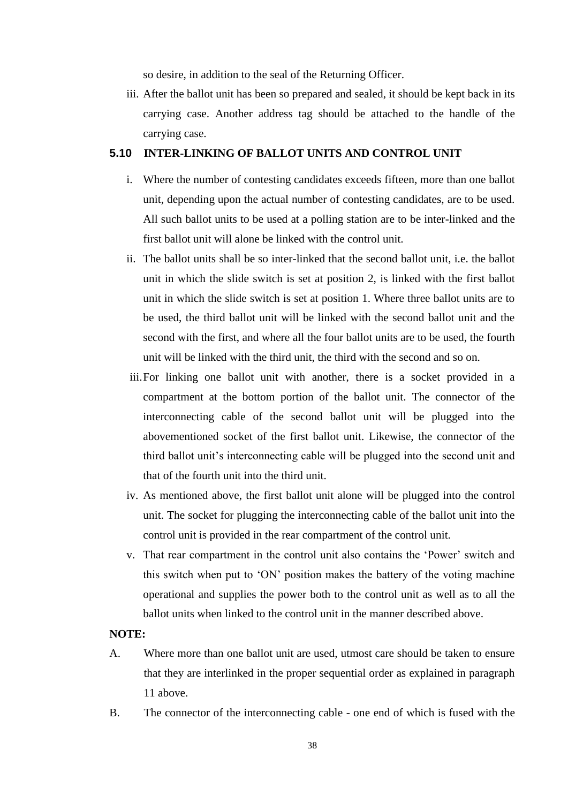so desire, in addition to the seal of the Returning Officer.

iii. After the ballot unit has been so prepared and sealed, it should be kept back in its carrying case. Another address tag should be attached to the handle of the carrying case.

### **5.10 INTER-LINKING OF BALLOT UNITS AND CONTROL UNIT**

- i. Where the number of contesting candidates exceeds fifteen, more than one ballot unit, depending upon the actual number of contesting candidates, are to be used. All such ballot units to be used at a polling station are to be inter-linked and the first ballot unit will alone be linked with the control unit.
- ii. The ballot units shall be so inter-linked that the second ballot unit, i.e. the ballot unit in which the slide switch is set at position 2, is linked with the first ballot unit in which the slide switch is set at position 1. Where three ballot units are to be used, the third ballot unit will be linked with the second ballot unit and the second with the first, and where all the four ballot units are to be used, the fourth unit will be linked with the third unit, the third with the second and so on.
- iii.For linking one ballot unit with another, there is a socket provided in a compartment at the bottom portion of the ballot unit. The connector of the interconnecting cable of the second ballot unit will be plugged into the abovementioned socket of the first ballot unit. Likewise, the connector of the third ballot unit's interconnecting cable will be plugged into the second unit and that of the fourth unit into the third unit.
- iv. As mentioned above, the first ballot unit alone will be plugged into the control unit. The socket for plugging the interconnecting cable of the ballot unit into the control unit is provided in the rear compartment of the control unit.
- v. That rear compartment in the control unit also contains the 'Power' switch and this switch when put to ‗ON' position makes the battery of the voting machine operational and supplies the power both to the control unit as well as to all the ballot units when linked to the control unit in the manner described above.

## **NOTE:**

- A. Where more than one ballot unit are used, utmost care should be taken to ensure that they are interlinked in the proper sequential order as explained in paragraph 11 above.
- B. The connector of the interconnecting cable one end of which is fused with the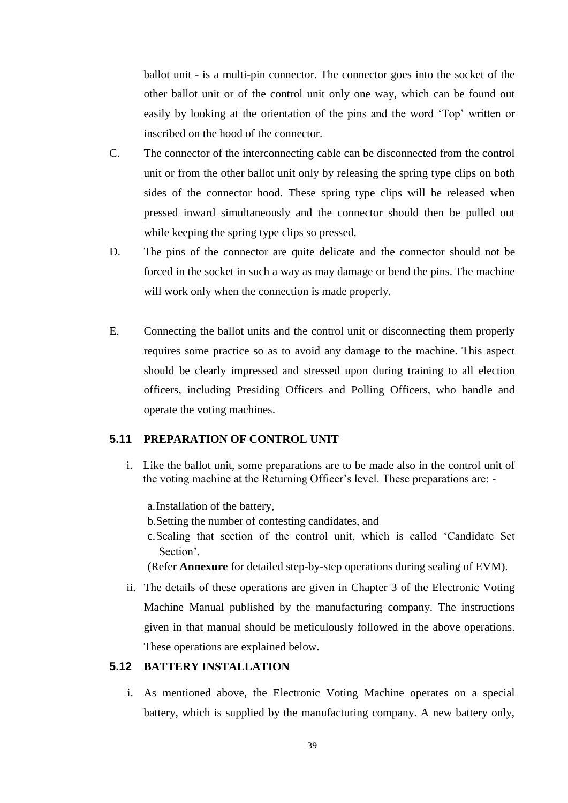ballot unit - is a multi-pin connector. The connector goes into the socket of the other ballot unit or of the control unit only one way, which can be found out easily by looking at the orientation of the pins and the word 'Top' written or inscribed on the hood of the connector.

- C. The connector of the interconnecting cable can be disconnected from the control unit or from the other ballot unit only by releasing the spring type clips on both sides of the connector hood. These spring type clips will be released when pressed inward simultaneously and the connector should then be pulled out while keeping the spring type clips so pressed.
- D. The pins of the connector are quite delicate and the connector should not be forced in the socket in such a way as may damage or bend the pins. The machine will work only when the connection is made properly.
- E. Connecting the ballot units and the control unit or disconnecting them properly requires some practice so as to avoid any damage to the machine. This aspect should be clearly impressed and stressed upon during training to all election officers, including Presiding Officers and Polling Officers, who handle and operate the voting machines.

## **5.11 PREPARATION OF CONTROL UNIT**

i. Like the ballot unit, some preparations are to be made also in the control unit of the voting machine at the Returning Officer's level. These preparations are: -

a.Installation of the battery,

b.Setting the number of contesting candidates, and

c. Sealing that section of the control unit, which is called 'Candidate Set Section'.

(Refer **Annexure** for detailed step-by-step operations during sealing of EVM).

ii. The details of these operations are given in Chapter 3 of the Electronic Voting Machine Manual published by the manufacturing company. The instructions given in that manual should be meticulously followed in the above operations. These operations are explained below.

#### **5.12 BATTERY INSTALLATION**

i. As mentioned above, the Electronic Voting Machine operates on a special battery, which is supplied by the manufacturing company. A new battery only,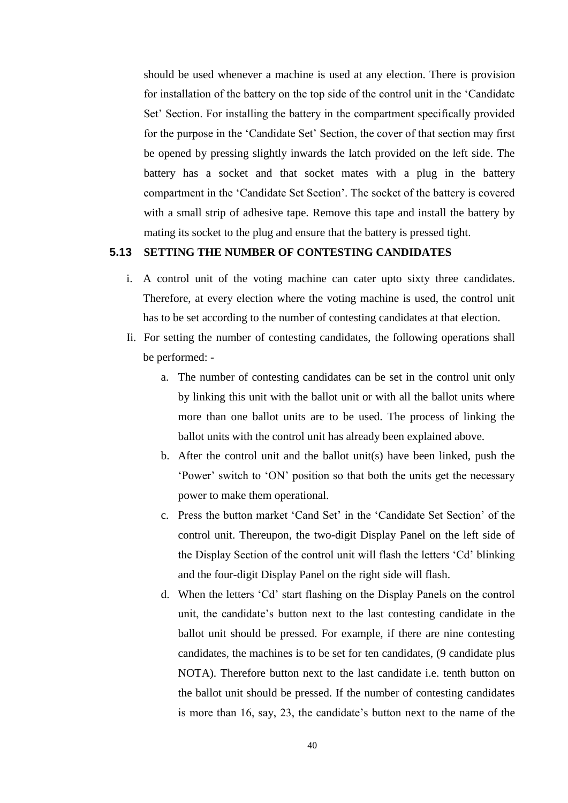should be used whenever a machine is used at any election. There is provision for installation of the battery on the top side of the control unit in the 'Candidate' Set' Section. For installing the battery in the compartment specifically provided for the purpose in the 'Candidate Set' Section, the cover of that section may first be opened by pressing slightly inwards the latch provided on the left side. The battery has a socket and that socket mates with a plug in the battery compartment in the 'Candidate Set Section'. The socket of the battery is covered with a small strip of adhesive tape. Remove this tape and install the battery by mating its socket to the plug and ensure that the battery is pressed tight.

## **5.13 SETTING THE NUMBER OF CONTESTING CANDIDATES**

- i. A control unit of the voting machine can cater upto sixty three candidates. Therefore, at every election where the voting machine is used, the control unit has to be set according to the number of contesting candidates at that election.
- Ii. For setting the number of contesting candidates, the following operations shall be performed:
	- a. The number of contesting candidates can be set in the control unit only by linking this unit with the ballot unit or with all the ballot units where more than one ballot units are to be used. The process of linking the ballot units with the control unit has already been explained above.
	- b. After the control unit and the ballot unit(s) have been linked, push the ‗Power' switch to ‗ON' position so that both the units get the necessary power to make them operational.
	- c. Press the button market ‗Cand Set' in the ‗Candidate Set Section' of the control unit. Thereupon, the two-digit Display Panel on the left side of the Display Section of the control unit will flash the letters 'Cd' blinking and the four-digit Display Panel on the right side will flash.
	- d. When the letters ‗Cd' start flashing on the Display Panels on the control unit, the candidate's button next to the last contesting candidate in the ballot unit should be pressed. For example, if there are nine contesting candidates, the machines is to be set for ten candidates, (9 candidate plus NOTA). Therefore button next to the last candidate i.e. tenth button on the ballot unit should be pressed. If the number of contesting candidates is more than 16, say, 23, the candidate's button next to the name of the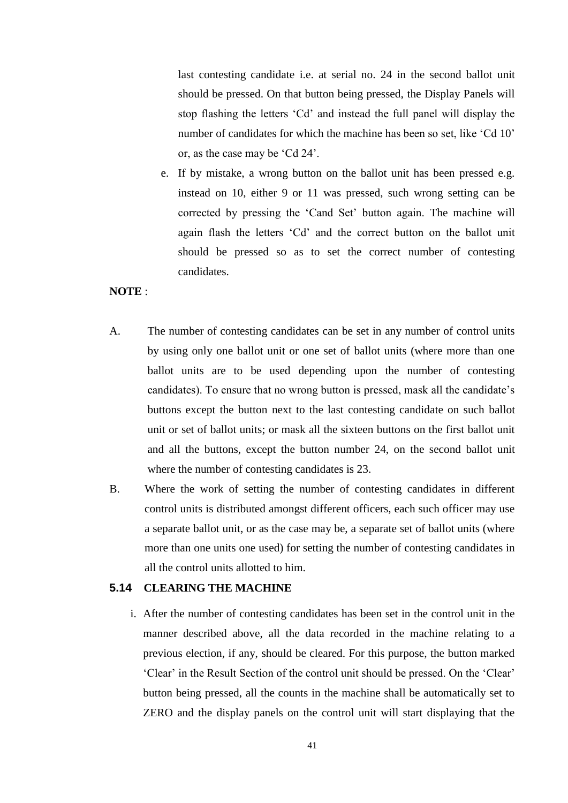last contesting candidate i.e. at serial no. 24 in the second ballot unit should be pressed. On that button being pressed, the Display Panels will stop flashing the letters 'Cd' and instead the full panel will display the number of candidates for which the machine has been so set, like 'Cd 10' or, as the case may be 'Cd 24'.

e. If by mistake, a wrong button on the ballot unit has been pressed e.g. instead on 10, either 9 or 11 was pressed, such wrong setting can be corrected by pressing the 'Cand Set' button again. The machine will again flash the letters 'Cd' and the correct button on the ballot unit should be pressed so as to set the correct number of contesting candidates.

## **NOTE** :

- A. The number of contesting candidates can be set in any number of control units by using only one ballot unit or one set of ballot units (where more than one ballot units are to be used depending upon the number of contesting candidates). To ensure that no wrong button is pressed, mask all the candidate's buttons except the button next to the last contesting candidate on such ballot unit or set of ballot units; or mask all the sixteen buttons on the first ballot unit and all the buttons, except the button number 24, on the second ballot unit where the number of contesting candidates is 23.
- B. Where the work of setting the number of contesting candidates in different control units is distributed amongst different officers, each such officer may use a separate ballot unit, or as the case may be, a separate set of ballot units (where more than one units one used) for setting the number of contesting candidates in all the control units allotted to him.

### **5.14 CLEARING THE MACHINE**

i. After the number of contesting candidates has been set in the control unit in the manner described above, all the data recorded in the machine relating to a previous election, if any, should be cleared. For this purpose, the button marked ‗Clear' in the Result Section of the control unit should be pressed. On the ‗Clear' button being pressed, all the counts in the machine shall be automatically set to ZERO and the display panels on the control unit will start displaying that the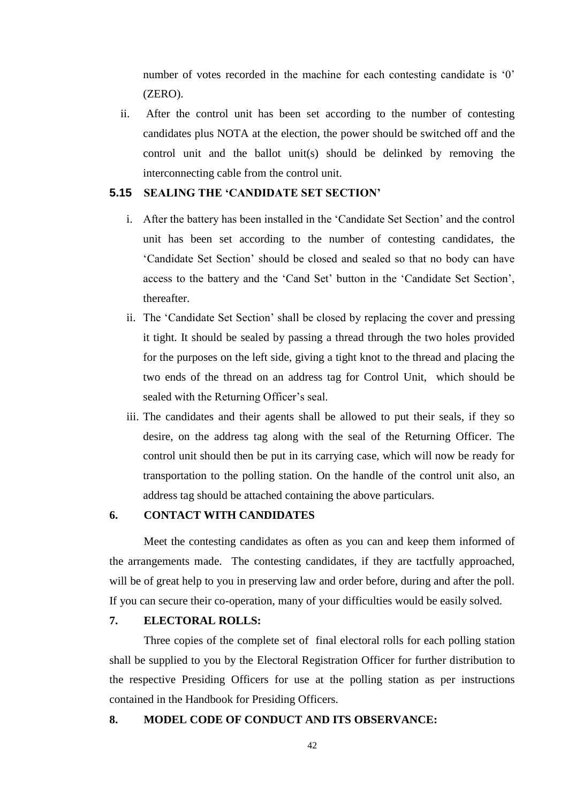number of votes recorded in the machine for each contesting candidate is '0' (ZERO).

ii. After the control unit has been set according to the number of contesting candidates plus NOTA at the election, the power should be switched off and the control unit and the ballot unit(s) should be delinked by removing the interconnecting cable from the control unit.

### **5.15 SEALING THE ‗CANDIDATE SET SECTION'**

- i. After the battery has been installed in the 'Candidate Set Section' and the control unit has been set according to the number of contesting candidates, the ‗Candidate Set Section' should be closed and sealed so that no body can have access to the battery and the 'Cand Set' button in the 'Candidate Set Section', thereafter.
- ii. The 'Candidate Set Section' shall be closed by replacing the cover and pressing it tight. It should be sealed by passing a thread through the two holes provided for the purposes on the left side, giving a tight knot to the thread and placing the two ends of the thread on an address tag for Control Unit, which should be sealed with the Returning Officer's seal.
- iii. The candidates and their agents shall be allowed to put their seals, if they so desire, on the address tag along with the seal of the Returning Officer. The control unit should then be put in its carrying case, which will now be ready for transportation to the polling station. On the handle of the control unit also, an address tag should be attached containing the above particulars.

### **6. CONTACT WITH CANDIDATES**

Meet the contesting candidates as often as you can and keep them informed of the arrangements made. The contesting candidates, if they are tactfully approached, will be of great help to you in preserving law and order before, during and after the poll. If you can secure their co-operation, many of your difficulties would be easily solved.

## **7. ELECTORAL ROLLS:**

Three copies of the complete set of final electoral rolls for each polling station shall be supplied to you by the Electoral Registration Officer for further distribution to the respective Presiding Officers for use at the polling station as per instructions contained in the Handbook for Presiding Officers.

### **8. MODEL CODE OF CONDUCT AND ITS OBSERVANCE:**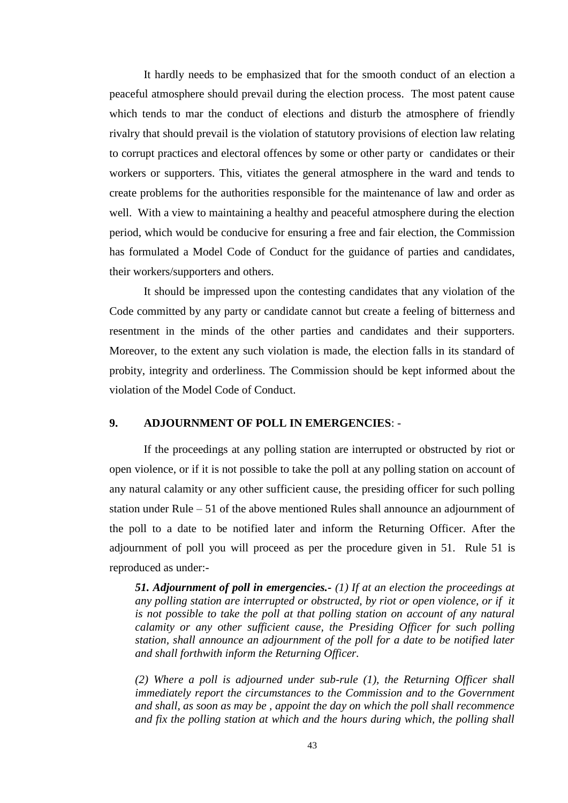It hardly needs to be emphasized that for the smooth conduct of an election a peaceful atmosphere should prevail during the election process. The most patent cause which tends to mar the conduct of elections and disturb the atmosphere of friendly rivalry that should prevail is the violation of statutory provisions of election law relating to corrupt practices and electoral offences by some or other party or candidates or their workers or supporters. This, vitiates the general atmosphere in the ward and tends to create problems for the authorities responsible for the maintenance of law and order as well. With a view to maintaining a healthy and peaceful atmosphere during the election period, which would be conducive for ensuring a free and fair election, the Commission has formulated a Model Code of Conduct for the guidance of parties and candidates, their workers/supporters and others.

It should be impressed upon the contesting candidates that any violation of the Code committed by any party or candidate cannot but create a feeling of bitterness and resentment in the minds of the other parties and candidates and their supporters. Moreover, to the extent any such violation is made, the election falls in its standard of probity, integrity and orderliness. The Commission should be kept informed about the violation of the Model Code of Conduct.

## **9. ADJOURNMENT OF POLL IN EMERGENCIES**: -

If the proceedings at any polling station are interrupted or obstructed by riot or open violence, or if it is not possible to take the poll at any polling station on account of any natural calamity or any other sufficient cause, the presiding officer for such polling station under Rule – 51 of the above mentioned Rules shall announce an adjournment of the poll to a date to be notified later and inform the Returning Officer. After the adjournment of poll you will proceed as per the procedure given in 51. Rule 51 is reproduced as under:-

*51. Adjournment of poll in emergencies.- (1) If at an election the proceedings at any polling station are interrupted or obstructed, by riot or open violence, or if it is not possible to take the poll at that polling station on account of any natural calamity or any other sufficient cause, the Presiding Officer for such polling station, shall announce an adjournment of the poll for a date to be notified later and shall forthwith inform the Returning Officer.*

*(2) Where a poll is adjourned under sub-rule (1), the Returning Officer shall immediately report the circumstances to the Commission and to the Government and shall, as soon as may be , appoint the day on which the poll shall recommence and fix the polling station at which and the hours during which, the polling shall*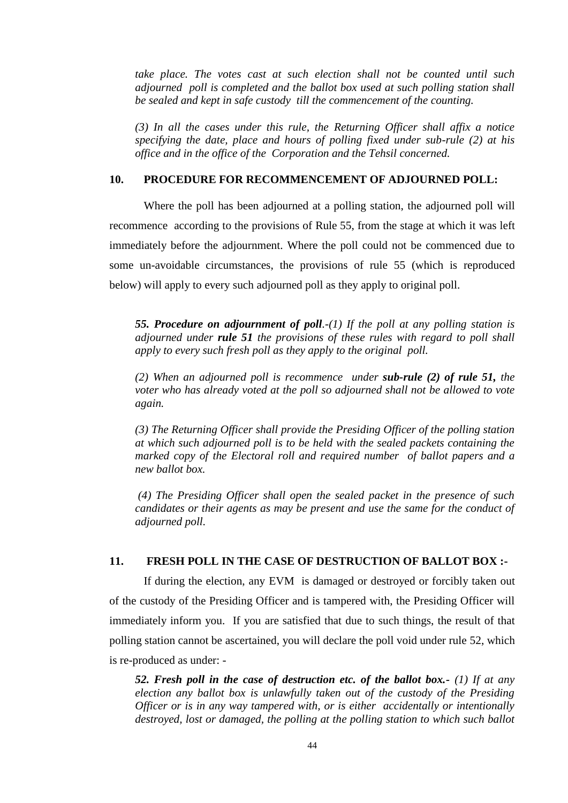*take place. The votes cast at such election shall not be counted until such adjourned poll is completed and the ballot box used at such polling station shall be sealed and kept in safe custody till the commencement of the counting.*

*(3) In all the cases under this rule, the Returning Officer shall affix a notice specifying the date, place and hours of polling fixed under sub-rule (2) at his office and in the office of the Corporation and the Tehsil concerned.*

#### **10. PROCEDURE FOR RECOMMENCEMENT OF ADJOURNED POLL:**

Where the poll has been adjourned at a polling station, the adjourned poll will recommence according to the provisions of Rule 55, from the stage at which it was left immediately before the adjournment. Where the poll could not be commenced due to some un-avoidable circumstances, the provisions of rule 55 (which is reproduced below) will apply to every such adjourned poll as they apply to original poll.

*55. Procedure on adjournment of poll.-(1) If the poll at any polling station is adjourned under rule 51 the provisions of these rules with regard to poll shall apply to every such fresh poll as they apply to the original poll.*

*(2) When an adjourned poll is recommence under sub-rule (2) of rule 51, the voter who has already voted at the poll so adjourned shall not be allowed to vote again.*

*(3) The Returning Officer shall provide the Presiding Officer of the polling station at which such adjourned poll is to be held with the sealed packets containing the marked copy of the Electoral roll and required number of ballot papers and a new ballot box.*

*(4) The Presiding Officer shall open the sealed packet in the presence of such candidates or their agents as may be present and use the same for the conduct of adjourned poll.*

### **11. FRESH POLL IN THE CASE OF DESTRUCTION OF BALLOT BOX :-**

If during the election, any EVM is damaged or destroyed or forcibly taken out of the custody of the Presiding Officer and is tampered with, the Presiding Officer will immediately inform you. If you are satisfied that due to such things, the result of that polling station cannot be ascertained, you will declare the poll void under rule 52, which is re-produced as under: -

*52. Fresh poll in the case of destruction etc. of the ballot box.- (1) If at any election any ballot box is unlawfully taken out of the custody of the Presiding Officer or is in any way tampered with, or is either accidentally or intentionally destroyed, lost or damaged, the polling at the polling station to which such ballot*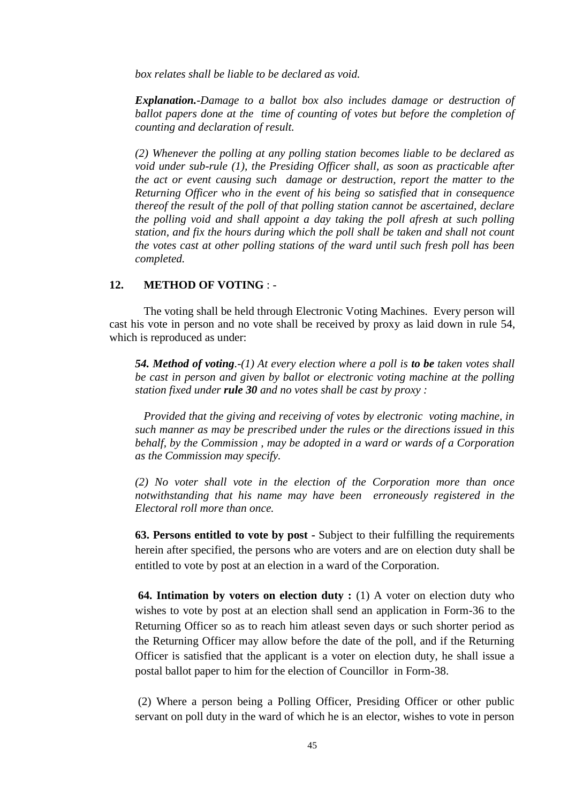*box relates shall be liable to be declared as void.*

*Explanation.-Damage to a ballot box also includes damage or destruction of ballot papers done at the time of counting of votes but before the completion of counting and declaration of result.*

*(2) Whenever the polling at any polling station becomes liable to be declared as void under sub-rule (1), the Presiding Officer shall, as soon as practicable after the act or event causing such damage or destruction, report the matter to the Returning Officer who in the event of his being so satisfied that in consequence thereof the result of the poll of that polling station cannot be ascertained, declare the polling void and shall appoint a day taking the poll afresh at such polling station, and fix the hours during which the poll shall be taken and shall not count the votes cast at other polling stations of the ward until such fresh poll has been completed.*

### **12. METHOD OF VOTING** : -

The voting shall be held through Electronic Voting Machines. Every person will cast his vote in person and no vote shall be received by proxy as laid down in rule 54, which is reproduced as under:

*54. Method of voting.-(1) At every election where a poll is to be taken votes shall be cast in person and given by ballot or electronic voting machine at the polling station fixed under rule 30 and no votes shall be cast by proxy :*

*Provided that the giving and receiving of votes by electronic voting machine, in such manner as may be prescribed under the rules or the directions issued in this behalf, by the Commission , may be adopted in a ward or wards of a Corporation as the Commission may specify.* 

*(2) No voter shall vote in the election of the Corporation more than once notwithstanding that his name may have been erroneously registered in the Electoral roll more than once.*

**63. Persons entitled to vote by post -** Subject to their fulfilling the requirements herein after specified, the persons who are voters and are on election duty shall be entitled to vote by post at an election in a ward of the Corporation.

**64. Intimation by voters on election duty :** (1) A voter on election duty who wishes to vote by post at an election shall send an application in Form-36 to the Returning Officer so as to reach him atleast seven days or such shorter period as the Returning Officer may allow before the date of the poll, and if the Returning Officer is satisfied that the applicant is a voter on election duty, he shall issue a postal ballot paper to him for the election of Councillor in Form-38.

(2) Where a person being a Polling Officer, Presiding Officer or other public servant on poll duty in the ward of which he is an elector, wishes to vote in person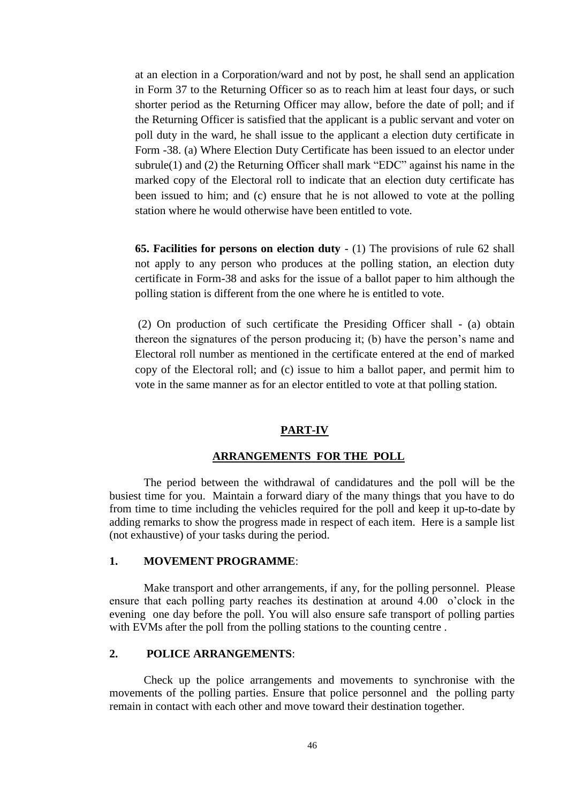at an election in a Corporation/ward and not by post, he shall send an application in Form 37 to the Returning Officer so as to reach him at least four days, or such shorter period as the Returning Officer may allow, before the date of poll; and if the Returning Officer is satisfied that the applicant is a public servant and voter on poll duty in the ward, he shall issue to the applicant a election duty certificate in Form -38. (a) Where Election Duty Certificate has been issued to an elector under subrule(1) and (2) the Returning Officer shall mark "EDC" against his name in the marked copy of the Electoral roll to indicate that an election duty certificate has been issued to him; and (c) ensure that he is not allowed to vote at the polling station where he would otherwise have been entitled to vote.

**65. Facilities for persons on election duty** - (1) The provisions of rule 62 shall not apply to any person who produces at the polling station, an election duty certificate in Form-38 and asks for the issue of a ballot paper to him although the polling station is different from the one where he is entitled to vote.

(2) On production of such certificate the Presiding Officer shall - (a) obtain thereon the signatures of the person producing it; (b) have the person's name and Electoral roll number as mentioned in the certificate entered at the end of marked copy of the Electoral roll; and (c) issue to him a ballot paper, and permit him to vote in the same manner as for an elector entitled to vote at that polling station.

#### **PART-IV**

## **ARRANGEMENTS FOR THE POLL**

The period between the withdrawal of candidatures and the poll will be the busiest time for you. Maintain a forward diary of the many things that you have to do from time to time including the vehicles required for the poll and keep it up-to-date by adding remarks to show the progress made in respect of each item. Here is a sample list (not exhaustive) of your tasks during the period.

#### **1. MOVEMENT PROGRAMME**:

Make transport and other arrangements, if any, for the polling personnel. Please ensure that each polling party reaches its destination at around 4.00 o'clock in the evening one day before the poll. You will also ensure safe transport of polling parties with EVMs after the poll from the polling stations to the counting centre .

### **2. POLICE ARRANGEMENTS**:

Check up the police arrangements and movements to synchronise with the movements of the polling parties. Ensure that police personnel and the polling party remain in contact with each other and move toward their destination together.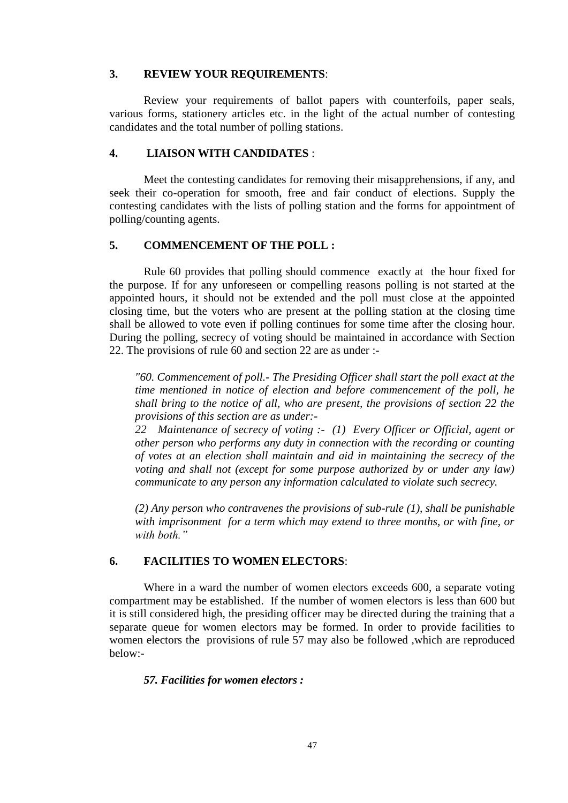### **3. REVIEW YOUR REQUIREMENTS**:

Review your requirements of ballot papers with counterfoils, paper seals, various forms, stationery articles etc. in the light of the actual number of contesting candidates and the total number of polling stations.

### **4. LIAISON WITH CANDIDATES** :

Meet the contesting candidates for removing their misapprehensions, if any, and seek their co-operation for smooth, free and fair conduct of elections. Supply the contesting candidates with the lists of polling station and the forms for appointment of polling/counting agents.

## **5. COMMENCEMENT OF THE POLL :**

Rule 60 provides that polling should commence exactly at the hour fixed for the purpose. If for any unforeseen or compelling reasons polling is not started at the appointed hours, it should not be extended and the poll must close at the appointed closing time, but the voters who are present at the polling station at the closing time shall be allowed to vote even if polling continues for some time after the closing hour. During the polling, secrecy of voting should be maintained in accordance with Section 22. The provisions of rule 60 and section 22 are as under :-

*"60. Commencement of poll.- The Presiding Officer shall start the poll exact at the time mentioned in notice of election and before commencement of the poll, he shall bring to the notice of all, who are present, the provisions of section 22 the provisions of this section are as under:-*

*22 Maintenance of secrecy of voting :- (1) Every Officer or Official, agent or other person who performs any duty in connection with the recording or counting of votes at an election shall maintain and aid in maintaining the secrecy of the voting and shall not (except for some purpose authorized by or under any law) communicate to any person any information calculated to violate such secrecy.* 

*(2) Any person who contravenes the provisions of sub-rule (1), shall be punishable with imprisonment for a term which may extend to three months, or with fine, or with both."*

### **6. FACILITIES TO WOMEN ELECTORS**:

Where in a ward the number of women electors exceeds 600, a separate voting compartment may be established. If the number of women electors is less than 600 but it is still considered high, the presiding officer may be directed during the training that a separate queue for women electors may be formed. In order to provide facilities to women electors the provisions of rule 57 may also be followed ,which are reproduced below:-

### *57. Facilities for women electors :*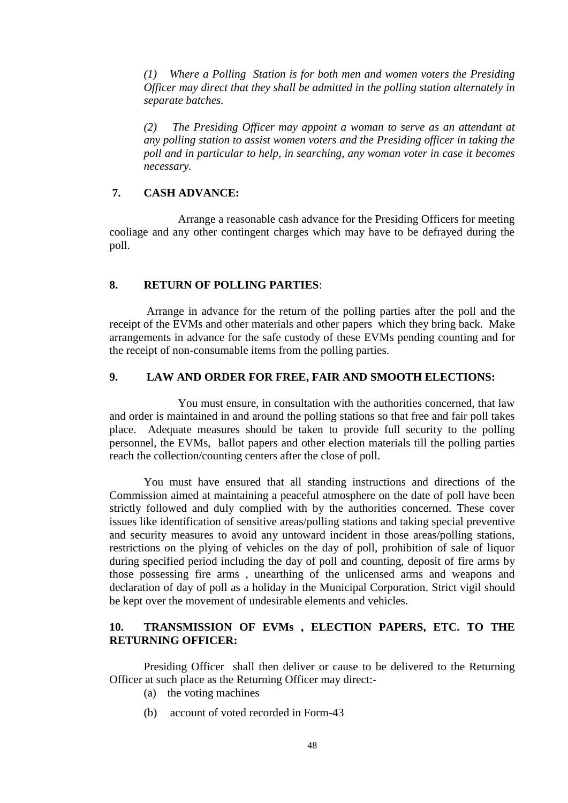*(1) Where a Polling Station is for both men and women voters the Presiding Officer may direct that they shall be admitted in the polling station alternately in separate batches.*

*(2) The Presiding Officer may appoint a woman to serve as an attendant at any polling station to assist women voters and the Presiding officer in taking the poll and in particular to help, in searching, any woman voter in case it becomes necessary.*

## **7. CASH ADVANCE:**

Arrange a reasonable cash advance for the Presiding Officers for meeting cooliage and any other contingent charges which may have to be defrayed during the poll.

### **8. RETURN OF POLLING PARTIES**:

Arrange in advance for the return of the polling parties after the poll and the receipt of the EVMs and other materials and other papers which they bring back. Make arrangements in advance for the safe custody of these EVMs pending counting and for the receipt of non-consumable items from the polling parties.

## **9. LAW AND ORDER FOR FREE, FAIR AND SMOOTH ELECTIONS:**

You must ensure, in consultation with the authorities concerned, that law and order is maintained in and around the polling stations so that free and fair poll takes place. Adequate measures should be taken to provide full security to the polling personnel, the EVMs, ballot papers and other election materials till the polling parties reach the collection/counting centers after the close of poll.

You must have ensured that all standing instructions and directions of the Commission aimed at maintaining a peaceful atmosphere on the date of poll have been strictly followed and duly complied with by the authorities concerned. These cover issues like identification of sensitive areas/polling stations and taking special preventive and security measures to avoid any untoward incident in those areas/polling stations, restrictions on the plying of vehicles on the day of poll, prohibition of sale of liquor during specified period including the day of poll and counting, deposit of fire arms by those possessing fire arms , unearthing of the unlicensed arms and weapons and declaration of day of poll as a holiday in the Municipal Corporation. Strict vigil should be kept over the movement of undesirable elements and vehicles.

## **10. TRANSMISSION OF EVMs , ELECTION PAPERS, ETC. TO THE RETURNING OFFICER:**

Presiding Officer shall then deliver or cause to be delivered to the Returning Officer at such place as the Returning Officer may direct:-

- (a) the voting machines
- (b) account of voted recorded in Form-43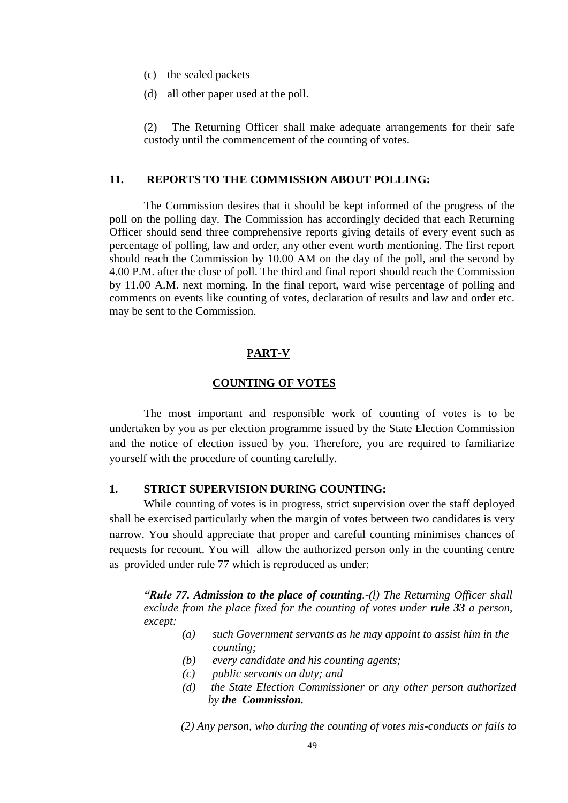- (c) the sealed packets
- (d) all other paper used at the poll.

(2) The Returning Officer shall make adequate arrangements for their safe custody until the commencement of the counting of votes.

#### **11. REPORTS TO THE COMMISSION ABOUT POLLING:**

The Commission desires that it should be kept informed of the progress of the poll on the polling day. The Commission has accordingly decided that each Returning Officer should send three comprehensive reports giving details of every event such as percentage of polling, law and order, any other event worth mentioning. The first report should reach the Commission by 10.00 AM on the day of the poll, and the second by 4.00 P.M. after the close of poll. The third and final report should reach the Commission by 11.00 A.M. next morning. In the final report, ward wise percentage of polling and comments on events like counting of votes, declaration of results and law and order etc. may be sent to the Commission.

#### **PART-V**

#### **COUNTING OF VOTES**

The most important and responsible work of counting of votes is to be undertaken by you as per election programme issued by the State Election Commission and the notice of election issued by you. Therefore, you are required to familiarize yourself with the procedure of counting carefully.

### **1. STRICT SUPERVISION DURING COUNTING:**

While counting of votes is in progress, strict supervision over the staff deployed shall be exercised particularly when the margin of votes between two candidates is very narrow. You should appreciate that proper and careful counting minimises chances of requests for recount. You will allow the authorized person only in the counting centre as provided under rule 77 which is reproduced as under:

*"Rule 77. Admission to the place of counting.-(l) The Returning Officer shall exclude from the place fixed for the counting of votes under rule 33 a person, except:* 

- *(a) such Government servants as he may appoint to assist him in the counting;*
- *(b) every candidate and his counting agents;*
- *(c) public servants on duty; and*
- *(d) the State Election Commissioner or any other person authorized by the Commission.*

*(2) Any person, who during the counting of votes mis-conducts or fails to*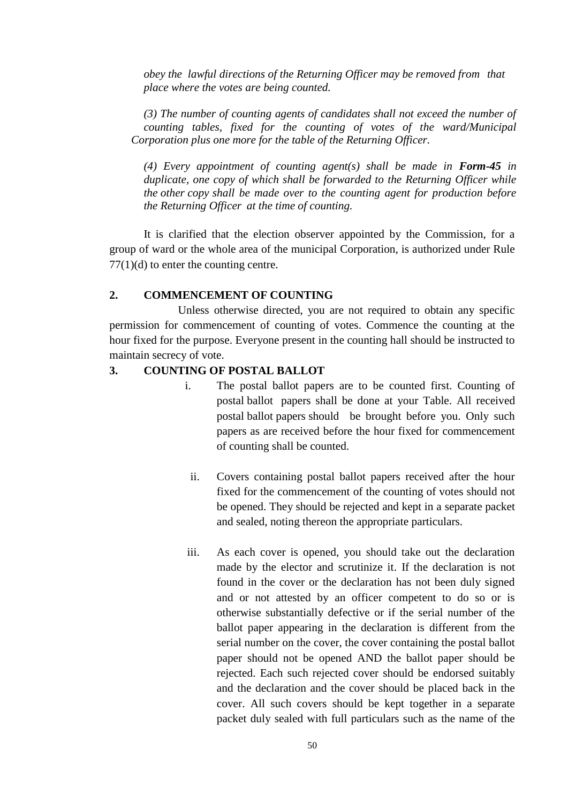*obey the lawful directions of the Returning Officer may be removed from that place where the votes are being counted.*

*(3) The number of counting agents of candidates shall not exceed the number of counting tables, fixed for the counting of votes of the ward/Municipal Corporation plus one more for the table of the Returning Officer.*

(4) Every appointment of counting agent(s) shall be made in **Form-45** in *duplicate, one copy of which shall be forwarded to the Returning Officer while the other copy shall be made over to the counting agent for production before the Returning Officer at the time of counting.*

It is clarified that the election observer appointed by the Commission, for a group of ward or the whole area of the municipal Corporation, is authorized under Rule  $77(1)(d)$  to enter the counting centre.

### **2. COMMENCEMENT OF COUNTING**

Unless otherwise directed, you are not required to obtain any specific permission for commencement of counting of votes. Commence the counting at the hour fixed for the purpose. Everyone present in the counting hall should be instructed to maintain secrecy of vote.

### **3. COUNTING OF POSTAL BALLOT**

- i. The postal ballot papers are to be counted first. Counting of postal ballot papers shall be done at your Table. All received postal ballot papers should be brought before you. Only such papers as are received before the hour fixed for commencement of counting shall be counted.
	- ii. Covers containing postal ballot papers received after the hour fixed for the commencement of the counting of votes should not be opened. They should be rejected and kept in a separate packet and sealed, noting thereon the appropriate particulars.
- iii. As each cover is opened, you should take out the declaration made by the elector and scrutinize it. If the declaration is not found in the cover or the declaration has not been duly signed and or not attested by an officer competent to do so or is otherwise substantially defective or if the serial number of the ballot paper appearing in the declaration is different from the serial number on the cover, the cover containing the postal ballot paper should not be opened AND the ballot paper should be rejected. Each such rejected cover should be endorsed suitably and the declaration and the cover should be placed back in the cover. All such covers should be kept together in a separate packet duly sealed with full particulars such as the name of the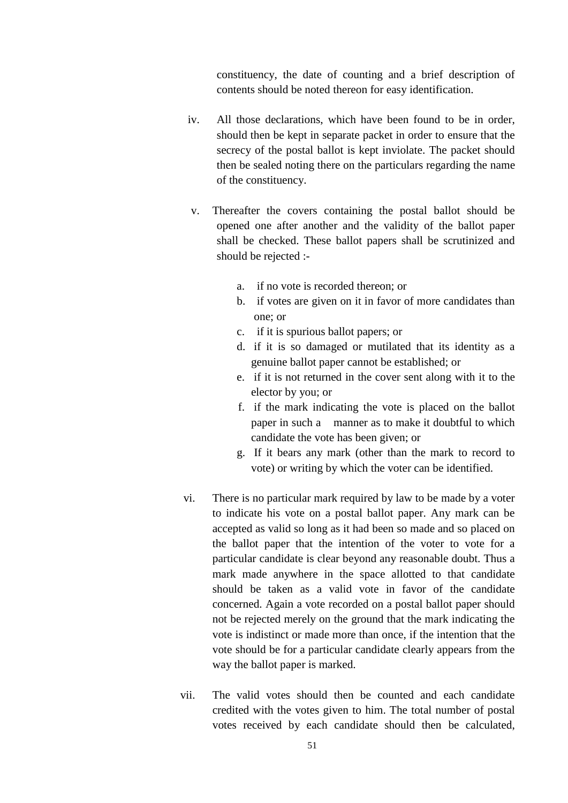constituency, the date of counting and a brief description of contents should be noted thereon for easy identification.

- iv. All those declarations, which have been found to be in order, should then be kept in separate packet in order to ensure that the secrecy of the postal ballot is kept inviolate. The packet should then be sealed noting there on the particulars regarding the name of the constituency.
- v. Thereafter the covers containing the postal ballot should be opened one after another and the validity of the ballot paper shall be checked. These ballot papers shall be scrutinized and should be rejected :
	- a. if no vote is recorded thereon; or
	- b. if votes are given on it in favor of more candidates than one; or
	- c. if it is spurious ballot papers; or
	- d. if it is so damaged or mutilated that its identity as a genuine ballot paper cannot be established; or
	- e. if it is not returned in the cover sent along with it to the elector by you; or
	- f. if the mark indicating the vote is placed on the ballot paper in such a manner as to make it doubtful to which candidate the vote has been given; or
	- g. If it bears any mark (other than the mark to record to vote) or writing by which the voter can be identified.
- vi. There is no particular mark required by law to be made by a voter to indicate his vote on a postal ballot paper. Any mark can be accepted as valid so long as it had been so made and so placed on the ballot paper that the intention of the voter to vote for a particular candidate is clear beyond any reasonable doubt. Thus a mark made anywhere in the space allotted to that candidate should be taken as a valid vote in favor of the candidate concerned. Again a vote recorded on a postal ballot paper should not be rejected merely on the ground that the mark indicating the vote is indistinct or made more than once, if the intention that the vote should be for a particular candidate clearly appears from the way the ballot paper is marked.
- vii. The valid votes should then be counted and each candidate credited with the votes given to him. The total number of postal votes received by each candidate should then be calculated,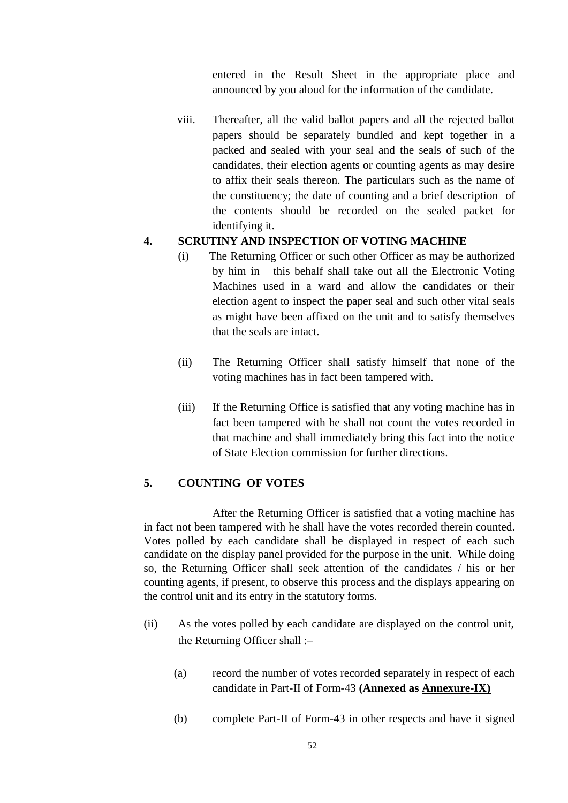entered in the Result Sheet in the appropriate place and announced by you aloud for the information of the candidate.

viii. Thereafter, all the valid ballot papers and all the rejected ballot papers should be separately bundled and kept together in a packed and sealed with your seal and the seals of such of the candidates, their election agents or counting agents as may desire to affix their seals thereon. The particulars such as the name of the constituency; the date of counting and a brief description of the contents should be recorded on the sealed packet for identifying it.

## **4. SCRUTINY AND INSPECTION OF VOTING MACHINE**

- (i) The Returning Officer or such other Officer as may be authorized by him in this behalf shall take out all the Electronic Voting Machines used in a ward and allow the candidates or their election agent to inspect the paper seal and such other vital seals as might have been affixed on the unit and to satisfy themselves that the seals are intact.
- (ii) The Returning Officer shall satisfy himself that none of the voting machines has in fact been tampered with.
- (iii) If the Returning Office is satisfied that any voting machine has in fact been tampered with he shall not count the votes recorded in that machine and shall immediately bring this fact into the notice of State Election commission for further directions.

## **5. COUNTING OF VOTES**

After the Returning Officer is satisfied that a voting machine has in fact not been tampered with he shall have the votes recorded therein counted. Votes polled by each candidate shall be displayed in respect of each such candidate on the display panel provided for the purpose in the unit. While doing so, the Returning Officer shall seek attention of the candidates / his or her counting agents, if present, to observe this process and the displays appearing on the control unit and its entry in the statutory forms.

- (ii) As the votes polled by each candidate are displayed on the control unit, the Returning Officer shall :–
	- (a) record the number of votes recorded separately in respect of each candidate in Part-II of Form-43 **(Annexed as Annexure-IX)**
	- (b) complete Part-II of Form-43 in other respects and have it signed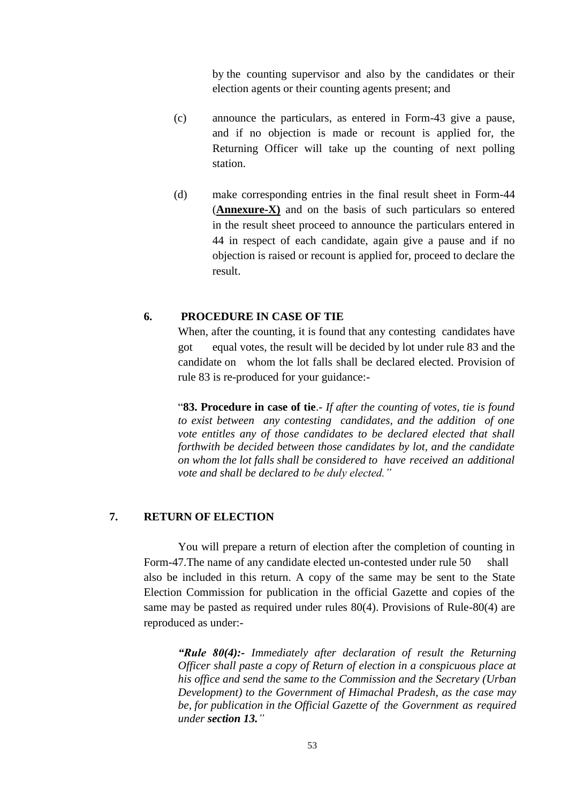by the counting supervisor and also by the candidates or their election agents or their counting agents present; and

- (c) announce the particulars, as entered in Form-43 give a pause, and if no objection is made or recount is applied for, the Returning Officer will take up the counting of next polling station.
- (d) make corresponding entries in the final result sheet in Form-44 (**Annexure-X)** and on the basis of such particulars so entered in the result sheet proceed to announce the particulars entered in 44 in respect of each candidate, again give a pause and if no objection is raised or recount is applied for, proceed to declare the result.

### **6. PROCEDURE IN CASE OF TIE**

When, after the counting, it is found that any contesting candidates have got equal votes, the result will be decided by lot under rule 83 and the candidate on whom the lot falls shall be declared elected. Provision of rule 83 is re-produced for your guidance:-

―**83. Procedure in case of tie**.- *If after the counting of votes, tie is found to exist between any contesting candidates, and the addition of one vote entitles any of those candidates to be declared elected that shall forthwith be decided between those candidates by lot, and the candidate on whom the lot falls shall be considered to have received an additional vote and shall be declared to be duly elected."*

## **7. RETURN OF ELECTION**

You will prepare a return of election after the completion of counting in Form-47.The name of any candidate elected un-contested under rule 50 shall also be included in this return. A copy of the same may be sent to the State Election Commission for publication in the official Gazette and copies of the same may be pasted as required under rules 80(4). Provisions of Rule-80(4) are reproduced as under:-

*"Rule 80(4):- Immediately after declaration of result the Returning Officer shall paste a copy of Return of election in a conspicuous place at his office and send the same to the Commission and the Secretary (Urban Development) to the Government of Himachal Pradesh, as the case may be, for publication in the Official Gazette of the Government as required under section 13."*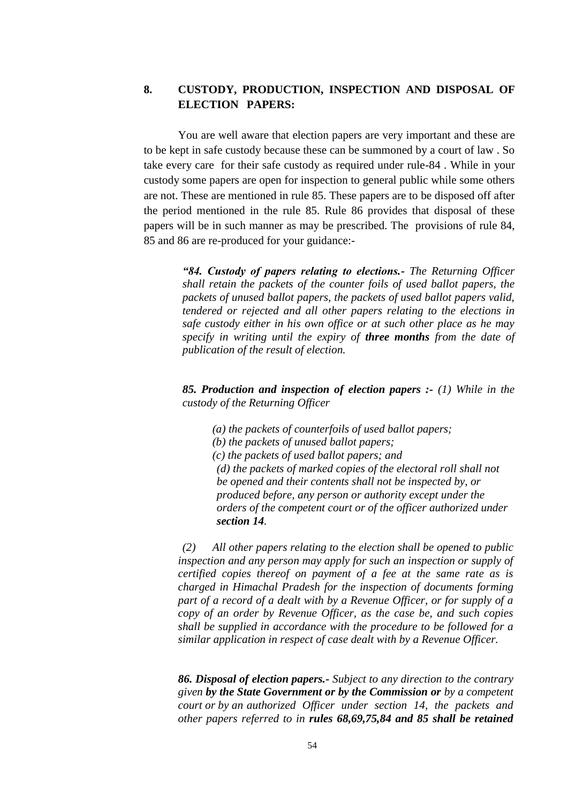# **8. CUSTODY, PRODUCTION, INSPECTION AND DISPOSAL OF ELECTION PAPERS:**

You are well aware that election papers are very important and these are to be kept in safe custody because these can be summoned by a court of law . So take every care for their safe custody as required under rule-84 . While in your custody some papers are open for inspection to general public while some others are not. These are mentioned in rule 85. These papers are to be disposed off after the period mentioned in the rule 85. Rule 86 provides that disposal of these papers will be in such manner as may be prescribed. The provisions of rule 84, 85 and 86 are re-produced for your guidance:-

> *"84. Custody of papers relating to elections.- The Returning Officer shall retain the packets of the counter foils of used ballot papers, the packets of unused ballot papers, the packets of used ballot papers valid, tendered or rejected and all other papers relating to the elections in safe custody either in his own office or at such other place as he may specify in writing until the expiry of three months from the date of publication of the result of election.*

> *85. Production and inspection of election papers :- (1) While in the custody of the Returning Officer*

*(a) the packets of counterfoils of used ballot papers; (b) the packets of unused ballot papers; (c) the packets of used ballot papers; and (d) the packets of marked copies of the electoral roll shall not be opened and their contents shall not be inspected by, or produced before, any person or authority except under the orders of the competent court or of the officer authorized under section 14.*

*(2) All other papers relating to the election shall be opened to public inspection and any person may apply for such an inspection or supply of certified copies thereof on payment of a fee at the same rate as is charged in Himachal Pradesh for the inspection of documents forming part of a record of a dealt with by a Revenue Officer, or for supply of a copy of an order by Revenue Officer, as the case be, and such copies shall be supplied in accordance with the procedure to be followed for a similar application in respect of case dealt with by a Revenue Officer.*

*86. Disposal of election papers.- Subject to any direction to the contrary given by the State Government or by the Commission or by a competent court or by an authorized Officer under section 14, the packets and other papers referred to in rules 68,69,75,84 and 85 shall be retained*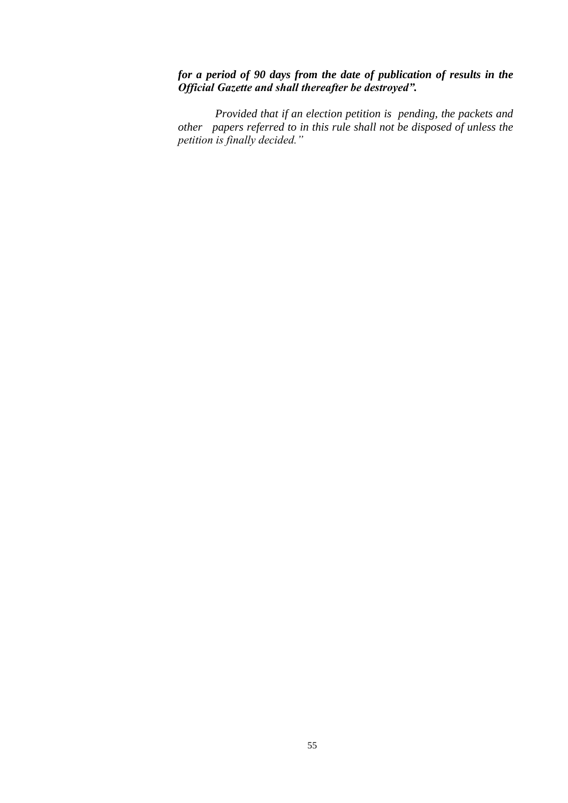# *for a period of 90 days from the date of publication of results in the Official Gazette and shall thereafter be destroyed".*

 *Provided that if an election petition is pending, the packets and other papers referred to in this rule shall not be disposed of unless the petition is finally decided."*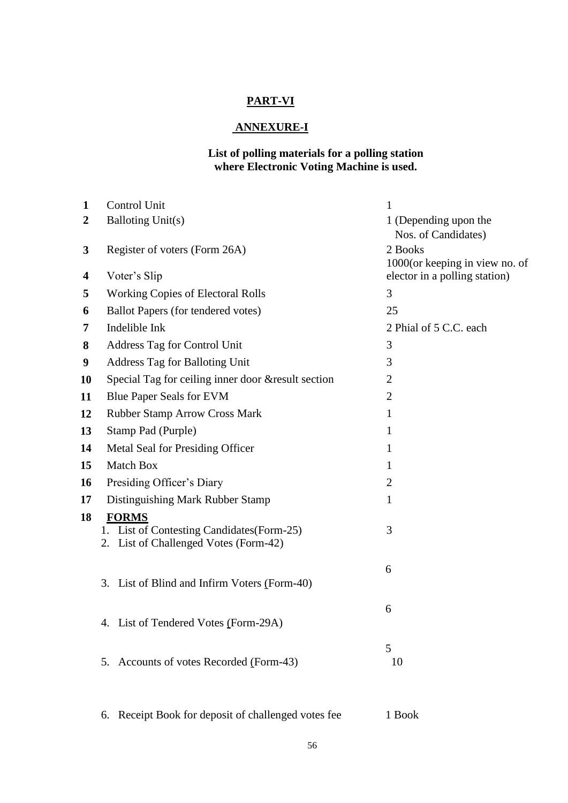# **PART-VI**

# **ANNEXURE-I**

### **List of polling materials for a polling station where Electronic Voting Machine is used.**

| $\mathbf{1}$     | Control Unit                                                                        | $\mathbf{1}$                                 |
|------------------|-------------------------------------------------------------------------------------|----------------------------------------------|
| $\boldsymbol{2}$ | <b>Balloting Unit(s)</b>                                                            | 1 (Depending upon the<br>Nos. of Candidates) |
| 3                | Register of voters (Form 26A)                                                       | 2 Books<br>1000(or keeping in view no. of    |
| 4                | Voter's Slip                                                                        | elector in a polling station)                |
| 5                | <b>Working Copies of Electoral Rolls</b>                                            | 3                                            |
| 6                | <b>Ballot Papers (for tendered votes)</b>                                           | 25                                           |
| 7                | Indelible Ink                                                                       | 2 Phial of 5 C.C. each                       |
| 8                | Address Tag for Control Unit                                                        | 3                                            |
| 9                | Address Tag for Balloting Unit                                                      | 3                                            |
| 10               | Special Tag for ceiling inner door &result section                                  | 2                                            |
| 11               | <b>Blue Paper Seals for EVM</b>                                                     | $\overline{2}$                               |
| 12               | <b>Rubber Stamp Arrow Cross Mark</b>                                                | $\mathbf{1}$                                 |
| 13               | Stamp Pad (Purple)                                                                  | $\mathbf{1}$                                 |
| 14               | Metal Seal for Presiding Officer                                                    | $\mathbf{1}$                                 |
| 15               | Match Box                                                                           | $\mathbf{1}$                                 |
| 16               | Presiding Officer's Diary                                                           | $\overline{2}$                               |
| 17               | Distinguishing Mark Rubber Stamp                                                    | $\mathbf{1}$                                 |
| 18               | <b>FORMS</b>                                                                        |                                              |
|                  | 1. List of Contesting Candidates (Form-25)<br>2. List of Challenged Votes (Form-42) | 3                                            |
|                  | 3. List of Blind and Infirm Voters (Form-40)                                        | 6                                            |
|                  | 4. List of Tendered Votes (Form-29A)                                                | 6                                            |
|                  | Accounts of votes Recorded (Form-43)<br>5.                                          | 5<br>10                                      |
|                  |                                                                                     |                                              |

6. Receipt Book for deposit of challenged votes fee 1 Book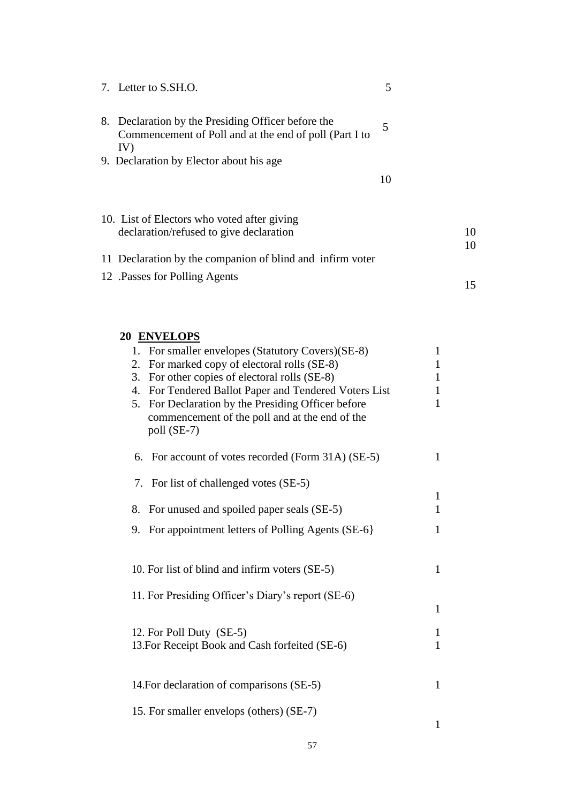| 7. Letter to S.SH.O.                                                                                                | 5                 |
|---------------------------------------------------------------------------------------------------------------------|-------------------|
| 8. Declaration by the Presiding Officer before the<br>Commencement of Poll and at the end of poll (Part I to<br>IV) | 5                 |
| 9. Declaration by Elector about his age                                                                             |                   |
|                                                                                                                     | 10                |
| 10. List of Electors who voted after giving                                                                         |                   |
| declaration/refused to give declaration                                                                             | 10                |
| 11 Declaration by the companion of blind and infirm voter                                                           | 10                |
| 12 .Passes for Polling Agents                                                                                       |                   |
|                                                                                                                     | 15                |
|                                                                                                                     |                   |
| 20 ENVELOPS<br>1. For smaller envelopes (Statutory Covers) (SE-8)                                                   | 1                 |
| 2. For marked copy of electoral rolls (SE-8)                                                                        | 1                 |
| 3. For other copies of electoral rolls (SE-8)                                                                       | 1                 |
| 4. For Tendered Ballot Paper and Tendered Voters List<br>5. For Declaration by the Presiding Officer before         | $\mathbf{1}$<br>1 |
| commencement of the poll and at the end of the<br>poll (SE-7)                                                       |                   |
| 6. For account of votes recorded (Form 31A) (SE-5)                                                                  | 1                 |
| 7. For list of challenged votes (SE-5)                                                                              |                   |
|                                                                                                                     | 1                 |
| 8. For unused and spoiled paper seals (SE-5)                                                                        | 1                 |
| 9. For appointment letters of Polling Agents (SE-6)                                                                 | $\mathbf{1}$      |
| 10. For list of blind and infirm voters (SE-5)                                                                      | $\mathbf{1}$      |
| 11. For Presiding Officer's Diary's report (SE-6)                                                                   |                   |
|                                                                                                                     | $\mathbf{1}$      |
| 12. For Poll Duty (SE-5)                                                                                            | 1                 |
| 13. For Receipt Book and Cash forfeited (SE-6)                                                                      | $\mathbf{1}$      |
|                                                                                                                     |                   |
| 14. For declaration of comparisons (SE-5)                                                                           | $\mathbf{1}$      |
| 15. For smaller envelops (others) (SE-7)                                                                            |                   |
|                                                                                                                     | $\mathbf{1}$      |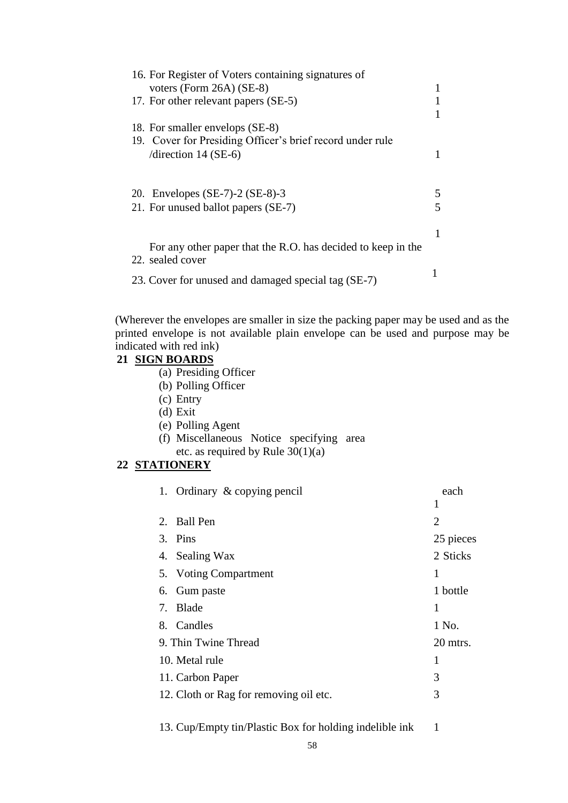| 16. For Register of Voters containing signatures of<br>voters (Form $26A$ ) (SE-8)<br>17. For other relevant papers (SE-5)              |        |
|-----------------------------------------------------------------------------------------------------------------------------------------|--------|
| 18. For smaller envelops (SE-8)<br>19. Cover for Presiding Officer's brief record under rule<br>/direction 14 (SE-6)                    |        |
| 20. Envelopes (SE-7)-2 (SE-8)-3<br>21. For unused ballot papers (SE-7)                                                                  | 5<br>5 |
| For any other paper that the R.O. has decided to keep in the<br>22. sealed cover<br>23. Cover for unused and damaged special tag (SE-7) |        |

(Wherever the envelopes are smaller in size the packing paper may be used and as the printed envelope is not available plain envelope can be used and purpose may be indicated with red ink)

### **21 SIGN BOARDS**

- (a) Presiding Officer
- (b) Polling Officer
- (c) Entry
- (d) Exit
- (e) Polling Agent
- (f) Miscellaneous Notice specifying area
- etc. as required by Rule  $30(1)(a)$

# **22 STATIONERY**

| 1. Ordinary & copying pencil           | each      |
|----------------------------------------|-----------|
|                                        | 1         |
| 2. Ball Pen                            | 2         |
| 3. Pins                                | 25 pieces |
| 4. Sealing Wax                         | 2 Sticks  |
| 5. Voting Compartment                  | 1         |
| 6. Gum paste                           | 1 bottle  |
| 7. Blade                               | 1         |
| 8. Candles                             | 1 No.     |
| 9. Thin Twine Thread                   | 20 mtrs.  |
| 10. Metal rule                         | 1         |
| 11. Carbon Paper                       | 3         |
| 12. Cloth or Rag for removing oil etc. | 3         |
|                                        |           |

13. Cup/Empty tin/Plastic Box for holding indelible ink 1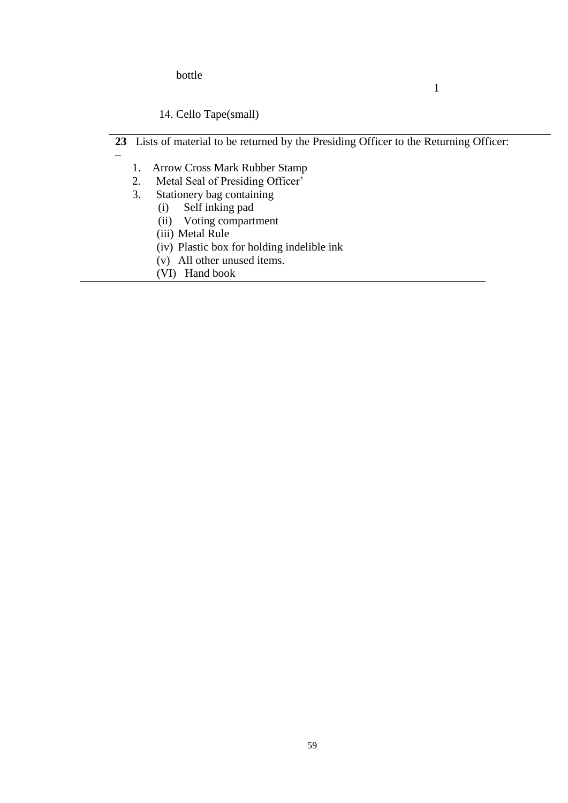bottle

–

# 14. Cello Tape(small)

23 Lists of material to be returned by the Presiding Officer to the Returning Officer:

1

- 1. Arrow Cross Mark Rubber Stamp
- 2. Metal Seal of Presiding Officer<sup>5</sup><br>3. Stationery bag containing
- Stationery bag containing<br>(i) Self inking pad
	- Self inking pad
	- (ii) Voting compartment
	- (iii) Metal Rule
	- (iv) Plastic box for holding indelible ink
	- (v) All other unused items.
	- (VI) Hand book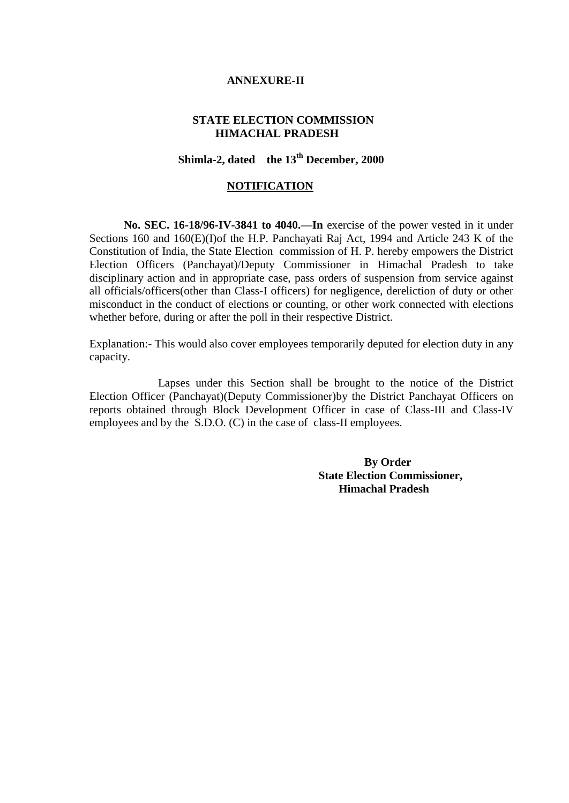### **ANNEXURE-II**

## **STATE ELECTION COMMISSION HIMACHAL PRADESH**

# **Shimla-2, dated the 13th December, 2000**

#### **NOTIFICATION**

**No. SEC. 16-18/96-IV-3841 to 4040.—In** exercise of the power vested in it under Sections 160 and 160(E)(I)of the H.P. Panchayati Raj Act, 1994 and Article 243 K of the Constitution of India, the State Election commission of H. P. hereby empowers the District Election Officers (Panchayat)/Deputy Commissioner in Himachal Pradesh to take disciplinary action and in appropriate case, pass orders of suspension from service against all officials/officers(other than Class-I officers) for negligence, dereliction of duty or other misconduct in the conduct of elections or counting, or other work connected with elections whether before, during or after the poll in their respective District.

Explanation:- This would also cover employees temporarily deputed for election duty in any capacity.

Lapses under this Section shall be brought to the notice of the District Election Officer (Panchayat)(Deputy Commissioner)by the District Panchayat Officers on reports obtained through Block Development Officer in case of Class-III and Class-IV employees and by the S.D.O. (C) in the case of class-II employees.

> **By Order State Election Commissioner, Himachal Pradesh**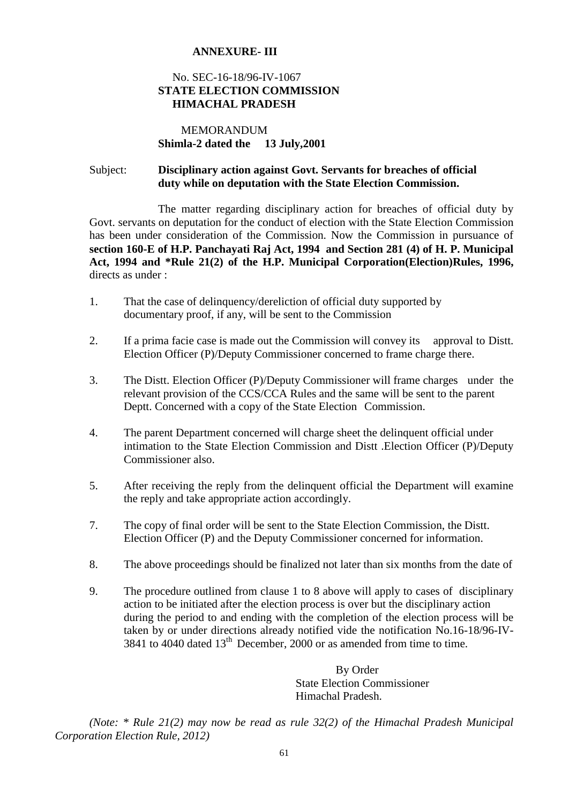## **ANNEXURE- III**

## No. SEC-16-18/96-IV-1067 **STATE ELECTION COMMISSION HIMACHAL PRADESH**

## MEMORANDUM **Shimla-2 dated the 13 July,2001**

## Subject: **Disciplinary action against Govt. Servants for breaches of official duty while on deputation with the State Election Commission.**

The matter regarding disciplinary action for breaches of official duty by Govt. servants on deputation for the conduct of election with the State Election Commission has been under consideration of the Commission. Now the Commission in pursuance of **section 160-E of H.P. Panchayati Raj Act, 1994 and Section 281 (4) of H. P. Municipal Act, 1994 and \*Rule 21(2) of the H.P. Municipal Corporation(Election)Rules, 1996,**  directs as under :

- 1. That the case of delinquency/dereliction of official duty supported by documentary proof, if any, will be sent to the Commission
- 2. If a prima facie case is made out the Commission will convey its approval to Distt. Election Officer (P)/Deputy Commissioner concerned to frame charge there.
- 3. The Distt. Election Officer (P)/Deputy Commissioner will frame charges under the relevant provision of the CCS/CCA Rules and the same will be sent to the parent Deptt. Concerned with a copy of the State Election Commission.
- 4. The parent Department concerned will charge sheet the delinquent official under intimation to the State Election Commission and Distt .Election Officer (P)/Deputy Commissioner also.
- 5. After receiving the reply from the delinquent official the Department will examine the reply and take appropriate action accordingly.
- 7. The copy of final order will be sent to the State Election Commission, the Distt. Election Officer (P) and the Deputy Commissioner concerned for information.
- 8. The above proceedings should be finalized not later than six months from the date of
- 9. The procedure outlined from clause 1 to 8 above will apply to cases of disciplinary action to be initiated after the election process is over but the disciplinary action during the period to and ending with the completion of the election process will be taken by or under directions already notified vide the notification No.16-18/96-IV- $3841$  to 4040 dated  $13<sup>th</sup>$  December, 2000 or as amended from time to time.

 By Order State Election Commissioner Himachal Pradesh.

*(Note: \* Rule 21(2) may now be read as rule 32(2) of the Himachal Pradesh Municipal Corporation Election Rule, 2012)*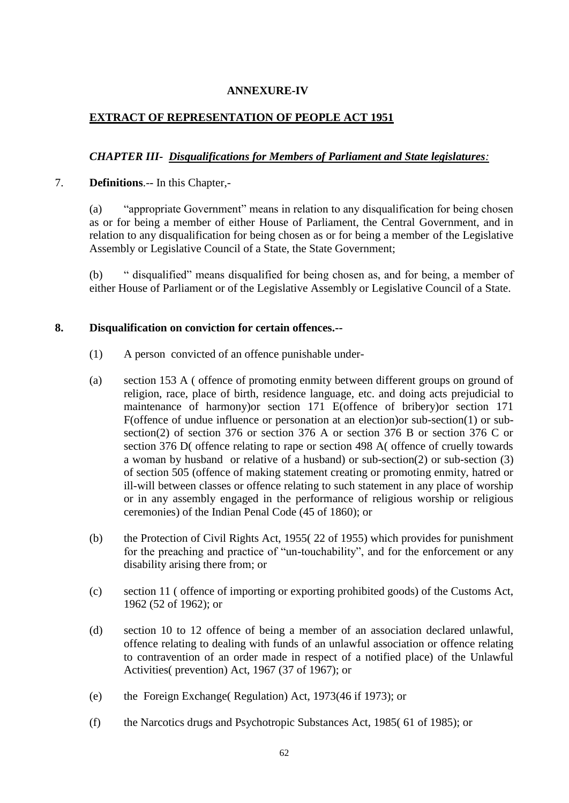## **ANNEXURE-IV**

## **EXTRACT OF REPRESENTATION OF PEOPLE ACT 1951**

## *CHAPTER III- Disqualifications for Members of Parliament and State legislatures:*

### 7. **Definitions**.-- In this Chapter,-

(a) — "appropriate Government" means in relation to any disqualification for being chosen as or for being a member of either House of Parliament, the Central Government, and in relation to any disqualification for being chosen as or for being a member of the Legislative Assembly or Legislative Council of a State, the State Government;

(b) " disqualified" means disqualified for being chosen as, and for being, a member of either House of Parliament or of the Legislative Assembly or Legislative Council of a State.

### **8. Disqualification on conviction for certain offences.--**

- (1) A person convicted of an offence punishable under-
- (a) section 153 A ( offence of promoting enmity between different groups on ground of religion, race, place of birth, residence language, etc. and doing acts prejudicial to maintenance of harmony)or section 171 E(offence of bribery)or section 171 F(offence of undue influence or personation at an election)or sub-section(1) or subsection(2) of section 376 or section 376 A or section 376 B or section 376 C or section 376 D( offence relating to rape or section 498 A( offence of cruelly towards a woman by husband or relative of a husband) or sub-section(2) or sub-section (3) of section 505 (offence of making statement creating or promoting enmity, hatred or ill-will between classes or offence relating to such statement in any place of worship or in any assembly engaged in the performance of religious worship or religious ceremonies) of the Indian Penal Code (45 of 1860); or
- (b) the Protection of Civil Rights Act, 1955( 22 of 1955) which provides for punishment for the preaching and practice of "un-touchability", and for the enforcement or any disability arising there from; or
- (c) section 11 ( offence of importing or exporting prohibited goods) of the Customs Act, 1962 (52 of 1962); or
- (d) section 10 to 12 offence of being a member of an association declared unlawful, offence relating to dealing with funds of an unlawful association or offence relating to contravention of an order made in respect of a notified place) of the Unlawful Activities( prevention) Act, 1967 (37 of 1967); or
- (e) the Foreign Exchange( Regulation) Act, 1973(46 if 1973); or
- (f) the Narcotics drugs and Psychotropic Substances Act, 1985( 61 of 1985); or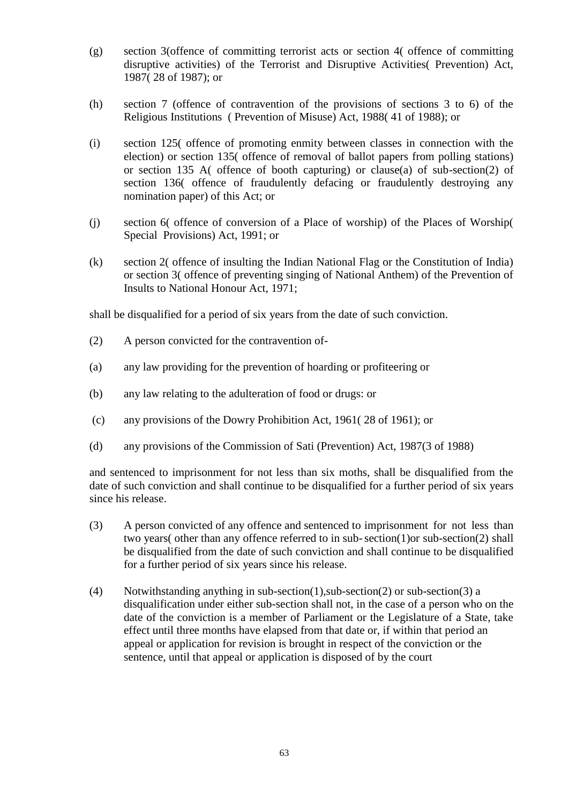- (g) section 3(offence of committing terrorist acts or section 4( offence of committing disruptive activities) of the Terrorist and Disruptive Activities( Prevention) Act, 1987( 28 of 1987); or
- (h) section 7 (offence of contravention of the provisions of sections 3 to 6) of the Religious Institutions ( Prevention of Misuse) Act, 1988( 41 of 1988); or
- (i) section 125( offence of promoting enmity between classes in connection with the election) or section 135( offence of removal of ballot papers from polling stations) or section 135 A( offence of booth capturing) or clause(a) of sub-section(2) of section 136( offence of fraudulently defacing or fraudulently destroying any nomination paper) of this Act; or
- (j) section 6( offence of conversion of a Place of worship) of the Places of Worship( Special Provisions) Act, 1991; or
- (k) section 2( offence of insulting the Indian National Flag or the Constitution of India) or section 3( offence of preventing singing of National Anthem) of the Prevention of Insults to National Honour Act, 1971;

shall be disqualified for a period of six years from the date of such conviction.

- (2) A person convicted for the contravention of-
- (a) any law providing for the prevention of hoarding or profiteering or
- (b) any law relating to the adulteration of food or drugs: or
- (c) any provisions of the Dowry Prohibition Act, 1961( 28 of 1961); or
- (d) any provisions of the Commission of Sati (Prevention) Act, 1987(3 of 1988)

and sentenced to imprisonment for not less than six moths, shall be disqualified from the date of such conviction and shall continue to be disqualified for a further period of six years since his release.

- (3) A person convicted of any offence and sentenced to imprisonment for not less than two years( other than any offence referred to in sub-section(1)or sub-section(2) shall be disqualified from the date of such conviction and shall continue to be disqualified for a further period of six years since his release.
- (4) Notwithstanding anything in sub-section(1), sub-section(2) or sub-section(3) a disqualification under either sub-section shall not, in the case of a person who on the date of the conviction is a member of Parliament or the Legislature of a State, take effect until three months have elapsed from that date or, if within that period an appeal or application for revision is brought in respect of the conviction or the sentence, until that appeal or application is disposed of by the court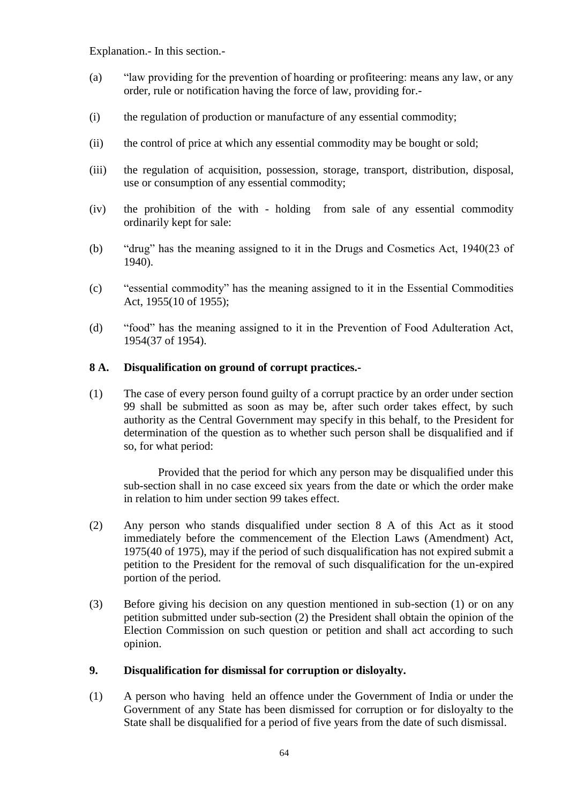Explanation.- In this section.-

- (a) "law providing for the prevention of hoarding or profiteering: means any law, or any order, rule or notification having the force of law, providing for.-
- (i) the regulation of production or manufacture of any essential commodity;
- (ii) the control of price at which any essential commodity may be bought or sold;
- (iii) the regulation of acquisition, possession, storage, transport, distribution, disposal, use or consumption of any essential commodity;
- (iv) the prohibition of the with holding from sale of any essential commodity ordinarily kept for sale:
- (b)  $\degree$  "drug" has the meaning assigned to it in the Drugs and Cosmetics Act, 1940(23 of 1940).
- (c) "essential commodity" has the meaning assigned to it in the Essential Commodities Act, 1955(10 of 1955);
- (d) "food" has the meaning assigned to it in the Prevention of Food Adulteration Act, 1954(37 of 1954).

## **8 A. Disqualification on ground of corrupt practices.-**

(1) The case of every person found guilty of a corrupt practice by an order under section 99 shall be submitted as soon as may be, after such order takes effect, by such authority as the Central Government may specify in this behalf, to the President for determination of the question as to whether such person shall be disqualified and if so, for what period:

Provided that the period for which any person may be disqualified under this sub-section shall in no case exceed six years from the date or which the order make in relation to him under section 99 takes effect.

- (2) Any person who stands disqualified under section 8 A of this Act as it stood immediately before the commencement of the Election Laws (Amendment) Act, 1975(40 of 1975), may if the period of such disqualification has not expired submit a petition to the President for the removal of such disqualification for the un-expired portion of the period.
- (3) Before giving his decision on any question mentioned in sub-section (1) or on any petition submitted under sub-section (2) the President shall obtain the opinion of the Election Commission on such question or petition and shall act according to such opinion.

### **9. Disqualification for dismissal for corruption or disloyalty.**

(1) A person who having held an offence under the Government of India or under the Government of any State has been dismissed for corruption or for disloyalty to the State shall be disqualified for a period of five years from the date of such dismissal.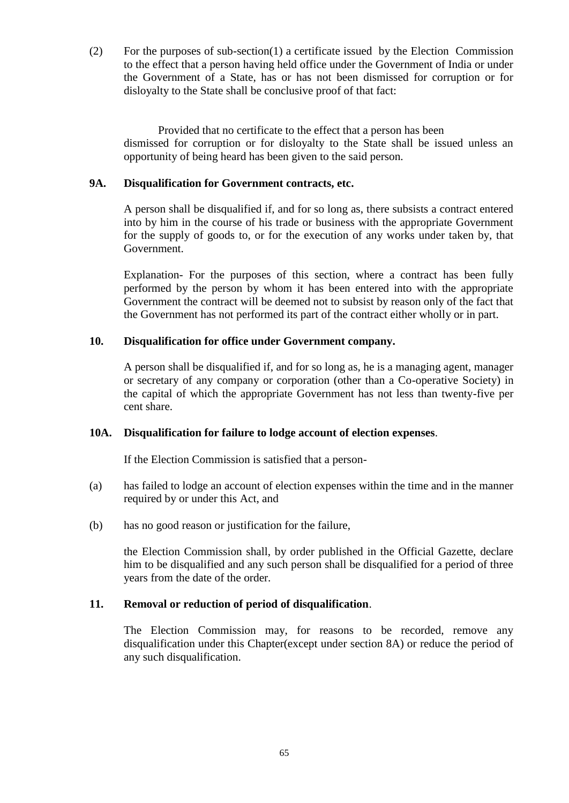(2) For the purposes of sub-section(1) a certificate issued by the Election Commission to the effect that a person having held office under the Government of India or under the Government of a State, has or has not been dismissed for corruption or for disloyalty to the State shall be conclusive proof of that fact:

Provided that no certificate to the effect that a person has been dismissed for corruption or for disloyalty to the State shall be issued unless an opportunity of being heard has been given to the said person.

## **9A. Disqualification for Government contracts, etc.**

A person shall be disqualified if, and for so long as, there subsists a contract entered into by him in the course of his trade or business with the appropriate Government for the supply of goods to, or for the execution of any works under taken by, that Government.

Explanation- For the purposes of this section, where a contract has been fully performed by the person by whom it has been entered into with the appropriate Government the contract will be deemed not to subsist by reason only of the fact that the Government has not performed its part of the contract either wholly or in part.

## **10. Disqualification for office under Government company.**

A person shall be disqualified if, and for so long as, he is a managing agent, manager or secretary of any company or corporation (other than a Co-operative Society) in the capital of which the appropriate Government has not less than twenty-five per cent share.

### **10A. Disqualification for failure to lodge account of election expenses**.

If the Election Commission is satisfied that a person-

- (a) has failed to lodge an account of election expenses within the time and in the manner required by or under this Act, and
- (b) has no good reason or justification for the failure,

the Election Commission shall, by order published in the Official Gazette, declare him to be disqualified and any such person shall be disqualified for a period of three years from the date of the order.

### **11. Removal or reduction of period of disqualification**.

The Election Commission may, for reasons to be recorded, remove any disqualification under this Chapter(except under section 8A) or reduce the period of any such disqualification.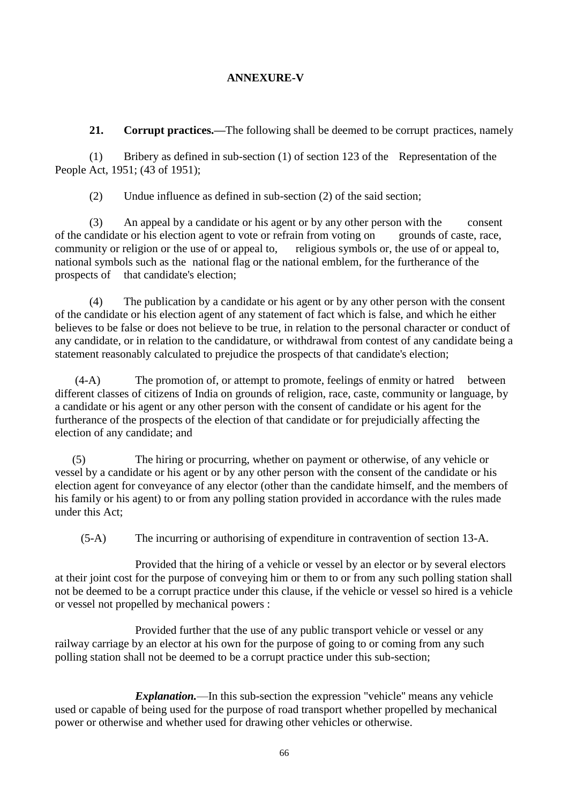# **ANNEXURE-V**

**21. Corrupt practices.—**The following shall be deemed to be corrupt practices, namely

(1) Bribery as defined in sub-section (1) of section 123 of the Representation of the People Act, 1951; (43 of 1951);

(2) Undue influence as defined in sub-section (2) of the said section;

(3) An appeal by a candidate or his agent or by any other person with the consent of the candidate or his election agent to vote or refrain from voting on grounds of caste, race, community or religion or the use of or appeal to, religious symbols or, the use of or appeal to, national symbols such as the national flag or the national emblem, for the furtherance of the prospects of that candidate's election;

(4) The publication by a candidate or his agent or by any other person with the consent of the candidate or his election agent of any statement of fact which is false, and which he either believes to be false or does not believe to be true, in relation to the personal character or conduct of any candidate, or in relation to the candidature, or withdrawal from contest of any candidate being a statement reasonably calculated to prejudice the prospects of that candidate's election;

 (4-A) The promotion of, or attempt to promote, feelings of enmity or hatred between different classes of citizens of India on grounds of religion, race, caste, community or language, by a candidate or his agent or any other person with the consent of candidate or his agent for the furtherance of the prospects of the election of that candidate or for prejudicially affecting the election of any candidate; and

(5) The hiring or procurring, whether on payment or otherwise, of any vehicle or vessel by a candidate or his agent or by any other person with the consent of the candidate or his election agent for conveyance of any elector (other than the candidate himself, and the members of his family or his agent) to or from any polling station provided in accordance with the rules made under this Act;

(5-A) The incurring or authorising of expenditure in contravention of section 13-A.

Provided that the hiring of a vehicle or vessel by an elector or by several electors at their joint cost for the purpose of conveying him or them to or from any such polling station shall not be deemed to be a corrupt practice under this clause, if the vehicle or vessel so hired is a vehicle or vessel not propelled by mechanical powers :

Provided further that the use of any public transport vehicle or vessel or any railway carriage by an elector at his own for the purpose of going to or coming from any such polling station shall not be deemed to be a corrupt practice under this sub-section;

*Explanation.*—In this sub-section the expression "vehicle'' means any vehicle used or capable of being used for the purpose of road transport whether propelled by mechanical power or otherwise and whether used for drawing other vehicles or otherwise.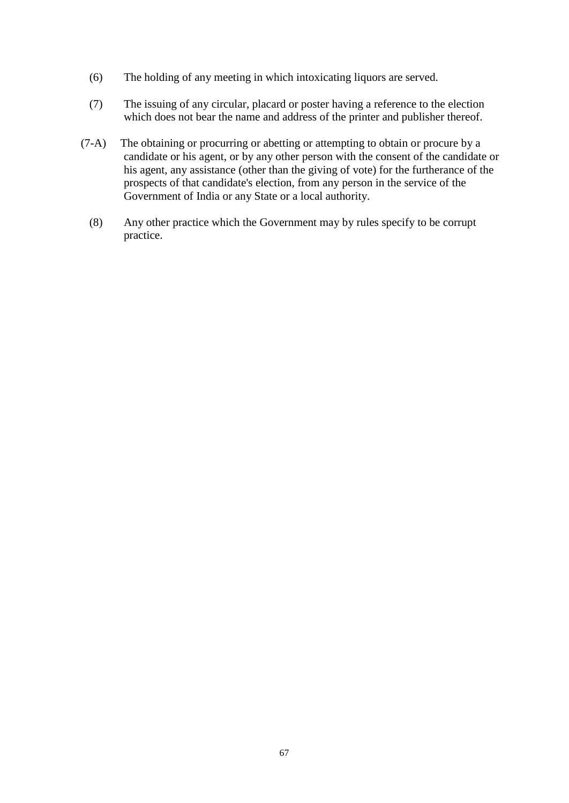- (6) The holding of any meeting in which intoxicating liquors are served.
- (7) The issuing of any circular, placard or poster having a reference to the election which does not bear the name and address of the printer and publisher thereof.
- (7-A) The obtaining or procurring or abetting or attempting to obtain or procure by a candidate or his agent, or by any other person with the consent of the candidate or his agent, any assistance (other than the giving of vote) for the furtherance of the prospects of that candidate's election, from any person in the service of the Government of India or any State or a local authority.
	- (8) Any other practice which the Government may by rules specify to be corrupt practice.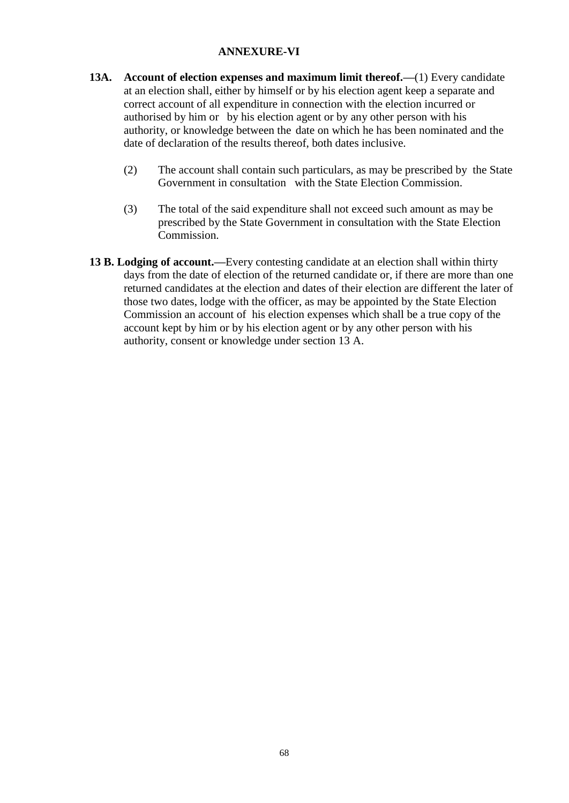# **ANNEXURE-VI**

- **13A. Account of election expenses and maximum limit thereof.—**(1) Every candidate at an election shall, either by himself or by his election agent keep a separate and correct account of all expenditure in connection with the election incurred or authorised by him or by his election agent or by any other person with his authority, or knowledge between the date on which he has been nominated and the date of declaration of the results thereof, both dates inclusive.
	- (2) The account shall contain such particulars, as may be prescribed by the State Government in consultation with the State Election Commission.
	- (3) The total of the said expenditure shall not exceed such amount as may be prescribed by the State Government in consultation with the State Election Commission.
- **13 B. Lodging of account.—**Every contesting candidate at an election shall within thirty days from the date of election of the returned candidate or, if there are more than one returned candidates at the election and dates of their election are different the later of those two dates, lodge with the officer, as may be appointed by the State Election Commission an account of his election expenses which shall be a true copy of the account kept by him or by his election agent or by any other person with his authority, consent or knowledge under section 13 A.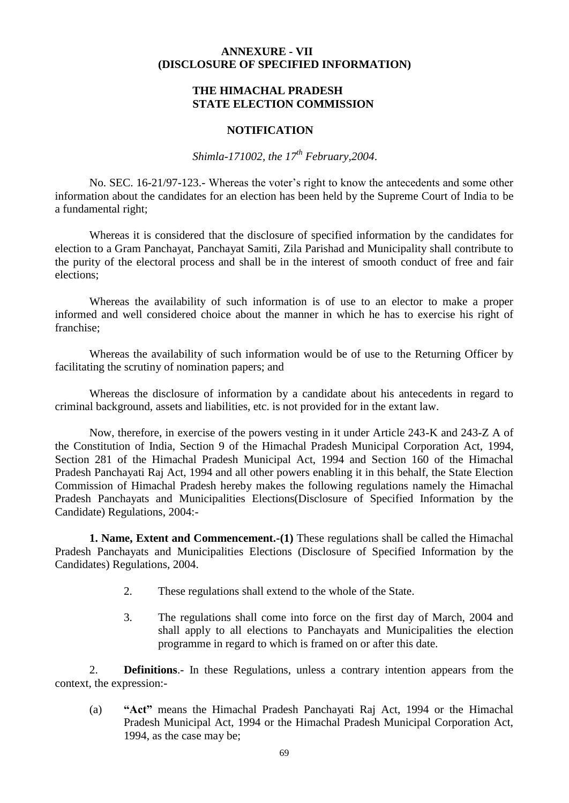### **ANNEXURE - VII (DISCLOSURE OF SPECIFIED INFORMATION)**

### **THE HIMACHAL PRADESH STATE ELECTION COMMISSION**

### **NOTIFICATION**

*Shimla-171002, the 17th February,2004*.

No. SEC. 16-21/97-123.- Whereas the voter's right to know the antecedents and some other information about the candidates for an election has been held by the Supreme Court of India to be a fundamental right;

Whereas it is considered that the disclosure of specified information by the candidates for election to a Gram Panchayat, Panchayat Samiti, Zila Parishad and Municipality shall contribute to the purity of the electoral process and shall be in the interest of smooth conduct of free and fair elections;

Whereas the availability of such information is of use to an elector to make a proper informed and well considered choice about the manner in which he has to exercise his right of franchise;

Whereas the availability of such information would be of use to the Returning Officer by facilitating the scrutiny of nomination papers; and

Whereas the disclosure of information by a candidate about his antecedents in regard to criminal background, assets and liabilities, etc. is not provided for in the extant law.

Now, therefore, in exercise of the powers vesting in it under Article 243-K and 243-Z A of the Constitution of India, Section 9 of the Himachal Pradesh Municipal Corporation Act, 1994, Section 281 of the Himachal Pradesh Municipal Act, 1994 and Section 160 of the Himachal Pradesh Panchayati Raj Act, 1994 and all other powers enabling it in this behalf, the State Election Commission of Himachal Pradesh hereby makes the following regulations namely the Himachal Pradesh Panchayats and Municipalities Elections(Disclosure of Specified Information by the Candidate) Regulations, 2004:-

**1. Name, Extent and Commencement.-(1)** These regulations shall be called the Himachal Pradesh Panchayats and Municipalities Elections (Disclosure of Specified Information by the Candidates) Regulations, 2004.

- 2. These regulations shall extend to the whole of the State.
- 3. The regulations shall come into force on the first day of March, 2004 and shall apply to all elections to Panchayats and Municipalities the election programme in regard to which is framed on or after this date.

2. **Definitions**.- In these Regulations, unless a contrary intention appears from the context, the expression:-

(a) **―Act‖** means the Himachal Pradesh Panchayati Raj Act, 1994 or the Himachal Pradesh Municipal Act, 1994 or the Himachal Pradesh Municipal Corporation Act, 1994, as the case may be;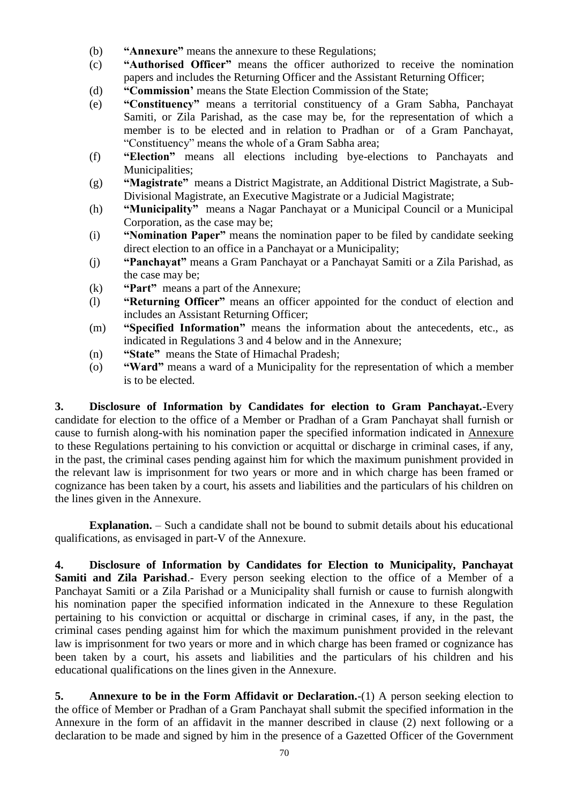- (b) **"Annexure"** means the annexure to these Regulations;
- (c) **"Authorised Officer"** means the officer authorized to receive the nomination papers and includes the Returning Officer and the Assistant Returning Officer;
- (d)  **"Commission**" means the State Election Commission of the State;
- (e) **―Constituency‖** means a territorial constituency of a Gram Sabha, Panchayat Samiti, or Zila Parishad, as the case may be, for the representation of which a member is to be elected and in relation to Pradhan or of a Gram Panchayat, ―Constituency‖ means the whole of a Gram Sabha area;
- (f) **―Election‖** means all elections including bye-elections to Panchayats and Municipalities;
- (g) **―Magistrate‖** means a District Magistrate, an Additional District Magistrate, a Sub-Divisional Magistrate, an Executive Magistrate or a Judicial Magistrate;
- (h) **"Municipality"** means a Nagar Panchayat or a Municipal Council or a Municipal Corporation, as the case may be;
- (i) **Womination Paper**" means the nomination paper to be filed by candidate seeking direct election to an office in a Panchayat or a Municipality;
- (j) **―Panchayat‖** means a Gram Panchayat or a Panchayat Samiti or a Zila Parishad, as the case may be;
- (k) *•Part* **means a part of the Annexure;**
- (1)  **"Returning Officer"** means an officer appointed for the conduct of election and includes an Assistant Returning Officer;
- (m) **"Specified Information"** means the information about the antecedents, etc., as indicated in Regulations 3 and 4 below and in the Annexure;
- (n) **"State"** means the State of Himachal Pradesh;
- (o) **―Ward‖** means a ward of a Municipality for the representation of which a member is to be elected.

**3. Disclosure of Information by Candidates for election to Gram Panchayat.**-Every candidate for election to the office of a Member or Pradhan of a Gram Panchayat shall furnish or cause to furnish along-with his nomination paper the specified information indicated in Annexure to these Regulations pertaining to his conviction or acquittal or discharge in criminal cases, if any, in the past, the criminal cases pending against him for which the maximum punishment provided in the relevant law is imprisonment for two years or more and in which charge has been framed or cognizance has been taken by a court, his assets and liabilities and the particulars of his children on the lines given in the Annexure.

**Explanation.** – Such a candidate shall not be bound to submit details about his educational qualifications, as envisaged in part-V of the Annexure.

**4. Disclosure of Information by Candidates for Election to Municipality, Panchayat**  Samiti and Zila Parishad.- Every person seeking election to the office of a Member of a Panchayat Samiti or a Zila Parishad or a Municipality shall furnish or cause to furnish alongwith his nomination paper the specified information indicated in the Annexure to these Regulation pertaining to his conviction or acquittal or discharge in criminal cases, if any, in the past, the criminal cases pending against him for which the maximum punishment provided in the relevant law is imprisonment for two years or more and in which charge has been framed or cognizance has been taken by a court, his assets and liabilities and the particulars of his children and his educational qualifications on the lines given in the Annexure.

**5. Annexure to be in the Form Affidavit or Declaration.**-(1) A person seeking election to the office of Member or Pradhan of a Gram Panchayat shall submit the specified information in the Annexure in the form of an affidavit in the manner described in clause (2) next following or a declaration to be made and signed by him in the presence of a Gazetted Officer of the Government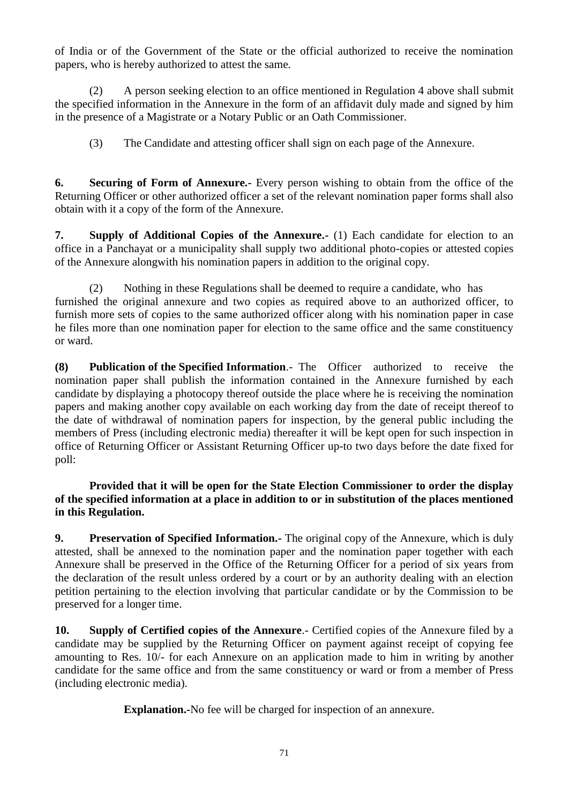of India or of the Government of the State or the official authorized to receive the nomination papers, who is hereby authorized to attest the same.

(2) A person seeking election to an office mentioned in Regulation 4 above shall submit the specified information in the Annexure in the form of an affidavit duly made and signed by him in the presence of a Magistrate or a Notary Public or an Oath Commissioner.

(3) The Candidate and attesting officer shall sign on each page of the Annexure.

**6. Securing of Form of Annexure.-** Every person wishing to obtain from the office of the Returning Officer or other authorized officer a set of the relevant nomination paper forms shall also obtain with it a copy of the form of the Annexure.

**7. Supply of Additional Copies of the Annexure.-** (1) Each candidate for election to an office in a Panchayat or a municipality shall supply two additional photo-copies or attested copies of the Annexure alongwith his nomination papers in addition to the original copy.

(2) Nothing in these Regulations shall be deemed to require a candidate, who has furnished the original annexure and two copies as required above to an authorized officer, to furnish more sets of copies to the same authorized officer along with his nomination paper in case he files more than one nomination paper for election to the same office and the same constituency or ward.

**(8) Publication of the Specified Information**.- The Officer authorized to receive the nomination paper shall publish the information contained in the Annexure furnished by each candidate by displaying a photocopy thereof outside the place where he is receiving the nomination papers and making another copy available on each working day from the date of receipt thereof to the date of withdrawal of nomination papers for inspection, by the general public including the members of Press (including electronic media) thereafter it will be kept open for such inspection in office of Returning Officer or Assistant Returning Officer up-to two days before the date fixed for poll:

# **Provided that it will be open for the State Election Commissioner to order the display of the specified information at a place in addition to or in substitution of the places mentioned in this Regulation.**

**9. Preservation of Specified Information.-** The original copy of the Annexure, which is duly attested, shall be annexed to the nomination paper and the nomination paper together with each Annexure shall be preserved in the Office of the Returning Officer for a period of six years from the declaration of the result unless ordered by a court or by an authority dealing with an election petition pertaining to the election involving that particular candidate or by the Commission to be preserved for a longer time.

**10. Supply of Certified copies of the Annexure**.- Certified copies of the Annexure filed by a candidate may be supplied by the Returning Officer on payment against receipt of copying fee amounting to Res. 10/- for each Annexure on an application made to him in writing by another candidate for the same office and from the same constituency or ward or from a member of Press (including electronic media).

**Explanation.-**No fee will be charged for inspection of an annexure.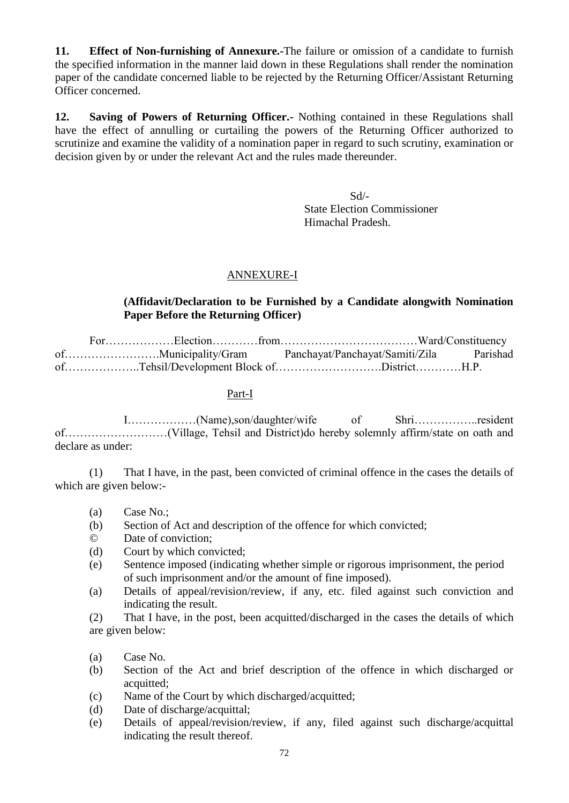**11. Effect of Non-furnishing of Annexure.-**The failure or omission of a candidate to furnish the specified information in the manner laid down in these Regulations shall render the nomination paper of the candidate concerned liable to be rejected by the Returning Officer/Assistant Returning Officer concerned.

**12. Saving of Powers of Returning Officer.-** Nothing contained in these Regulations shall have the effect of annulling or curtailing the powers of the Returning Officer authorized to scrutinize and examine the validity of a nomination paper in regard to such scrutiny, examination or decision given by or under the relevant Act and the rules made thereunder.

Sd/-

 State Election Commissioner Himachal Pradesh.

# ANNEXURE-I

## **(Affidavit/Declaration to be Furnished by a Candidate alongwith Nomination Paper Before the Returning Officer)**

For………………Election…………from………………………………Ward/Constituency of…………………….Municipality/Gram Panchayat/Panchayat/Samiti/Zila Parishad of………………..Tehsil/Development Block of……………………….District…………H.P.

## Part-I

I………………(Name),son/daughter/wife of Shri……………..resident of………………………(Village, Tehsil and District)do hereby solemnly affirm/state on oath and declare as under:

(1) That I have, in the past, been convicted of criminal offence in the cases the details of which are given below:-

- (a) Case No.;
- (b) Section of Act and description of the offence for which convicted;
- © Date of conviction;
- (d) Court by which convicted;
- (e) Sentence imposed (indicating whether simple or rigorous imprisonment, the period of such imprisonment and/or the amount of fine imposed).
- (a) Details of appeal/revision/review, if any, etc. filed against such conviction and indicating the result.

(2) That I have, in the post, been acquitted/discharged in the cases the details of which are given below:

- (a) Case No.
- (b) Section of the Act and brief description of the offence in which discharged or acquitted;
- (c) Name of the Court by which discharged/acquitted;
- (d) Date of discharge/acquittal;
- (e) Details of appeal/revision/review, if any, filed against such discharge/acquittal indicating the result thereof.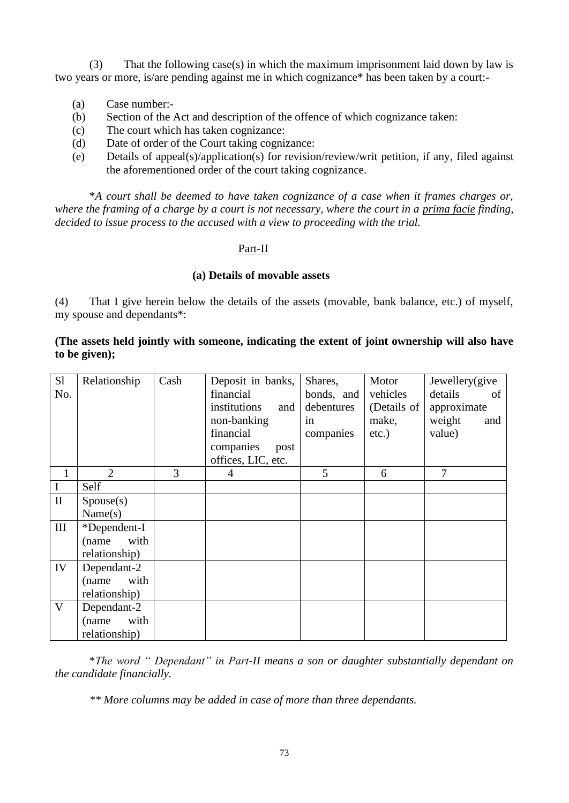(3) That the following case(s) in which the maximum imprisonment laid down by law is two years or more, is/are pending against me in which cognizance\* has been taken by a court:-

- (a) Case number:-
- (b) Section of the Act and description of the offence of which cognizance taken:
- (c) The court which has taken cognizance:
- (d) Date of order of the Court taking cognizance:
- (e) Details of appeal(s)/application(s) for revision/review/writ petition, if any, filed against the aforementioned order of the court taking cognizance.

\**A court shall be deemed to have taken cognizance of a case when it frames charges or, where the framing of a charge by a court is not necessary, where the court in a prima facie finding, decided to issue process to the accused with a view to proceeding with the trial.*

### Part-II

### **(a) Details of movable assets**

(4) That I give herein below the details of the assets (movable, bank balance, etc.) of myself, my spouse and dependants\*:

## **(The assets held jointly with someone, indicating the extent of joint ownership will also have to be given);**

| S1           | Relationship   | Cash | Deposit in banks,   | Shares,    | Motor       | Jewellery(give |
|--------------|----------------|------|---------------------|------------|-------------|----------------|
| No.          |                |      | financial           | bonds, and | vehicles    | details<br>of  |
|              |                |      | institutions<br>and | debentures | (Details of | approximate    |
|              |                |      | non-banking         | in         | make,       | weight<br>and  |
|              |                |      | financial           | companies  | $etc.$ )    | value)         |
|              |                |      | companies<br>post   |            |             |                |
|              |                |      | offices, LIC, etc.  |            |             |                |
| $\mathbf{1}$ | $\overline{2}$ | 3    | 4                   | 5          | 6           | 7              |
| $\mathbf I$  | Self           |      |                     |            |             |                |
| $\mathbf{I}$ | Spouse(s)      |      |                     |            |             |                |
|              | Name(s)        |      |                     |            |             |                |
| $\rm III$    | *Dependent-I   |      |                     |            |             |                |
|              | with<br>(name  |      |                     |            |             |                |
|              | relationship)  |      |                     |            |             |                |
| IV           | Dependant-2    |      |                     |            |             |                |
|              | (name<br>with  |      |                     |            |             |                |
|              | relationship)  |      |                     |            |             |                |
| $\mathbf V$  | Dependant-2    |      |                     |            |             |                |
|              | with<br>(name  |      |                     |            |             |                |
|              | relationship)  |      |                     |            |             |                |

\**The word " Dependant" in Part-II means a son or daughter substantially dependant on the candidate financially.*

*\*\* More columns may be added in case of more than three dependants.*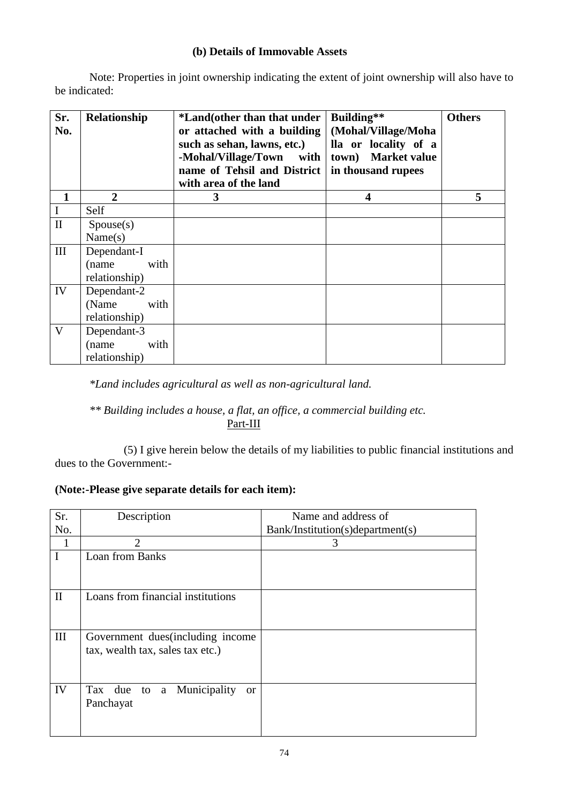## **(b) Details of Immovable Assets**

Note: Properties in joint ownership indicating the extent of joint ownership will also have to be indicated:

| Sr.<br>No.   | Relationship   | *Land(other than that under<br>or attached with a building<br>such as sehan, lawns, etc.)<br>-Mohal/Village/Town<br>with<br>name of Tehsil and District<br>with area of the land | Building**<br>(Mohal/Village/Moha<br>lla or locality of a<br>town) Market value<br>in thousand rupees | <b>Others</b> |
|--------------|----------------|----------------------------------------------------------------------------------------------------------------------------------------------------------------------------------|-------------------------------------------------------------------------------------------------------|---------------|
| 1            | $\overline{2}$ | 3                                                                                                                                                                                | 4                                                                                                     | 5             |
| I            | Self           |                                                                                                                                                                                  |                                                                                                       |               |
| $\mathbf{I}$ | Spouse(s)      |                                                                                                                                                                                  |                                                                                                       |               |
|              | Name(s)        |                                                                                                                                                                                  |                                                                                                       |               |
| III          | Dependant-I    |                                                                                                                                                                                  |                                                                                                       |               |
|              | with<br>(name  |                                                                                                                                                                                  |                                                                                                       |               |
|              | relationship)  |                                                                                                                                                                                  |                                                                                                       |               |
| IV           | Dependant-2    |                                                                                                                                                                                  |                                                                                                       |               |
|              | (Name)<br>with |                                                                                                                                                                                  |                                                                                                       |               |
|              | relationship)  |                                                                                                                                                                                  |                                                                                                       |               |
| V            | Dependant-3    |                                                                                                                                                                                  |                                                                                                       |               |
|              | (name<br>with  |                                                                                                                                                                                  |                                                                                                       |               |
|              | relationship)  |                                                                                                                                                                                  |                                                                                                       |               |

*\*Land includes agricultural as well as non-agricultural land.*

*\*\* Building includes a house, a flat, an office, a commercial building etc.* Part-III

(5) I give herein below the details of my liabilities to public financial institutions and dues to the Government:-

# **(Note:-Please give separate details for each item):**

| Sr.          | Description                                                           | Name and address of              |
|--------------|-----------------------------------------------------------------------|----------------------------------|
| No.          |                                                                       | Bank/Institution(s)department(s) |
|              | $\overline{2}$                                                        | 3                                |
| $\mathbf I$  | Loan from Banks                                                       |                                  |
| $\mathbf{I}$ | Loans from financial institutions                                     |                                  |
| III          | Government dues (including income<br>tax, wealth tax, sales tax etc.) |                                  |
| IV           | Tax due to a Municipality<br><sub>or</sub><br>Panchayat               |                                  |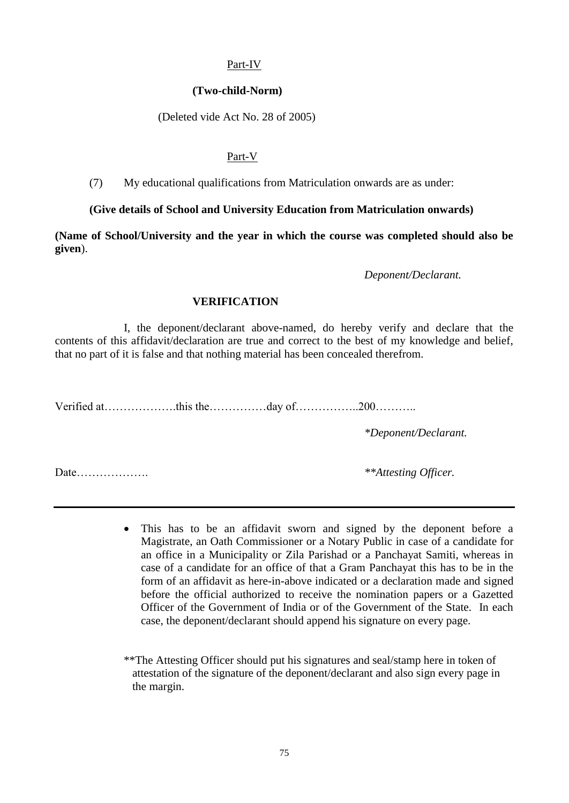## Part-IV

### **(Two-child-Norm)**

(Deleted vide Act No. 28 of 2005)

### Part-V

(7) My educational qualifications from Matriculation onwards are as under:

### **(Give details of School and University Education from Matriculation onwards)**

**(Name of School/University and the year in which the course was completed should also be given**).

*Deponent/Declarant.*

### **VERIFICATION**

I, the deponent/declarant above-named, do hereby verify and declare that the contents of this affidavit/declaration are true and correct to the best of my knowledge and belief, that no part of it is false and that nothing material has been concealed therefrom.

Verified at……………….this the……………day of……………..200………..

*\*Deponent/Declarant.*

Date………………. *\*\*Attesting Officer.*

 This has to be an affidavit sworn and signed by the deponent before a Magistrate, an Oath Commissioner or a Notary Public in case of a candidate for an office in a Municipality or Zila Parishad or a Panchayat Samiti, whereas in case of a candidate for an office of that a Gram Panchayat this has to be in the form of an affidavit as here-in-above indicated or a declaration made and signed before the official authorized to receive the nomination papers or a Gazetted Officer of the Government of India or of the Government of the State. In each case, the deponent/declarant should append his signature on every page.

\*\*The Attesting Officer should put his signatures and seal/stamp here in token of attestation of the signature of the deponent/declarant and also sign every page in the margin.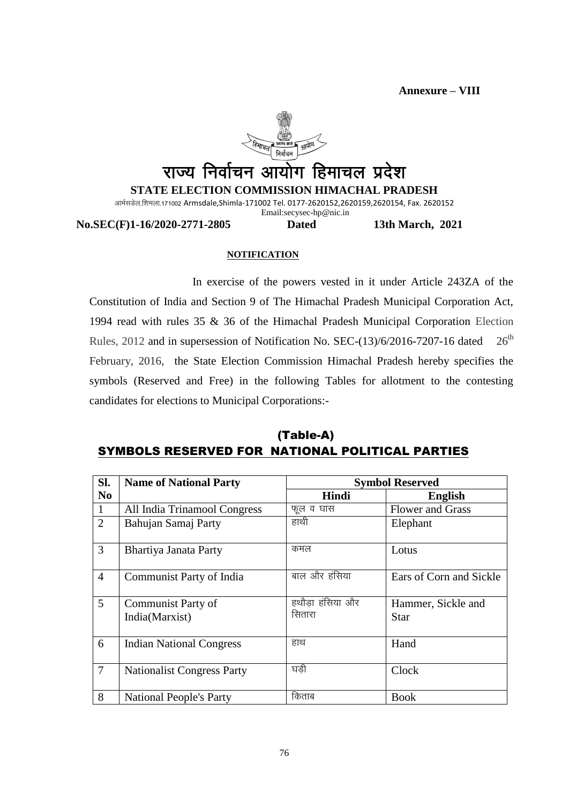**Annexure – VIII**



**No.SEC(F)1-16/2020-2771-2805 Dated 13th March, 2021**

#### **NOTIFICATION**

In exercise of the powers vested in it under Article 243ZA of the Constitution of India and Section 9 of The Himachal Pradesh Municipal Corporation Act, 1994 read with rules 35 & 36 of the Himachal Pradesh Municipal Corporation Election Rules, 2012 and in supersession of Notification No. SEC- $(13)/6/2016-7207-16$  dated  $26<sup>th</sup>$ February, 2016, the State Election Commission Himachal Pradesh hereby specifies the symbols (Reserved and Free) in the following Tables for allotment to the contesting candidates for elections to Municipal Corporations:-

# (Table-A) SYMBOLS RESERVED FOR NATIONAL POLITICAL PARTIES

| SI.            | <b>Name of National Party</b>     | <b>Symbol Reserved</b> |                         |  |
|----------------|-----------------------------------|------------------------|-------------------------|--|
| N <sub>0</sub> |                                   | Hindi                  | <b>English</b>          |  |
| 1              | All India Trinamool Congress      | फूल व घास              | <b>Flower and Grass</b> |  |
| $\overline{2}$ | Bahujan Samaj Party               | हाथी                   | Elephant                |  |
| $\mathfrak{Z}$ | Bhartiya Janata Party             | कमल                    | Lotus                   |  |
| $\overline{4}$ | Communist Party of India          | बाल और हंसिया          | Ears of Corn and Sickle |  |
| 5              | Communist Party of                | हथौडा हंसिया और        | Hammer, Sickle and      |  |
|                | India(Marxist)                    | सितारा                 | Star                    |  |
| 6              | <b>Indian National Congress</b>   | हाथ                    | Hand                    |  |
| $\overline{7}$ | <b>Nationalist Congress Party</b> | घडी                    | Clock                   |  |
| 8              | <b>National People's Party</b>    | किताब                  | <b>Book</b>             |  |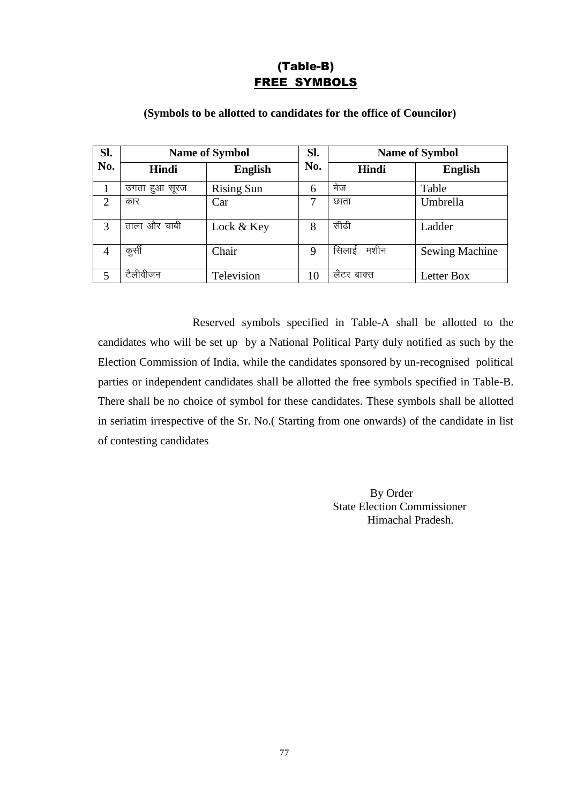# (Table-B) FREE SYMBOLS

| Sl.            |                  | <b>Name of Symbol</b> | SI. | <b>Name of Symbol</b> |                       |
|----------------|------------------|-----------------------|-----|-----------------------|-----------------------|
| No.            | Hindi            | <b>English</b>        | No. | Hindi                 | <b>English</b>        |
|                | उगता<br>हुआ सूरज | <b>Rising Sun</b>     | 6   | मेज                   | Table                 |
| $\overline{2}$ | कार              | Car                   | 7   | छाता                  | Umbrella              |
| 3              | ताला और चाबी     | Lock & Key            | 8   | सीढी                  | Ladder                |
| $\overline{4}$ | कुर्सी           | Chair                 | 9   | मशीन<br>सिलाई         | <b>Sewing Machine</b> |
| 5              | टैलीवीजन         | Television            | 10  | लैटर बाक्स            | Letter Box            |

## **(Symbols to be allotted to candidates for the office of Councilor)**

Reserved symbols specified in Table-A shall be allotted to the candidates who will be set up by a National Political Party duly notified as such by the Election Commission of India, while the candidates sponsored by un-recognised political parties or independent candidates shall be allotted the free symbols specified in Table-B. There shall be no choice of symbol for these candidates. These symbols shall be allotted in seriatim irrespective of the Sr. No.( Starting from one onwards) of the candidate in list of contesting candidates

> By Order State Election Commissioner Himachal Pradesh.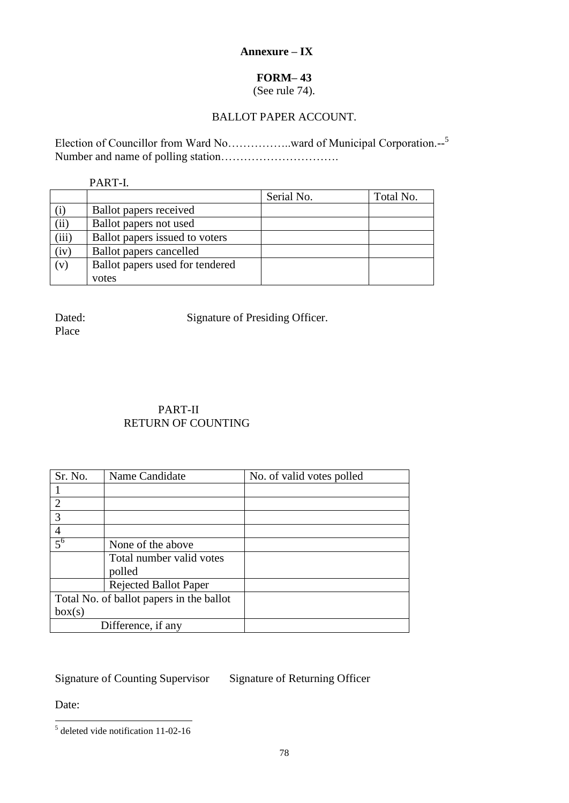# **Annexure – IX**

# **FORM– 43**

(See rule 74).

# BALLOT PAPER ACCOUNT.

Election of Councillor from Ward No..................ward of Municipal Corporation.--<sup>5</sup> Number and name of polling station………………………….

PART-I.

|       |                                 | Serial No. | Total No. |
|-------|---------------------------------|------------|-----------|
| (i)   | Ballot papers received          |            |           |
| (ii)  | Ballot papers not used          |            |           |
| (iii) | Ballot papers issued to voters  |            |           |
| (iv)  | Ballot papers cancelled         |            |           |
| (v)   | Ballot papers used for tendered |            |           |
|       | votes                           |            |           |

Place

Dated: Signature of Presiding Officer.

# PART-II RETURN OF COUNTING

| Sr. No.                                  | Name Candidate           | No. of valid votes polled |  |
|------------------------------------------|--------------------------|---------------------------|--|
|                                          |                          |                           |  |
| $\overline{2}$                           |                          |                           |  |
| 3                                        |                          |                           |  |
| $\overline{4}$                           |                          |                           |  |
| $\overline{5^6}$                         | None of the above        |                           |  |
|                                          | Total number valid votes |                           |  |
|                                          | polled                   |                           |  |
| <b>Rejected Ballot Paper</b>             |                          |                           |  |
| Total No. of ballot papers in the ballot |                          |                           |  |
| box(s)                                   |                          |                           |  |
|                                          | Difference, if any       |                           |  |

# Signature of Counting Supervisor Signature of Returning Officer

Date:

<sup>&</sup>lt;sup>5</sup> deleted vide notification 11-02-16